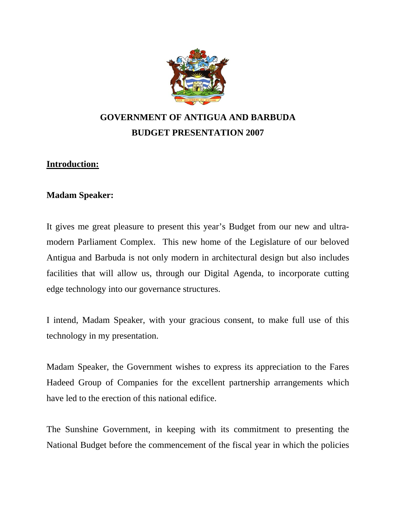

# **GOVERNMENT OF ANTIGUA AND BARBUDA BUDGET PRESENTATION 2007**

# **Introduction:**

# **Madam Speaker:**

It gives me great pleasure to present this year's Budget from our new and ultramodern Parliament Complex. This new home of the Legislature of our beloved Antigua and Barbuda is not only modern in architectural design but also includes facilities that will allow us, through our Digital Agenda, to incorporate cutting edge technology into our governance structures.

I intend, Madam Speaker, with your gracious consent, to make full use of this technology in my presentation.

Madam Speaker, the Government wishes to express its appreciation to the Fares Hadeed Group of Companies for the excellent partnership arrangements which have led to the erection of this national edifice.

The Sunshine Government, in keeping with its commitment to presenting the National Budget before the commencement of the fiscal year in which the policies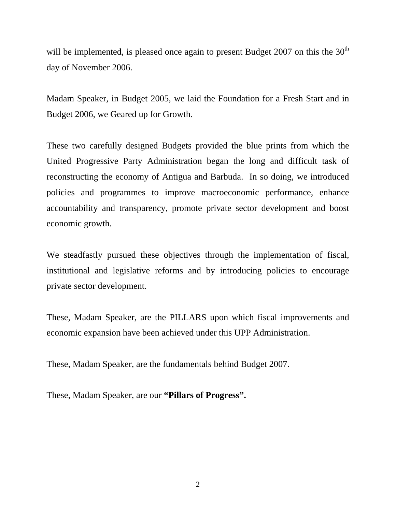will be implemented, is pleased once again to present Budget 2007 on this the  $30<sup>th</sup>$ day of November 2006.

Madam Speaker, in Budget 2005, we laid the Foundation for a Fresh Start and in Budget 2006, we Geared up for Growth.

These two carefully designed Budgets provided the blue prints from which the United Progressive Party Administration began the long and difficult task of reconstructing the economy of Antigua and Barbuda. In so doing, we introduced policies and programmes to improve macroeconomic performance, enhance accountability and transparency, promote private sector development and boost economic growth.

We steadfastly pursued these objectives through the implementation of fiscal, institutional and legislative reforms and by introducing policies to encourage private sector development.

These, Madam Speaker, are the PILLARS upon which fiscal improvements and economic expansion have been achieved under this UPP Administration.

These, Madam Speaker, are the fundamentals behind Budget 2007.

These, Madam Speaker, are our **"Pillars of Progress".**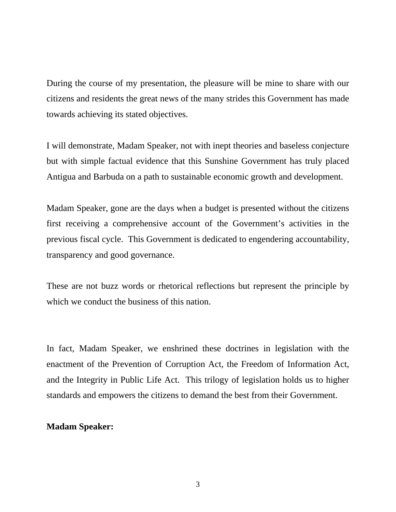During the course of my presentation, the pleasure will be mine to share with our citizens and residents the great news of the many strides this Government has made towards achieving its stated objectives.

I will demonstrate, Madam Speaker, not with inept theories and baseless conjecture but with simple factual evidence that this Sunshine Government has truly placed Antigua and Barbuda on a path to sustainable economic growth and development.

Madam Speaker, gone are the days when a budget is presented without the citizens first receiving a comprehensive account of the Government's activities in the previous fiscal cycle. This Government is dedicated to engendering accountability, transparency and good governance.

These are not buzz words or rhetorical reflections but represent the principle by which we conduct the business of this nation.

In fact, Madam Speaker, we enshrined these doctrines in legislation with the enactment of the Prevention of Corruption Act, the Freedom of Information Act, and the Integrity in Public Life Act. This trilogy of legislation holds us to higher standards and empowers the citizens to demand the best from their Government.

#### **Madam Speaker:**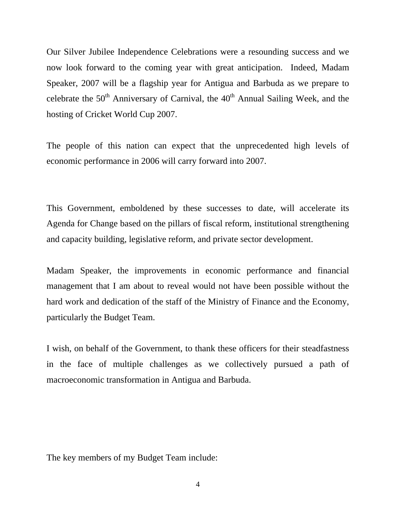Our Silver Jubilee Independence Celebrations were a resounding success and we now look forward to the coming year with great anticipation. Indeed, Madam Speaker, 2007 will be a flagship year for Antigua and Barbuda as we prepare to celebrate the  $50<sup>th</sup>$  Anniversary of Carnival, the  $40<sup>th</sup>$  Annual Sailing Week, and the hosting of Cricket World Cup 2007.

The people of this nation can expect that the unprecedented high levels of economic performance in 2006 will carry forward into 2007.

This Government, emboldened by these successes to date, will accelerate its Agenda for Change based on the pillars of fiscal reform, institutional strengthening and capacity building, legislative reform, and private sector development.

Madam Speaker, the improvements in economic performance and financial management that I am about to reveal would not have been possible without the hard work and dedication of the staff of the Ministry of Finance and the Economy, particularly the Budget Team.

I wish, on behalf of the Government, to thank these officers for their steadfastness in the face of multiple challenges as we collectively pursued a path of macroeconomic transformation in Antigua and Barbuda.

The key members of my Budget Team include: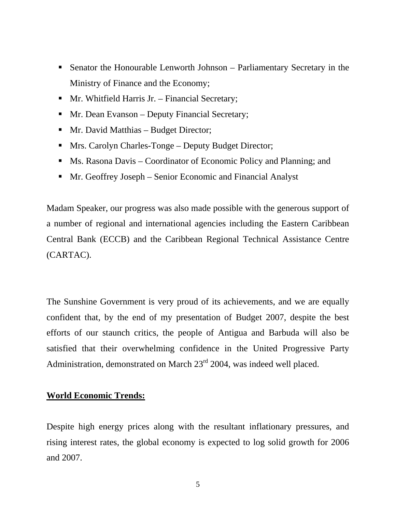- Senator the Honourable Lenworth Johnson Parliamentary Secretary in the Ministry of Finance and the Economy;
- Mr. Whitfield Harris Jr. Financial Secretary;
- Mr. Dean Evanson Deputy Financial Secretary;
- Mr. David Matthias Budget Director;
- **Mrs. Carolyn Charles-Tonge Deputy Budget Director;**
- Ms. Rasona Davis Coordinator of Economic Policy and Planning; and
- Mr. Geoffrey Joseph Senior Economic and Financial Analyst

Madam Speaker, our progress was also made possible with the generous support of a number of regional and international agencies including the Eastern Caribbean Central Bank (ECCB) and the Caribbean Regional Technical Assistance Centre (CARTAC).

The Sunshine Government is very proud of its achievements, and we are equally confident that, by the end of my presentation of Budget 2007, despite the best efforts of our staunch critics, the people of Antigua and Barbuda will also be satisfied that their overwhelming confidence in the United Progressive Party Administration, demonstrated on March 23<sup>rd</sup> 2004, was indeed well placed.

# **World Economic Trends:**

Despite high energy prices along with the resultant inflationary pressures, and rising interest rates, the global economy is expected to log solid growth for 2006 and 2007.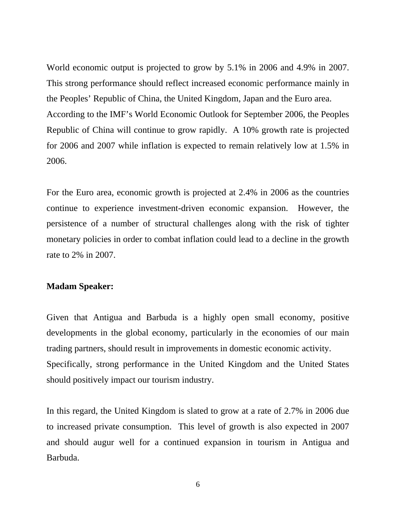World economic output is projected to grow by 5.1% in 2006 and 4.9% in 2007. This strong performance should reflect increased economic performance mainly in the Peoples' Republic of China, the United Kingdom, Japan and the Euro area. According to the IMF's World Economic Outlook for September 2006, the Peoples Republic of China will continue to grow rapidly. A 10% growth rate is projected for 2006 and 2007 while inflation is expected to remain relatively low at 1.5% in 2006.

For the Euro area, economic growth is projected at 2.4% in 2006 as the countries continue to experience investment-driven economic expansion. However, the persistence of a number of structural challenges along with the risk of tighter monetary policies in order to combat inflation could lead to a decline in the growth rate to 2% in 2007.

#### **Madam Speaker:**

Given that Antigua and Barbuda is a highly open small economy, positive developments in the global economy, particularly in the economies of our main trading partners, should result in improvements in domestic economic activity. Specifically, strong performance in the United Kingdom and the United States should positively impact our tourism industry.

In this regard, the United Kingdom is slated to grow at a rate of 2.7% in 2006 due to increased private consumption. This level of growth is also expected in 2007 and should augur well for a continued expansion in tourism in Antigua and Barbuda.

6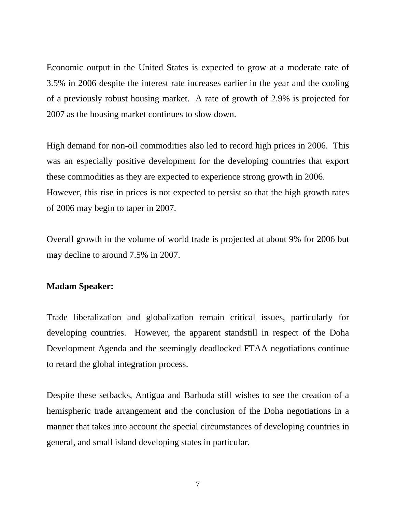Economic output in the United States is expected to grow at a moderate rate of 3.5% in 2006 despite the interest rate increases earlier in the year and the cooling of a previously robust housing market. A rate of growth of 2.9% is projected for 2007 as the housing market continues to slow down.

High demand for non-oil commodities also led to record high prices in 2006. This was an especially positive development for the developing countries that export these commodities as they are expected to experience strong growth in 2006. However, this rise in prices is not expected to persist so that the high growth rates of 2006 may begin to taper in 2007.

Overall growth in the volume of world trade is projected at about 9% for 2006 but may decline to around 7.5% in 2007.

## **Madam Speaker:**

Trade liberalization and globalization remain critical issues, particularly for developing countries. However, the apparent standstill in respect of the Doha Development Agenda and the seemingly deadlocked FTAA negotiations continue to retard the global integration process.

Despite these setbacks, Antigua and Barbuda still wishes to see the creation of a hemispheric trade arrangement and the conclusion of the Doha negotiations in a manner that takes into account the special circumstances of developing countries in general, and small island developing states in particular.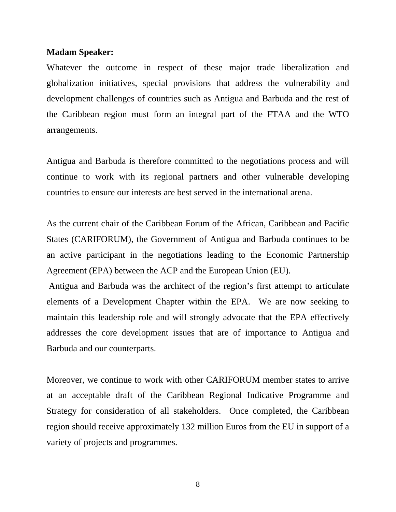Whatever the outcome in respect of these major trade liberalization and globalization initiatives, special provisions that address the vulnerability and development challenges of countries such as Antigua and Barbuda and the rest of the Caribbean region must form an integral part of the FTAA and the WTO arrangements.

Antigua and Barbuda is therefore committed to the negotiations process and will continue to work with its regional partners and other vulnerable developing countries to ensure our interests are best served in the international arena.

As the current chair of the Caribbean Forum of the African, Caribbean and Pacific States (CARIFORUM), the Government of Antigua and Barbuda continues to be an active participant in the negotiations leading to the Economic Partnership Agreement (EPA) between the ACP and the European Union (EU).

 Antigua and Barbuda was the architect of the region's first attempt to articulate elements of a Development Chapter within the EPA. We are now seeking to maintain this leadership role and will strongly advocate that the EPA effectively addresses the core development issues that are of importance to Antigua and Barbuda and our counterparts.

Moreover, we continue to work with other CARIFORUM member states to arrive at an acceptable draft of the Caribbean Regional Indicative Programme and Strategy for consideration of all stakeholders. Once completed, the Caribbean region should receive approximately 132 million Euros from the EU in support of a variety of projects and programmes.

8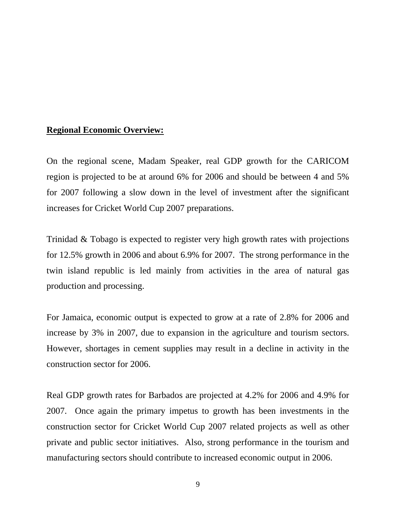# **Regional Economic Overview:**

On the regional scene, Madam Speaker, real GDP growth for the CARICOM region is projected to be at around 6% for 2006 and should be between 4 and 5% for 2007 following a slow down in the level of investment after the significant increases for Cricket World Cup 2007 preparations.

Trinidad & Tobago is expected to register very high growth rates with projections for 12.5% growth in 2006 and about 6.9% for 2007. The strong performance in the twin island republic is led mainly from activities in the area of natural gas production and processing.

For Jamaica, economic output is expected to grow at a rate of 2.8% for 2006 and increase by 3% in 2007, due to expansion in the agriculture and tourism sectors. However, shortages in cement supplies may result in a decline in activity in the construction sector for 2006.

Real GDP growth rates for Barbados are projected at 4.2% for 2006 and 4.9% for 2007. Once again the primary impetus to growth has been investments in the construction sector for Cricket World Cup 2007 related projects as well as other private and public sector initiatives. Also, strong performance in the tourism and manufacturing sectors should contribute to increased economic output in 2006.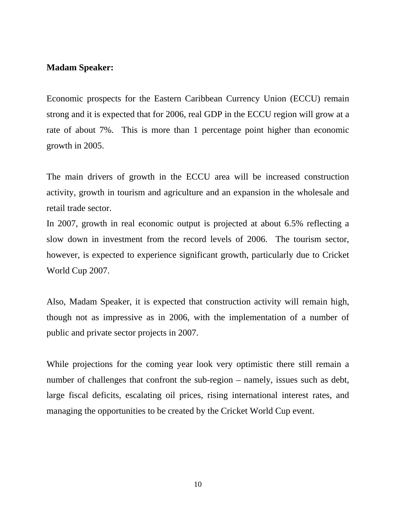Economic prospects for the Eastern Caribbean Currency Union (ECCU) remain strong and it is expected that for 2006, real GDP in the ECCU region will grow at a rate of about 7%. This is more than 1 percentage point higher than economic growth in 2005.

The main drivers of growth in the ECCU area will be increased construction activity, growth in tourism and agriculture and an expansion in the wholesale and retail trade sector.

In 2007, growth in real economic output is projected at about 6.5% reflecting a slow down in investment from the record levels of 2006. The tourism sector, however, is expected to experience significant growth, particularly due to Cricket World Cup 2007.

Also, Madam Speaker, it is expected that construction activity will remain high, though not as impressive as in 2006, with the implementation of a number of public and private sector projects in 2007.

While projections for the coming year look very optimistic there still remain a number of challenges that confront the sub-region – namely, issues such as debt, large fiscal deficits, escalating oil prices, rising international interest rates, and managing the opportunities to be created by the Cricket World Cup event.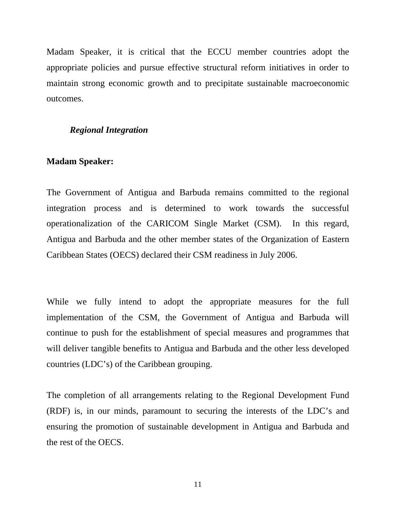Madam Speaker, it is critical that the ECCU member countries adopt the appropriate policies and pursue effective structural reform initiatives in order to maintain strong economic growth and to precipitate sustainable macroeconomic outcomes.

# *Regional Integration*

# **Madam Speaker:**

The Government of Antigua and Barbuda remains committed to the regional integration process and is determined to work towards the successful operationalization of the CARICOM Single Market (CSM). In this regard, Antigua and Barbuda and the other member states of the Organization of Eastern Caribbean States (OECS) declared their CSM readiness in July 2006.

While we fully intend to adopt the appropriate measures for the full implementation of the CSM, the Government of Antigua and Barbuda will continue to push for the establishment of special measures and programmes that will deliver tangible benefits to Antigua and Barbuda and the other less developed countries (LDC's) of the Caribbean grouping.

The completion of all arrangements relating to the Regional Development Fund (RDF) is, in our minds, paramount to securing the interests of the LDC's and ensuring the promotion of sustainable development in Antigua and Barbuda and the rest of the OECS.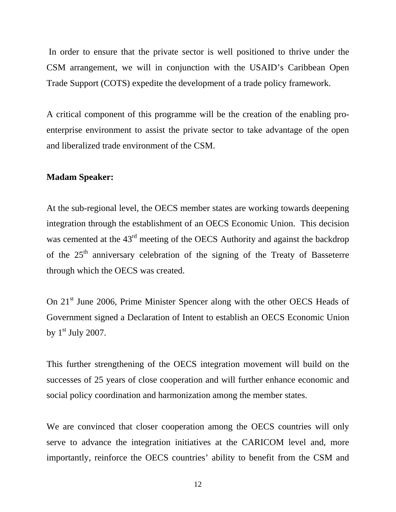In order to ensure that the private sector is well positioned to thrive under the CSM arrangement, we will in conjunction with the USAID's Caribbean Open Trade Support (COTS) expedite the development of a trade policy framework.

A critical component of this programme will be the creation of the enabling proenterprise environment to assist the private sector to take advantage of the open and liberalized trade environment of the CSM.

#### **Madam Speaker:**

At the sub-regional level, the OECS member states are working towards deepening integration through the establishment of an OECS Economic Union. This decision was cemented at the 43<sup>rd</sup> meeting of the OECS Authority and against the backdrop of the  $25<sup>th</sup>$  anniversary celebration of the signing of the Treaty of Basseterre through which the OECS was created.

On 21<sup>st</sup> June 2006, Prime Minister Spencer along with the other OECS Heads of Government signed a Declaration of Intent to establish an OECS Economic Union by  $1<sup>st</sup>$  July 2007.

This further strengthening of the OECS integration movement will build on the successes of 25 years of close cooperation and will further enhance economic and social policy coordination and harmonization among the member states.

We are convinced that closer cooperation among the OECS countries will only serve to advance the integration initiatives at the CARICOM level and, more importantly, reinforce the OECS countries' ability to benefit from the CSM and

12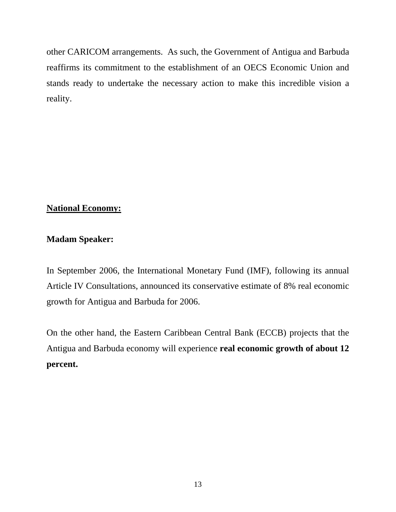other CARICOM arrangements. As such, the Government of Antigua and Barbuda reaffirms its commitment to the establishment of an OECS Economic Union and stands ready to undertake the necessary action to make this incredible vision a reality.

# **National Economy:**

# **Madam Speaker:**

In September 2006, the International Monetary Fund (IMF), following its annual Article IV Consultations, announced its conservative estimate of 8% real economic growth for Antigua and Barbuda for 2006.

On the other hand, the Eastern Caribbean Central Bank (ECCB) projects that the Antigua and Barbuda economy will experience **real economic growth of about 12 percent.**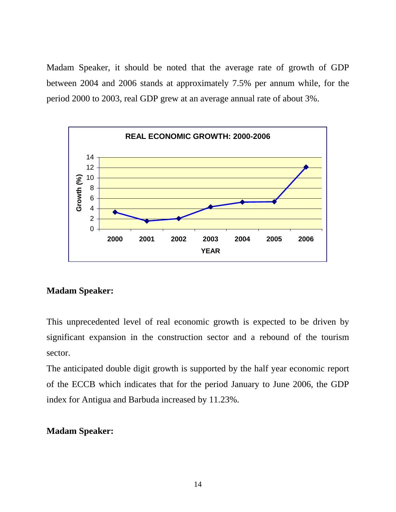Madam Speaker, it should be noted that the average rate of growth of GDP between 2004 and 2006 stands at approximately 7.5% per annum while, for the period 2000 to 2003, real GDP grew at an average annual rate of about 3%.



# **Madam Speaker:**

This unprecedented level of real economic growth is expected to be driven by significant expansion in the construction sector and a rebound of the tourism sector.

The anticipated double digit growth is supported by the half year economic report of the ECCB which indicates that for the period January to June 2006, the GDP index for Antigua and Barbuda increased by 11.23%.

# **Madam Speaker:**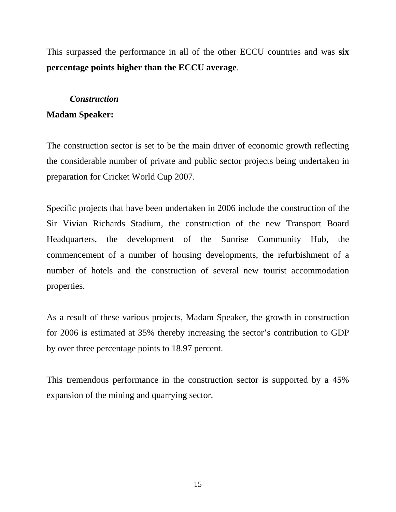This surpassed the performance in all of the other ECCU countries and was **six percentage points higher than the ECCU average**.

## *Construction*

# **Madam Speaker:**

The construction sector is set to be the main driver of economic growth reflecting the considerable number of private and public sector projects being undertaken in preparation for Cricket World Cup 2007.

Specific projects that have been undertaken in 2006 include the construction of the Sir Vivian Richards Stadium, the construction of the new Transport Board Headquarters, the development of the Sunrise Community Hub, the commencement of a number of housing developments, the refurbishment of a number of hotels and the construction of several new tourist accommodation properties.

As a result of these various projects, Madam Speaker, the growth in construction for 2006 is estimated at 35% thereby increasing the sector's contribution to GDP by over three percentage points to 18.97 percent.

This tremendous performance in the construction sector is supported by a 45% expansion of the mining and quarrying sector.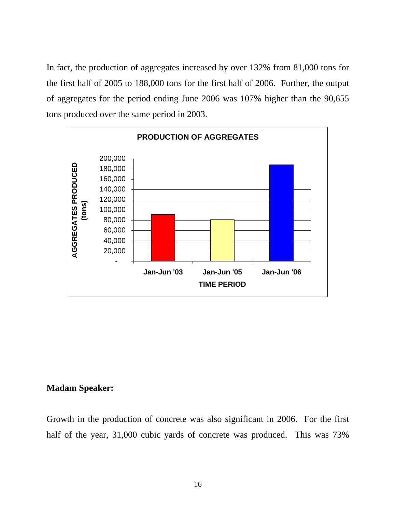In fact, the production of aggregates increased by over 132% from 81,000 tons for the first half of 2005 to 188,000 tons for the first half of 2006. Further, the output of aggregates for the period ending June 2006 was 107% higher than the 90,655 tons produced over the same period in 2003.



## **Madam Speaker:**

Growth in the production of concrete was also significant in 2006. For the first half of the year, 31,000 cubic yards of concrete was produced. This was 73%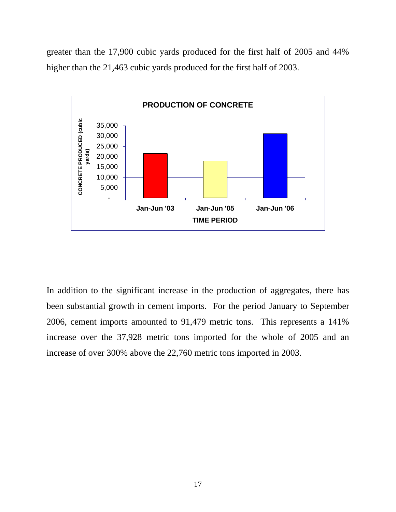greater than the 17,900 cubic yards produced for the first half of 2005 and 44% higher than the 21,463 cubic yards produced for the first half of 2003.



In addition to the significant increase in the production of aggregates, there has been substantial growth in cement imports. For the period January to September 2006, cement imports amounted to 91,479 metric tons. This represents a 141% increase over the 37,928 metric tons imported for the whole of 2005 and an increase of over 300% above the 22,760 metric tons imported in 2003.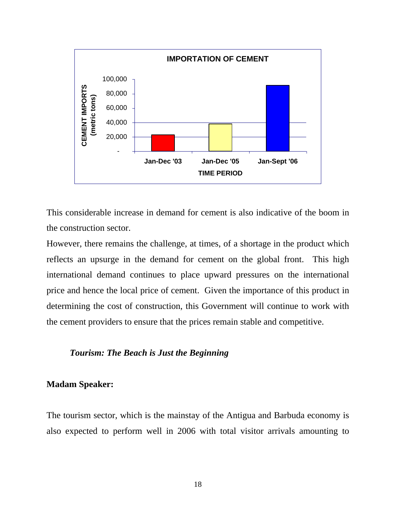

This considerable increase in demand for cement is also indicative of the boom in the construction sector.

However, there remains the challenge, at times, of a shortage in the product which reflects an upsurge in the demand for cement on the global front. This high international demand continues to place upward pressures on the international price and hence the local price of cement. Given the importance of this product in determining the cost of construction, this Government will continue to work with the cement providers to ensure that the prices remain stable and competitive.

# *Tourism: The Beach is Just the Beginning*

# **Madam Speaker:**

The tourism sector, which is the mainstay of the Antigua and Barbuda economy is also expected to perform well in 2006 with total visitor arrivals amounting to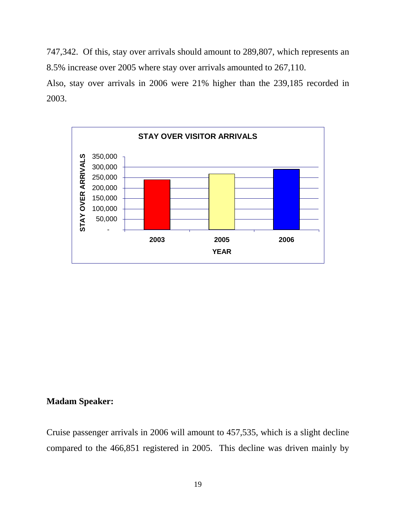747,342. Of this, stay over arrivals should amount to 289,807, which represents an 8.5% increase over 2005 where stay over arrivals amounted to 267,110.

Also, stay over arrivals in 2006 were 21% higher than the 239,185 recorded in 2003.



# **Madam Speaker:**

Cruise passenger arrivals in 2006 will amount to 457,535, which is a slight decline compared to the 466,851 registered in 2005. This decline was driven mainly by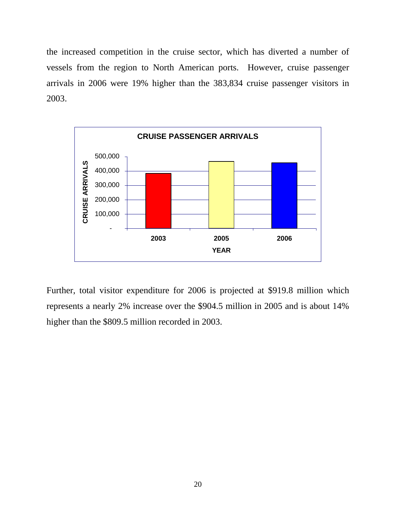the increased competition in the cruise sector, which has diverted a number of vessels from the region to North American ports. However, cruise passenger arrivals in 2006 were 19% higher than the 383,834 cruise passenger visitors in 2003.



Further, total visitor expenditure for 2006 is projected at \$919.8 million which represents a nearly 2% increase over the \$904.5 million in 2005 and is about 14% higher than the \$809.5 million recorded in 2003.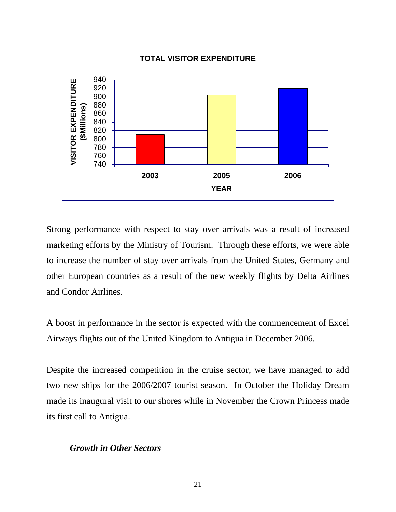

Strong performance with respect to stay over arrivals was a result of increased marketing efforts by the Ministry of Tourism. Through these efforts, we were able to increase the number of stay over arrivals from the United States, Germany and other European countries as a result of the new weekly flights by Delta Airlines and Condor Airlines.

A boost in performance in the sector is expected with the commencement of Excel Airways flights out of the United Kingdom to Antigua in December 2006.

Despite the increased competition in the cruise sector, we have managed to add two new ships for the 2006/2007 tourist season. In October the Holiday Dream made its inaugural visit to our shores while in November the Crown Princess made its first call to Antigua.

#### *Growth in Other Sectors*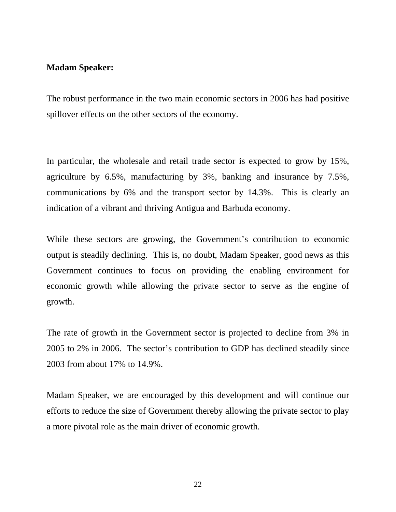The robust performance in the two main economic sectors in 2006 has had positive spillover effects on the other sectors of the economy.

In particular, the wholesale and retail trade sector is expected to grow by 15%, agriculture by 6.5%, manufacturing by 3%, banking and insurance by 7.5%, communications by 6% and the transport sector by 14.3%. This is clearly an indication of a vibrant and thriving Antigua and Barbuda economy.

While these sectors are growing, the Government's contribution to economic output is steadily declining. This is, no doubt, Madam Speaker, good news as this Government continues to focus on providing the enabling environment for economic growth while allowing the private sector to serve as the engine of growth.

The rate of growth in the Government sector is projected to decline from 3% in 2005 to 2% in 2006. The sector's contribution to GDP has declined steadily since 2003 from about 17% to 14.9%.

Madam Speaker, we are encouraged by this development and will continue our efforts to reduce the size of Government thereby allowing the private sector to play a more pivotal role as the main driver of economic growth.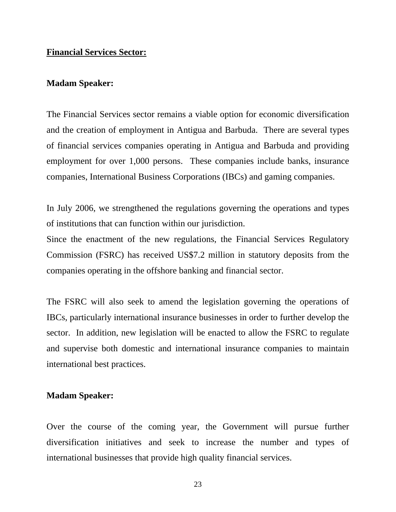### **Financial Services Sector:**

#### **Madam Speaker:**

The Financial Services sector remains a viable option for economic diversification and the creation of employment in Antigua and Barbuda. There are several types of financial services companies operating in Antigua and Barbuda and providing employment for over 1,000 persons. These companies include banks, insurance companies, International Business Corporations (IBCs) and gaming companies.

In July 2006, we strengthened the regulations governing the operations and types of institutions that can function within our jurisdiction.

Since the enactment of the new regulations, the Financial Services Regulatory Commission (FSRC) has received US\$7.2 million in statutory deposits from the companies operating in the offshore banking and financial sector.

The FSRC will also seek to amend the legislation governing the operations of IBCs, particularly international insurance businesses in order to further develop the sector. In addition, new legislation will be enacted to allow the FSRC to regulate and supervise both domestic and international insurance companies to maintain international best practices.

#### **Madam Speaker:**

Over the course of the coming year, the Government will pursue further diversification initiatives and seek to increase the number and types of international businesses that provide high quality financial services.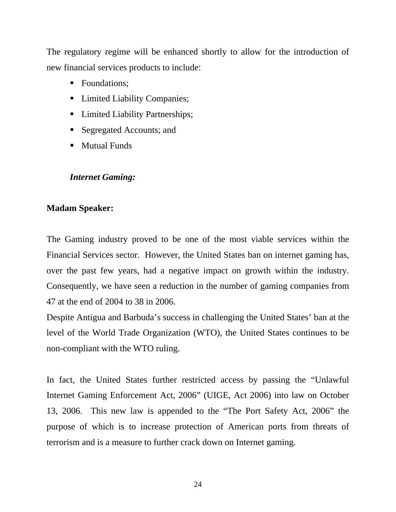The regulatory regime will be enhanced shortly to allow for the introduction of new financial services products to include:

- Foundations:
- Limited Liability Companies;
- **EXECUTE:** Limited Liability Partnerships;
- Segregated Accounts; and
- **Mutual Funds**

# *Internet Gaming:*

# **Madam Speaker:**

The Gaming industry proved to be one of the most viable services within the Financial Services sector. However, the United States ban on internet gaming has, over the past few years, had a negative impact on growth within the industry. Consequently, we have seen a reduction in the number of gaming companies from 47 at the end of 2004 to 38 in 2006.

Despite Antigua and Barbuda's success in challenging the United States' ban at the level of the World Trade Organization (WTO), the United States continues to be non-compliant with the WTO ruling.

In fact, the United States further restricted access by passing the "Unlawful Internet Gaming Enforcement Act, 2006" (UIGE, Act 2006) into law on October 13, 2006. This new law is appended to the "The Port Safety Act, 2006" the purpose of which is to increase protection of American ports from threats of terrorism and is a measure to further crack down on Internet gaming.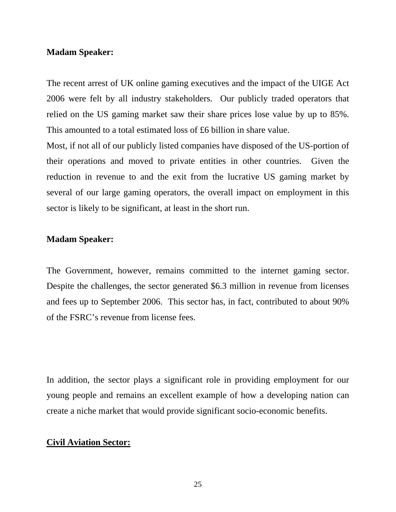The recent arrest of UK online gaming executives and the impact of the UIGE Act 2006 were felt by all industry stakeholders. Our publicly traded operators that relied on the US gaming market saw their share prices lose value by up to 85%. This amounted to a total estimated loss of £6 billion in share value.

Most, if not all of our publicly listed companies have disposed of the US-portion of their operations and moved to private entities in other countries. Given the reduction in revenue to and the exit from the lucrative US gaming market by several of our large gaming operators, the overall impact on employment in this sector is likely to be significant, at least in the short run.

# **Madam Speaker:**

The Government, however, remains committed to the internet gaming sector. Despite the challenges, the sector generated \$6.3 million in revenue from licenses and fees up to September 2006. This sector has, in fact, contributed to about 90% of the FSRC's revenue from license fees.

In addition, the sector plays a significant role in providing employment for our young people and remains an excellent example of how a developing nation can create a niche market that would provide significant socio-economic benefits.

# **Civil Aviation Sector:**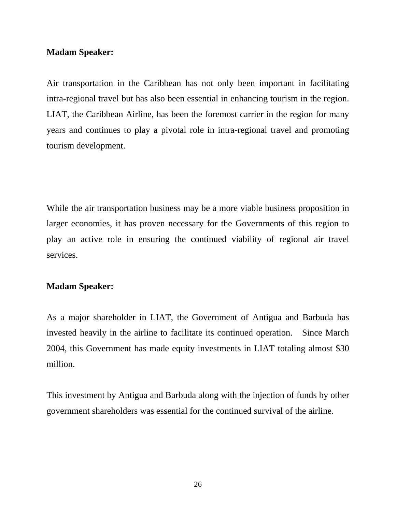Air transportation in the Caribbean has not only been important in facilitating intra-regional travel but has also been essential in enhancing tourism in the region. LIAT, the Caribbean Airline, has been the foremost carrier in the region for many years and continues to play a pivotal role in intra-regional travel and promoting tourism development.

While the air transportation business may be a more viable business proposition in larger economies, it has proven necessary for the Governments of this region to play an active role in ensuring the continued viability of regional air travel services.

# **Madam Speaker:**

As a major shareholder in LIAT, the Government of Antigua and Barbuda has invested heavily in the airline to facilitate its continued operation. Since March 2004, this Government has made equity investments in LIAT totaling almost \$30 million.

This investment by Antigua and Barbuda along with the injection of funds by other government shareholders was essential for the continued survival of the airline.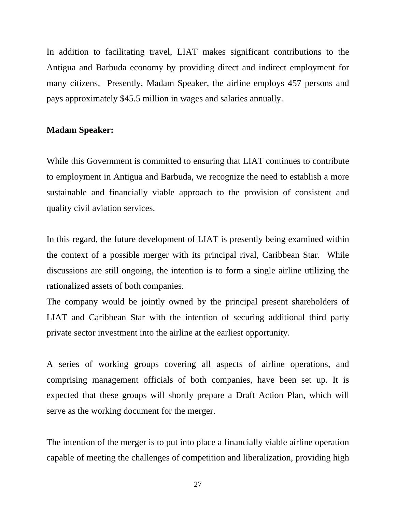In addition to facilitating travel, LIAT makes significant contributions to the Antigua and Barbuda economy by providing direct and indirect employment for many citizens. Presently, Madam Speaker, the airline employs 457 persons and pays approximately \$45.5 million in wages and salaries annually.

### **Madam Speaker:**

While this Government is committed to ensuring that LIAT continues to contribute to employment in Antigua and Barbuda, we recognize the need to establish a more sustainable and financially viable approach to the provision of consistent and quality civil aviation services.

In this regard, the future development of LIAT is presently being examined within the context of a possible merger with its principal rival, Caribbean Star. While discussions are still ongoing, the intention is to form a single airline utilizing the rationalized assets of both companies.

The company would be jointly owned by the principal present shareholders of LIAT and Caribbean Star with the intention of securing additional third party private sector investment into the airline at the earliest opportunity.

A series of working groups covering all aspects of airline operations, and comprising management officials of both companies, have been set up. It is expected that these groups will shortly prepare a Draft Action Plan, which will serve as the working document for the merger.

The intention of the merger is to put into place a financially viable airline operation capable of meeting the challenges of competition and liberalization, providing high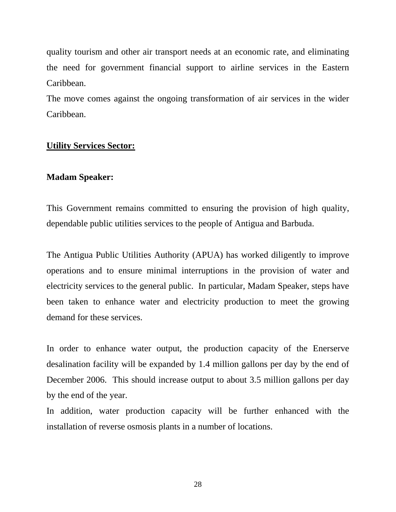quality tourism and other air transport needs at an economic rate, and eliminating the need for government financial support to airline services in the Eastern Caribbean.

The move comes against the ongoing transformation of air services in the wider Caribbean.

# **Utility Services Sector:**

# **Madam Speaker:**

This Government remains committed to ensuring the provision of high quality, dependable public utilities services to the people of Antigua and Barbuda.

The Antigua Public Utilities Authority (APUA) has worked diligently to improve operations and to ensure minimal interruptions in the provision of water and electricity services to the general public. In particular, Madam Speaker, steps have been taken to enhance water and electricity production to meet the growing demand for these services.

In order to enhance water output, the production capacity of the Enerserve desalination facility will be expanded by 1.4 million gallons per day by the end of December 2006. This should increase output to about 3.5 million gallons per day by the end of the year.

In addition, water production capacity will be further enhanced with the installation of reverse osmosis plants in a number of locations.

28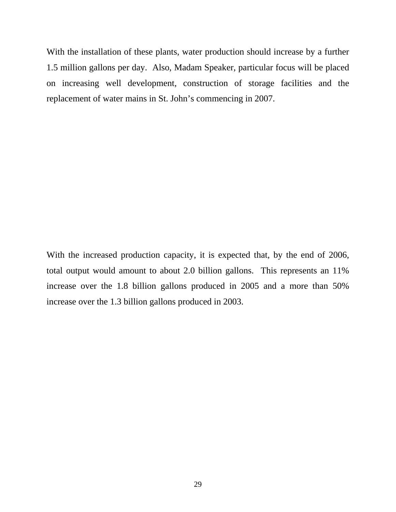With the installation of these plants, water production should increase by a further 1.5 million gallons per day. Also, Madam Speaker, particular focus will be placed on increasing well development, construction of storage facilities and the replacement of water mains in St. John's commencing in 2007.

With the increased production capacity, it is expected that, by the end of 2006, total output would amount to about 2.0 billion gallons. This represents an 11% increase over the 1.8 billion gallons produced in 2005 and a more than 50% increase over the 1.3 billion gallons produced in 2003.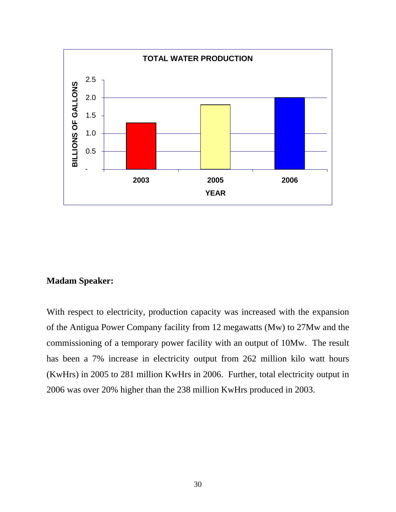

With respect to electricity, production capacity was increased with the expansion of the Antigua Power Company facility from 12 megawatts (Mw) to 27Mw and the commissioning of a temporary power facility with an output of 10Mw. The result has been a 7% increase in electricity output from 262 million kilo watt hours (KwHrs) in 2005 to 281 million KwHrs in 2006. Further, total electricity output in 2006 was over 20% higher than the 238 million KwHrs produced in 2003.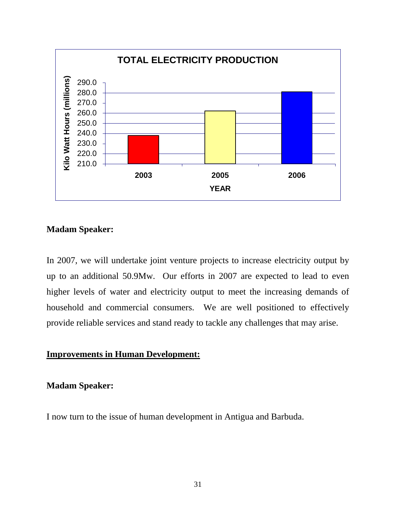

In 2007, we will undertake joint venture projects to increase electricity output by up to an additional 50.9Mw. Our efforts in 2007 are expected to lead to even higher levels of water and electricity output to meet the increasing demands of household and commercial consumers. We are well positioned to effectively provide reliable services and stand ready to tackle any challenges that may arise.

# **Improvements in Human Development:**

# **Madam Speaker:**

I now turn to the issue of human development in Antigua and Barbuda.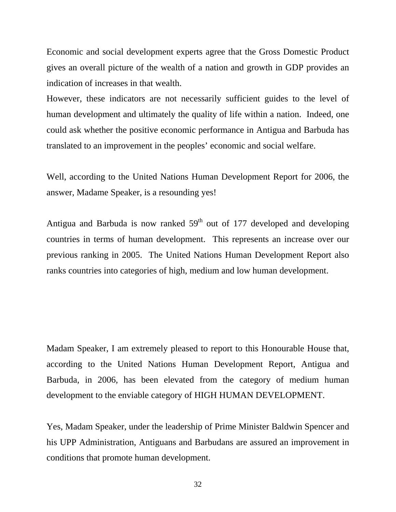Economic and social development experts agree that the Gross Domestic Product gives an overall picture of the wealth of a nation and growth in GDP provides an indication of increases in that wealth.

However, these indicators are not necessarily sufficient guides to the level of human development and ultimately the quality of life within a nation. Indeed, one could ask whether the positive economic performance in Antigua and Barbuda has translated to an improvement in the peoples' economic and social welfare.

Well, according to the United Nations Human Development Report for 2006, the answer, Madame Speaker, is a resounding yes!

Antigua and Barbuda is now ranked  $59<sup>th</sup>$  out of 177 developed and developing countries in terms of human development. This represents an increase over our previous ranking in 2005. The United Nations Human Development Report also ranks countries into categories of high, medium and low human development.

Madam Speaker, I am extremely pleased to report to this Honourable House that, according to the United Nations Human Development Report, Antigua and Barbuda, in 2006, has been elevated from the category of medium human development to the enviable category of HIGH HUMAN DEVELOPMENT.

Yes, Madam Speaker, under the leadership of Prime Minister Baldwin Spencer and his UPP Administration, Antiguans and Barbudans are assured an improvement in conditions that promote human development.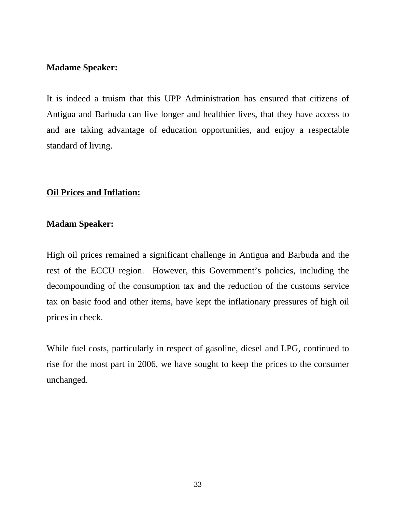It is indeed a truism that this UPP Administration has ensured that citizens of Antigua and Barbuda can live longer and healthier lives, that they have access to and are taking advantage of education opportunities, and enjoy a respectable standard of living.

# **Oil Prices and Inflation:**

# **Madam Speaker:**

High oil prices remained a significant challenge in Antigua and Barbuda and the rest of the ECCU region. However, this Government's policies, including the decompounding of the consumption tax and the reduction of the customs service tax on basic food and other items, have kept the inflationary pressures of high oil prices in check.

While fuel costs, particularly in respect of gasoline, diesel and LPG, continued to rise for the most part in 2006, we have sought to keep the prices to the consumer unchanged.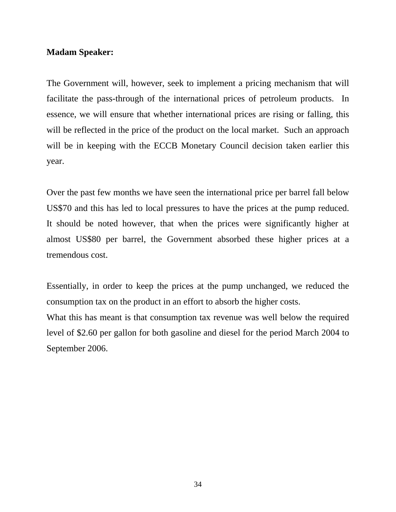The Government will, however, seek to implement a pricing mechanism that will facilitate the pass-through of the international prices of petroleum products. In essence, we will ensure that whether international prices are rising or falling, this will be reflected in the price of the product on the local market. Such an approach will be in keeping with the ECCB Monetary Council decision taken earlier this year.

Over the past few months we have seen the international price per barrel fall below US\$70 and this has led to local pressures to have the prices at the pump reduced. It should be noted however, that when the prices were significantly higher at almost US\$80 per barrel, the Government absorbed these higher prices at a tremendous cost.

Essentially, in order to keep the prices at the pump unchanged, we reduced the consumption tax on the product in an effort to absorb the higher costs.

What this has meant is that consumption tax revenue was well below the required level of \$2.60 per gallon for both gasoline and diesel for the period March 2004 to September 2006.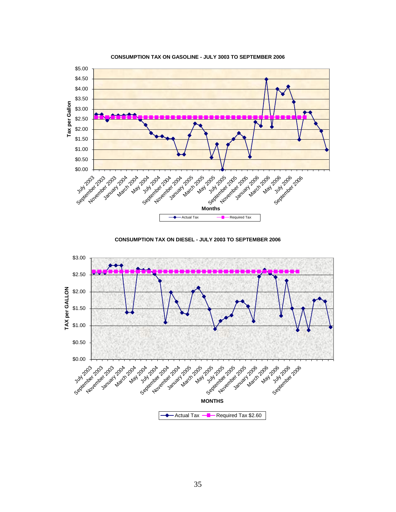

**CONSUMPTION TAX ON GASOLINE - JULY 3003 TO SEPTEMBER 2006**

**CONSUMPTION TAX ON DIESEL - JULY 2003 TO SEPTEMBER 2006**

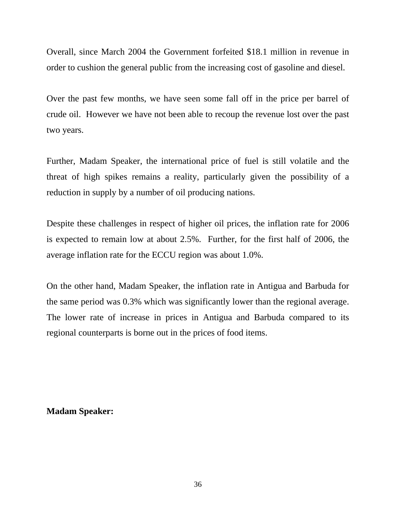Overall, since March 2004 the Government forfeited \$18.1 million in revenue in order to cushion the general public from the increasing cost of gasoline and diesel.

Over the past few months, we have seen some fall off in the price per barrel of crude oil. However we have not been able to recoup the revenue lost over the past two years.

Further, Madam Speaker, the international price of fuel is still volatile and the threat of high spikes remains a reality, particularly given the possibility of a reduction in supply by a number of oil producing nations.

Despite these challenges in respect of higher oil prices, the inflation rate for 2006 is expected to remain low at about 2.5%. Further, for the first half of 2006, the average inflation rate for the ECCU region was about 1.0%.

On the other hand, Madam Speaker, the inflation rate in Antigua and Barbuda for the same period was 0.3% which was significantly lower than the regional average. The lower rate of increase in prices in Antigua and Barbuda compared to its regional counterparts is borne out in the prices of food items.

# **Madam Speaker:**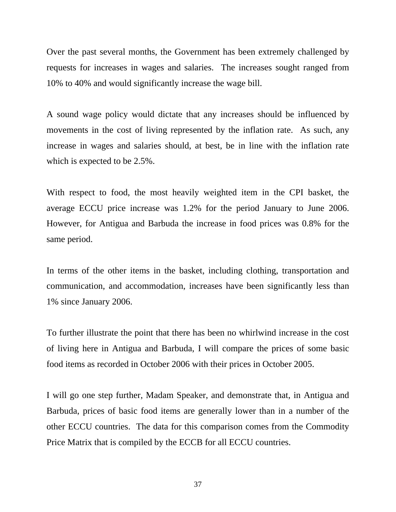Over the past several months, the Government has been extremely challenged by requests for increases in wages and salaries. The increases sought ranged from 10% to 40% and would significantly increase the wage bill.

A sound wage policy would dictate that any increases should be influenced by movements in the cost of living represented by the inflation rate. As such, any increase in wages and salaries should, at best, be in line with the inflation rate which is expected to be 2.5%.

With respect to food, the most heavily weighted item in the CPI basket, the average ECCU price increase was 1.2% for the period January to June 2006. However, for Antigua and Barbuda the increase in food prices was 0.8% for the same period.

In terms of the other items in the basket, including clothing, transportation and communication, and accommodation, increases have been significantly less than 1% since January 2006.

To further illustrate the point that there has been no whirlwind increase in the cost of living here in Antigua and Barbuda, I will compare the prices of some basic food items as recorded in October 2006 with their prices in October 2005.

I will go one step further, Madam Speaker, and demonstrate that, in Antigua and Barbuda, prices of basic food items are generally lower than in a number of the other ECCU countries. The data for this comparison comes from the Commodity Price Matrix that is compiled by the ECCB for all ECCU countries.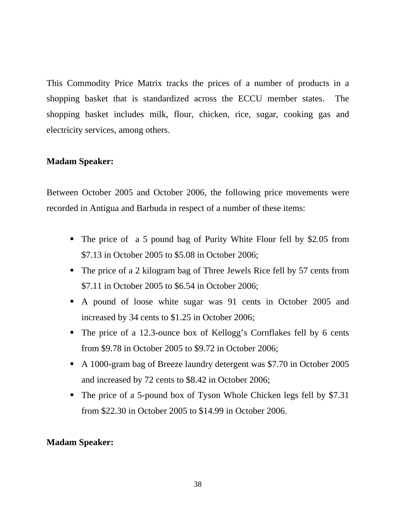This Commodity Price Matrix tracks the prices of a number of products in a shopping basket that is standardized across the ECCU member states. The shopping basket includes milk, flour, chicken, rice, sugar, cooking gas and electricity services, among others.

### **Madam Speaker:**

Between October 2005 and October 2006, the following price movements were recorded in Antigua and Barbuda in respect of a number of these items:

- The price of a 5 pound bag of Purity White Flour fell by \$2.05 from \$7.13 in October 2005 to \$5.08 in October 2006;
- The price of a 2 kilogram bag of Three Jewels Rice fell by 57 cents from \$7.11 in October 2005 to \$6.54 in October 2006;
- A pound of loose white sugar was 91 cents in October 2005 and increased by 34 cents to \$1.25 in October 2006;
- The price of a 12.3-ounce box of Kellogg's Cornflakes fell by 6 cents from \$9.78 in October 2005 to \$9.72 in October 2006;
- A 1000-gram bag of Breeze laundry detergent was \$7.70 in October 2005 and increased by 72 cents to \$8.42 in October 2006;
- The price of a 5-pound box of Tyson Whole Chicken legs fell by \$7.31 from \$22.30 in October 2005 to \$14.99 in October 2006.

### **Madam Speaker:**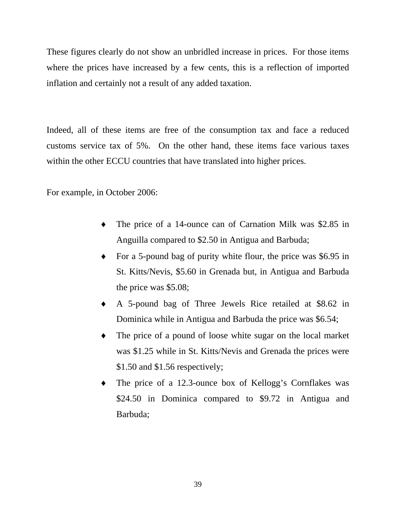These figures clearly do not show an unbridled increase in prices. For those items where the prices have increased by a few cents, this is a reflection of imported inflation and certainly not a result of any added taxation.

Indeed, all of these items are free of the consumption tax and face a reduced customs service tax of 5%. On the other hand, these items face various taxes within the other ECCU countries that have translated into higher prices.

For example, in October 2006:

- ♦ The price of a 14-ounce can of Carnation Milk was \$2.85 in Anguilla compared to \$2.50 in Antigua and Barbuda;
- ♦ For a 5-pound bag of purity white flour, the price was \$6.95 in St. Kitts/Nevis, \$5.60 in Grenada but, in Antigua and Barbuda the price was \$5.08;
- ♦ A 5-pound bag of Three Jewels Rice retailed at \$8.62 in Dominica while in Antigua and Barbuda the price was \$6.54;
- ♦ The price of a pound of loose white sugar on the local market was \$1.25 while in St. Kitts/Nevis and Grenada the prices were \$1.50 and \$1.56 respectively;
- ♦ The price of a 12.3-ounce box of Kellogg's Cornflakes was \$24.50 in Dominica compared to \$9.72 in Antigua and Barbuda;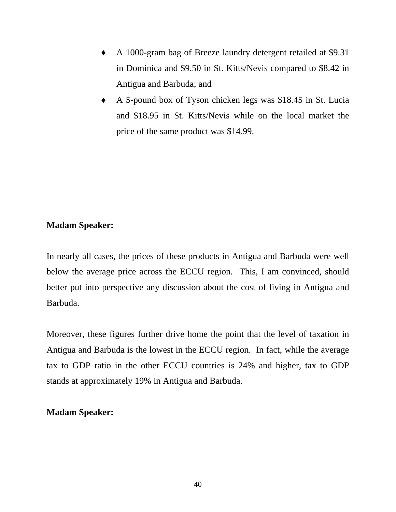- ♦ A 1000-gram bag of Breeze laundry detergent retailed at \$9.31 in Dominica and \$9.50 in St. Kitts/Nevis compared to \$8.42 in Antigua and Barbuda; and
- ♦ A 5-pound box of Tyson chicken legs was \$18.45 in St. Lucia and \$18.95 in St. Kitts/Nevis while on the local market the price of the same product was \$14.99.

In nearly all cases, the prices of these products in Antigua and Barbuda were well below the average price across the ECCU region. This, I am convinced, should better put into perspective any discussion about the cost of living in Antigua and Barbuda.

Moreover, these figures further drive home the point that the level of taxation in Antigua and Barbuda is the lowest in the ECCU region. In fact, while the average tax to GDP ratio in the other ECCU countries is 24% and higher, tax to GDP stands at approximately 19% in Antigua and Barbuda.

#### **Madam Speaker:**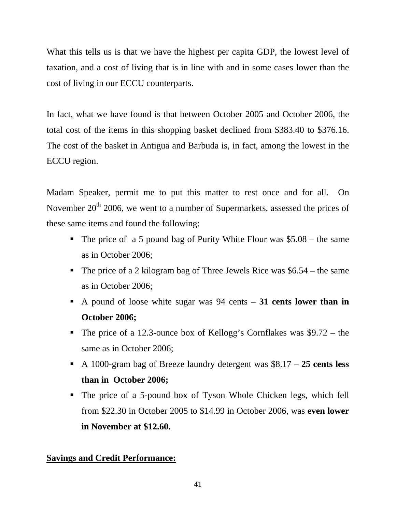What this tells us is that we have the highest per capita GDP, the lowest level of taxation, and a cost of living that is in line with and in some cases lower than the cost of living in our ECCU counterparts.

In fact, what we have found is that between October 2005 and October 2006, the total cost of the items in this shopping basket declined from \$383.40 to \$376.16. The cost of the basket in Antigua and Barbuda is, in fact, among the lowest in the ECCU region.

Madam Speaker, permit me to put this matter to rest once and for all. On November 20<sup>th</sup> 2006, we went to a number of Supermarkets, assessed the prices of these same items and found the following:

- The price of a 5 pound bag of Purity White Flour was  $$5.08 the same$ as in October 2006;
- The price of a 2 kilogram bag of Three Jewels Rice was  $$6.54 the same$ as in October 2006;
- A pound of loose white sugar was 94 cents **31 cents lower than in October 2006;**
- The price of a 12.3-ounce box of Kellogg's Cornflakes was \$9.72 the same as in October 2006;
- A 1000-gram bag of Breeze laundry detergent was \$8.17 **25 cents less than in October 2006;**
- The price of a 5-pound box of Tyson Whole Chicken legs, which fell from \$22.30 in October 2005 to \$14.99 in October 2006, was **even lower in November at \$12.60.**

## **Savings and Credit Performance:**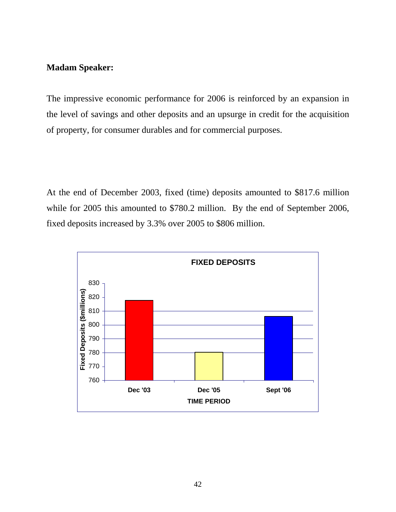The impressive economic performance for 2006 is reinforced by an expansion in the level of savings and other deposits and an upsurge in credit for the acquisition of property, for consumer durables and for commercial purposes.

At the end of December 2003, fixed (time) deposits amounted to \$817.6 million while for 2005 this amounted to \$780.2 million. By the end of September 2006, fixed deposits increased by 3.3% over 2005 to \$806 million.

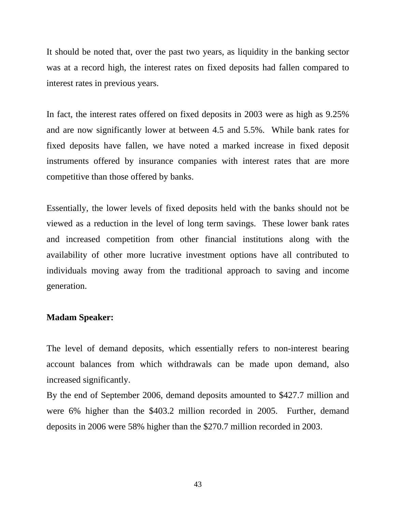It should be noted that, over the past two years, as liquidity in the banking sector was at a record high, the interest rates on fixed deposits had fallen compared to interest rates in previous years.

In fact, the interest rates offered on fixed deposits in 2003 were as high as 9.25% and are now significantly lower at between 4.5 and 5.5%. While bank rates for fixed deposits have fallen, we have noted a marked increase in fixed deposit instruments offered by insurance companies with interest rates that are more competitive than those offered by banks.

Essentially, the lower levels of fixed deposits held with the banks should not be viewed as a reduction in the level of long term savings. These lower bank rates and increased competition from other financial institutions along with the availability of other more lucrative investment options have all contributed to individuals moving away from the traditional approach to saving and income generation.

#### **Madam Speaker:**

The level of demand deposits, which essentially refers to non-interest bearing account balances from which withdrawals can be made upon demand, also increased significantly.

By the end of September 2006, demand deposits amounted to \$427.7 million and were 6% higher than the \$403.2 million recorded in 2005. Further, demand deposits in 2006 were 58% higher than the \$270.7 million recorded in 2003.

43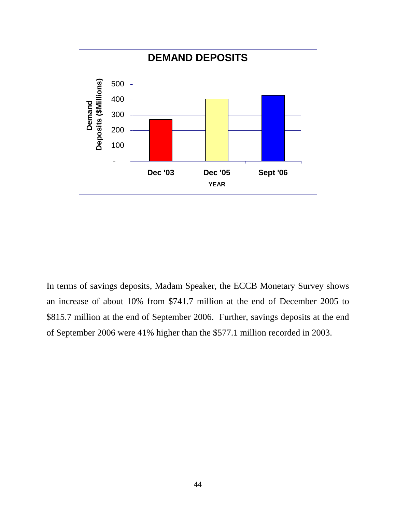

In terms of savings deposits, Madam Speaker, the ECCB Monetary Survey shows an increase of about 10% from \$741.7 million at the end of December 2005 to \$815.7 million at the end of September 2006. Further, savings deposits at the end of September 2006 were 41% higher than the \$577.1 million recorded in 2003.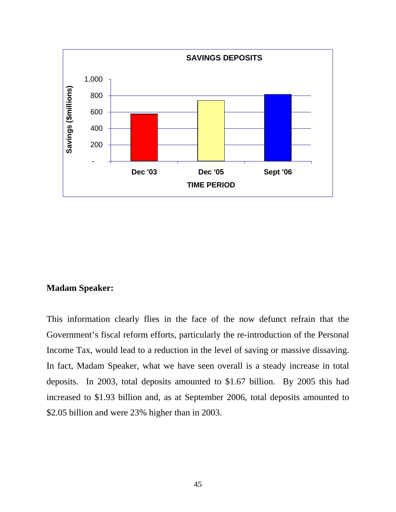

This information clearly flies in the face of the now defunct refrain that the Government's fiscal reform efforts, particularly the re-introduction of the Personal Income Tax, would lead to a reduction in the level of saving or massive dissaving. In fact, Madam Speaker, what we have seen overall is a steady increase in total deposits. In 2003, total deposits amounted to \$1.67 billion. By 2005 this had increased to \$1.93 billion and, as at September 2006, total deposits amounted to \$2.05 billion and were 23% higher than in 2003.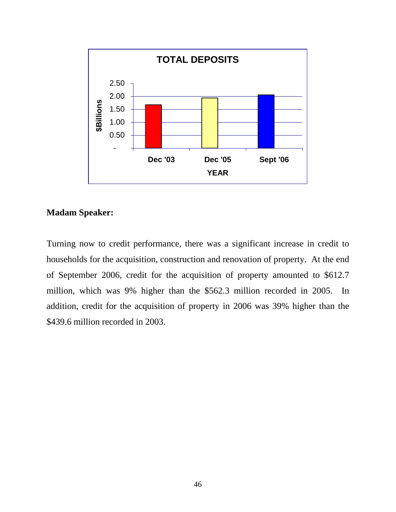

Turning now to credit performance, there was a significant increase in credit to households for the acquisition, construction and renovation of property. At the end of September 2006, credit for the acquisition of property amounted to \$612.7 million, which was 9% higher than the \$562.3 million recorded in 2005. In addition, credit for the acquisition of property in 2006 was 39% higher than the \$439.6 million recorded in 2003.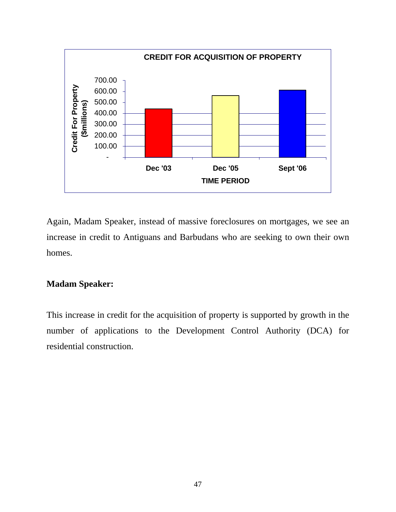

Again, Madam Speaker, instead of massive foreclosures on mortgages, we see an increase in credit to Antiguans and Barbudans who are seeking to own their own homes.

### **Madam Speaker:**

This increase in credit for the acquisition of property is supported by growth in the number of applications to the Development Control Authority (DCA) for residential construction.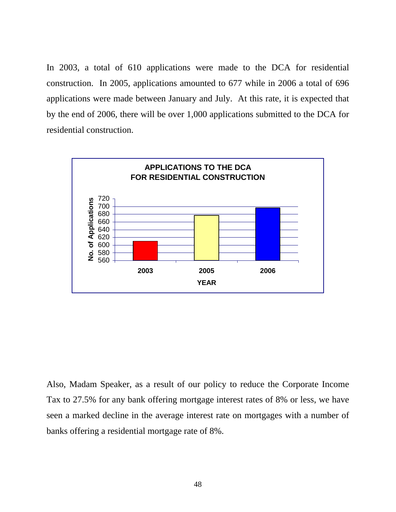In 2003, a total of 610 applications were made to the DCA for residential construction. In 2005, applications amounted to 677 while in 2006 a total of 696 applications were made between January and July. At this rate, it is expected that by the end of 2006, there will be over 1,000 applications submitted to the DCA for residential construction.



Also, Madam Speaker, as a result of our policy to reduce the Corporate Income Tax to 27.5% for any bank offering mortgage interest rates of 8% or less, we have seen a marked decline in the average interest rate on mortgages with a number of banks offering a residential mortgage rate of 8%.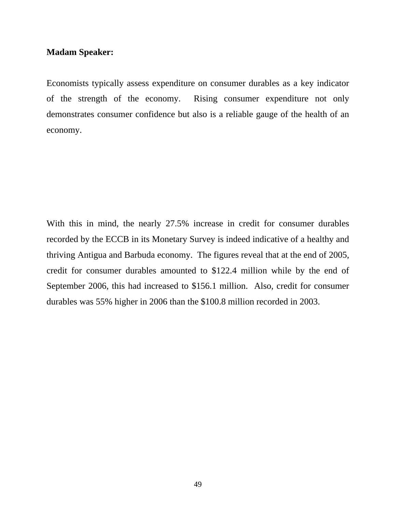Economists typically assess expenditure on consumer durables as a key indicator of the strength of the economy. Rising consumer expenditure not only demonstrates consumer confidence but also is a reliable gauge of the health of an economy.

With this in mind, the nearly 27.5% increase in credit for consumer durables recorded by the ECCB in its Monetary Survey is indeed indicative of a healthy and thriving Antigua and Barbuda economy. The figures reveal that at the end of 2005, credit for consumer durables amounted to \$122.4 million while by the end of September 2006, this had increased to \$156.1 million. Also, credit for consumer durables was 55% higher in 2006 than the \$100.8 million recorded in 2003.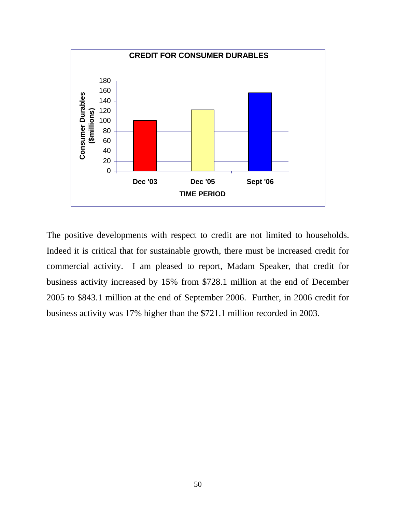

The positive developments with respect to credit are not limited to households. Indeed it is critical that for sustainable growth, there must be increased credit for commercial activity. I am pleased to report, Madam Speaker, that credit for business activity increased by 15% from \$728.1 million at the end of December 2005 to \$843.1 million at the end of September 2006. Further, in 2006 credit for business activity was 17% higher than the \$721.1 million recorded in 2003.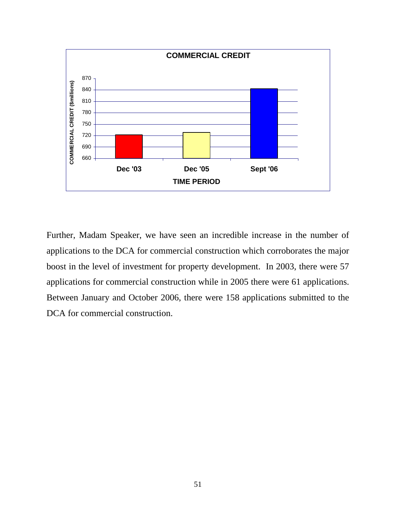

Further, Madam Speaker, we have seen an incredible increase in the number of applications to the DCA for commercial construction which corroborates the major boost in the level of investment for property development. In 2003, there were 57 applications for commercial construction while in 2005 there were 61 applications. Between January and October 2006, there were 158 applications submitted to the DCA for commercial construction.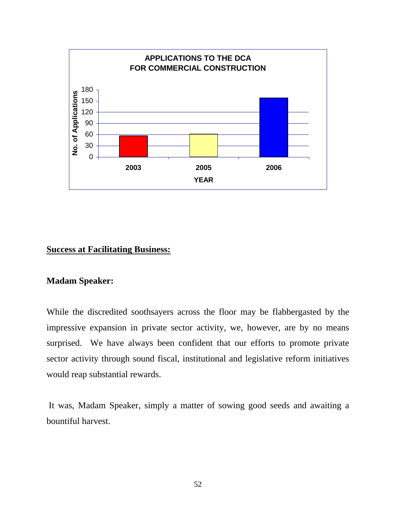

#### **Success at Facilitating Business:**

#### **Madam Speaker:**

While the discredited soothsayers across the floor may be flabbergasted by the impressive expansion in private sector activity, we, however, are by no means surprised. We have always been confident that our efforts to promote private sector activity through sound fiscal, institutional and legislative reform initiatives would reap substantial rewards.

 It was, Madam Speaker, simply a matter of sowing good seeds and awaiting a bountiful harvest.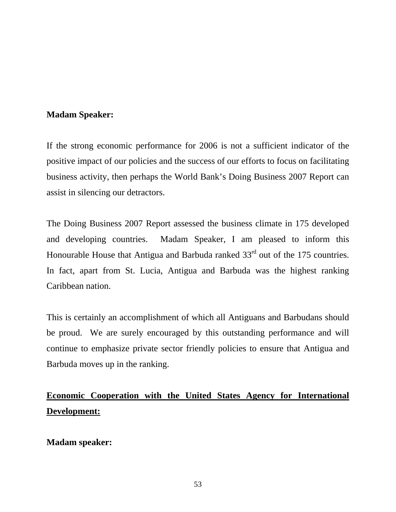If the strong economic performance for 2006 is not a sufficient indicator of the positive impact of our policies and the success of our efforts to focus on facilitating business activity, then perhaps the World Bank's Doing Business 2007 Report can assist in silencing our detractors.

The Doing Business 2007 Report assessed the business climate in 175 developed and developing countries. Madam Speaker, I am pleased to inform this Honourable House that Antigua and Barbuda ranked  $33<sup>rd</sup>$  out of the 175 countries. In fact, apart from St. Lucia, Antigua and Barbuda was the highest ranking Caribbean nation.

This is certainly an accomplishment of which all Antiguans and Barbudans should be proud. We are surely encouraged by this outstanding performance and will continue to emphasize private sector friendly policies to ensure that Antigua and Barbuda moves up in the ranking.

# **Economic Cooperation with the United States Agency for International Development:**

**Madam speaker:**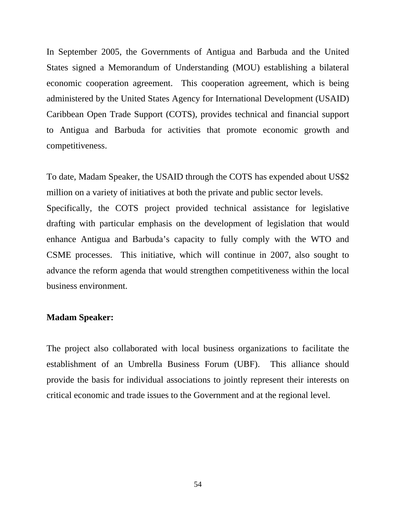In September 2005, the Governments of Antigua and Barbuda and the United States signed a Memorandum of Understanding (MOU) establishing a bilateral economic cooperation agreement. This cooperation agreement, which is being administered by the United States Agency for International Development (USAID) Caribbean Open Trade Support (COTS), provides technical and financial support to Antigua and Barbuda for activities that promote economic growth and competitiveness.

To date, Madam Speaker, the USAID through the COTS has expended about US\$2 million on a variety of initiatives at both the private and public sector levels.

Specifically, the COTS project provided technical assistance for legislative drafting with particular emphasis on the development of legislation that would enhance Antigua and Barbuda's capacity to fully comply with the WTO and CSME processes. This initiative, which will continue in 2007, also sought to advance the reform agenda that would strengthen competitiveness within the local business environment.

#### **Madam Speaker:**

The project also collaborated with local business organizations to facilitate the establishment of an Umbrella Business Forum (UBF). This alliance should provide the basis for individual associations to jointly represent their interests on critical economic and trade issues to the Government and at the regional level.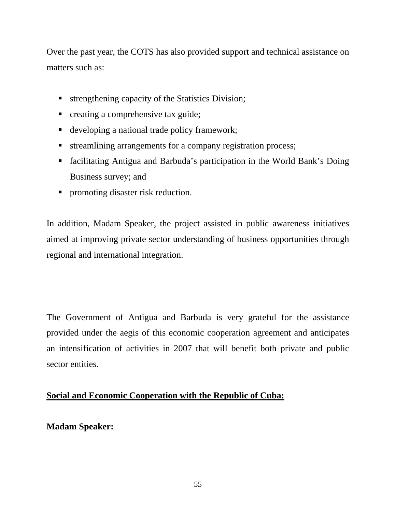Over the past year, the COTS has also provided support and technical assistance on matters such as:

- **strengthening capacity of the Statistics Division;**
- creating a comprehensive tax guide;
- developing a national trade policy framework;
- streamlining arrangements for a company registration process;
- facilitating Antigua and Barbuda's participation in the World Bank's Doing Business survey; and
- promoting disaster risk reduction.

In addition, Madam Speaker, the project assisted in public awareness initiatives aimed at improving private sector understanding of business opportunities through regional and international integration.

The Government of Antigua and Barbuda is very grateful for the assistance provided under the aegis of this economic cooperation agreement and anticipates an intensification of activities in 2007 that will benefit both private and public sector entities.

### **Social and Economic Cooperation with the Republic of Cuba:**

### **Madam Speaker:**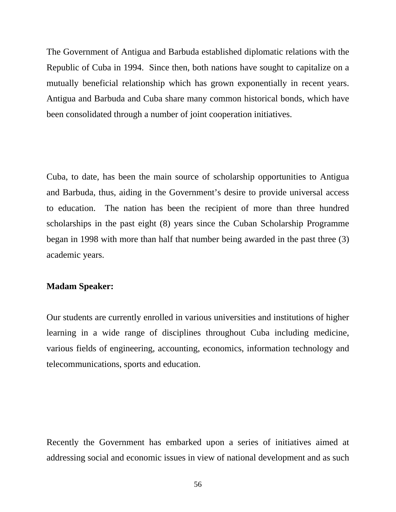The Government of Antigua and Barbuda established diplomatic relations with the Republic of Cuba in 1994. Since then, both nations have sought to capitalize on a mutually beneficial relationship which has grown exponentially in recent years. Antigua and Barbuda and Cuba share many common historical bonds, which have been consolidated through a number of joint cooperation initiatives.

Cuba, to date, has been the main source of scholarship opportunities to Antigua and Barbuda, thus, aiding in the Government's desire to provide universal access to education. The nation has been the recipient of more than three hundred scholarships in the past eight (8) years since the Cuban Scholarship Programme began in 1998 with more than half that number being awarded in the past three (3) academic years.

#### **Madam Speaker:**

Our students are currently enrolled in various universities and institutions of higher learning in a wide range of disciplines throughout Cuba including medicine, various fields of engineering, accounting, economics, information technology and telecommunications, sports and education.

Recently the Government has embarked upon a series of initiatives aimed at addressing social and economic issues in view of national development and as such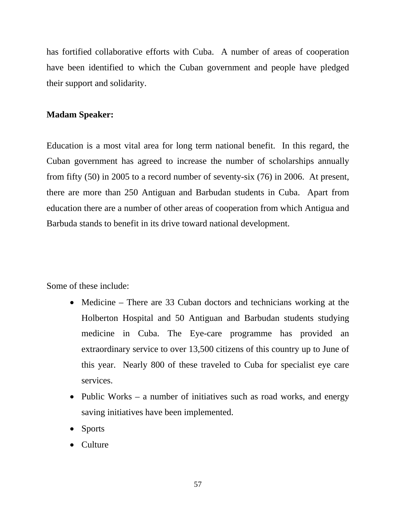has fortified collaborative efforts with Cuba. A number of areas of cooperation have been identified to which the Cuban government and people have pledged their support and solidarity.

#### **Madam Speaker:**

Education is a most vital area for long term national benefit. In this regard, the Cuban government has agreed to increase the number of scholarships annually from fifty (50) in 2005 to a record number of seventy-six (76) in 2006. At present, there are more than 250 Antiguan and Barbudan students in Cuba. Apart from education there are a number of other areas of cooperation from which Antigua and Barbuda stands to benefit in its drive toward national development.

Some of these include:

- Medicine There are 33 Cuban doctors and technicians working at the Holberton Hospital and 50 Antiguan and Barbudan students studying medicine in Cuba. The Eye-care programme has provided an extraordinary service to over 13,500 citizens of this country up to June of this year. Nearly 800 of these traveled to Cuba for specialist eye care services.
- Public Works a number of initiatives such as road works, and energy saving initiatives have been implemented.
- Sports
- Culture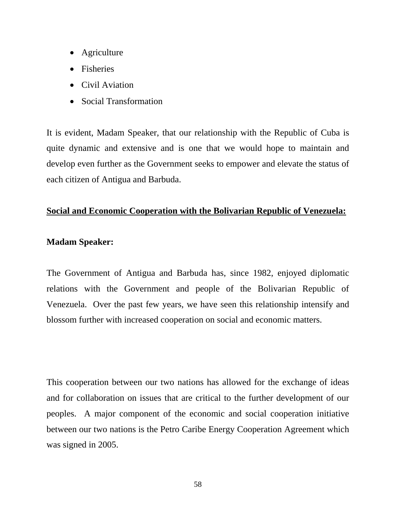- Agriculture
- Fisheries
- Civil Aviation
- Social Transformation

It is evident, Madam Speaker, that our relationship with the Republic of Cuba is quite dynamic and extensive and is one that we would hope to maintain and develop even further as the Government seeks to empower and elevate the status of each citizen of Antigua and Barbuda.

### **Social and Economic Cooperation with the Bolivarian Republic of Venezuela:**

### **Madam Speaker:**

The Government of Antigua and Barbuda has, since 1982, enjoyed diplomatic relations with the Government and people of the Bolivarian Republic of Venezuela. Over the past few years, we have seen this relationship intensify and blossom further with increased cooperation on social and economic matters.

This cooperation between our two nations has allowed for the exchange of ideas and for collaboration on issues that are critical to the further development of our peoples. A major component of the economic and social cooperation initiative between our two nations is the Petro Caribe Energy Cooperation Agreement which was signed in 2005.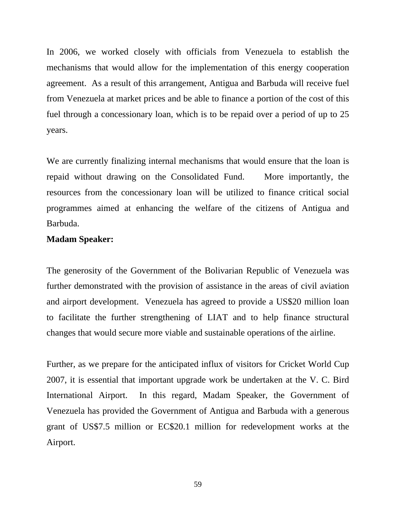In 2006, we worked closely with officials from Venezuela to establish the mechanisms that would allow for the implementation of this energy cooperation agreement. As a result of this arrangement, Antigua and Barbuda will receive fuel from Venezuela at market prices and be able to finance a portion of the cost of this fuel through a concessionary loan, which is to be repaid over a period of up to 25 years.

We are currently finalizing internal mechanisms that would ensure that the loan is repaid without drawing on the Consolidated Fund. More importantly, the resources from the concessionary loan will be utilized to finance critical social programmes aimed at enhancing the welfare of the citizens of Antigua and Barbuda.

#### **Madam Speaker:**

The generosity of the Government of the Bolivarian Republic of Venezuela was further demonstrated with the provision of assistance in the areas of civil aviation and airport development. Venezuela has agreed to provide a US\$20 million loan to facilitate the further strengthening of LIAT and to help finance structural changes that would secure more viable and sustainable operations of the airline.

Further, as we prepare for the anticipated influx of visitors for Cricket World Cup 2007, it is essential that important upgrade work be undertaken at the V. C. Bird International Airport. In this regard, Madam Speaker, the Government of Venezuela has provided the Government of Antigua and Barbuda with a generous grant of US\$7.5 million or EC\$20.1 million for redevelopment works at the Airport.

59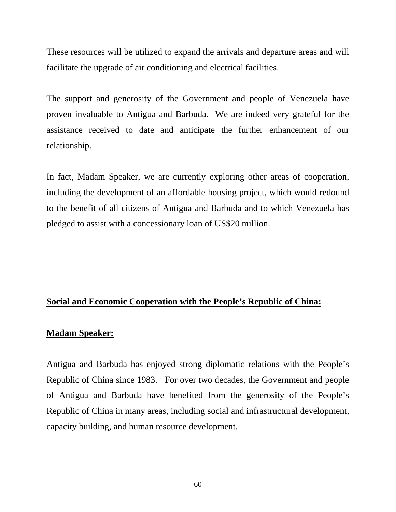These resources will be utilized to expand the arrivals and departure areas and will facilitate the upgrade of air conditioning and electrical facilities.

The support and generosity of the Government and people of Venezuela have proven invaluable to Antigua and Barbuda. We are indeed very grateful for the assistance received to date and anticipate the further enhancement of our relationship.

In fact, Madam Speaker, we are currently exploring other areas of cooperation, including the development of an affordable housing project, which would redound to the benefit of all citizens of Antigua and Barbuda and to which Venezuela has pledged to assist with a concessionary loan of US\$20 million.

#### **Social and Economic Cooperation with the People's Republic of China:**

#### **Madam Speaker:**

Antigua and Barbuda has enjoyed strong diplomatic relations with the People's Republic of China since 1983. For over two decades, the Government and people of Antigua and Barbuda have benefited from the generosity of the People's Republic of China in many areas, including social and infrastructural development, capacity building, and human resource development.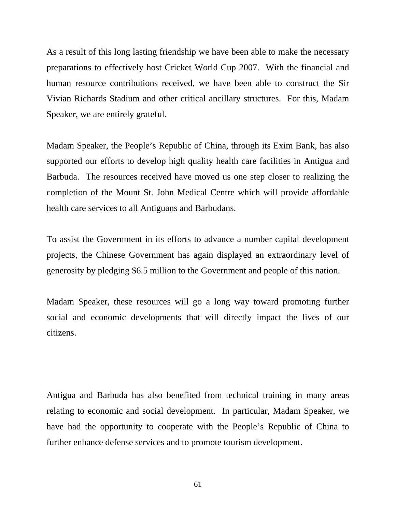As a result of this long lasting friendship we have been able to make the necessary preparations to effectively host Cricket World Cup 2007. With the financial and human resource contributions received, we have been able to construct the Sir Vivian Richards Stadium and other critical ancillary structures. For this, Madam Speaker, we are entirely grateful.

Madam Speaker, the People's Republic of China, through its Exim Bank, has also supported our efforts to develop high quality health care facilities in Antigua and Barbuda. The resources received have moved us one step closer to realizing the completion of the Mount St. John Medical Centre which will provide affordable health care services to all Antiguans and Barbudans.

To assist the Government in its efforts to advance a number capital development projects, the Chinese Government has again displayed an extraordinary level of generosity by pledging \$6.5 million to the Government and people of this nation.

Madam Speaker, these resources will go a long way toward promoting further social and economic developments that will directly impact the lives of our citizens.

Antigua and Barbuda has also benefited from technical training in many areas relating to economic and social development. In particular, Madam Speaker, we have had the opportunity to cooperate with the People's Republic of China to further enhance defense services and to promote tourism development.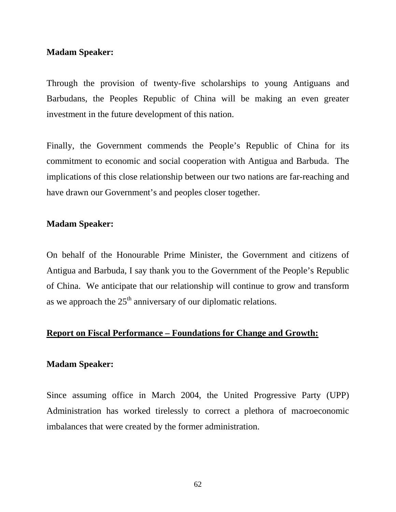Through the provision of twenty-five scholarships to young Antiguans and Barbudans, the Peoples Republic of China will be making an even greater investment in the future development of this nation.

Finally, the Government commends the People's Republic of China for its commitment to economic and social cooperation with Antigua and Barbuda. The implications of this close relationship between our two nations are far-reaching and have drawn our Government's and peoples closer together.

#### **Madam Speaker:**

On behalf of the Honourable Prime Minister, the Government and citizens of Antigua and Barbuda, I say thank you to the Government of the People's Republic of China. We anticipate that our relationship will continue to grow and transform as we approach the  $25<sup>th</sup>$  anniversary of our diplomatic relations.

#### **Report on Fiscal Performance – Foundations for Change and Growth:**

#### **Madam Speaker:**

Since assuming office in March 2004, the United Progressive Party (UPP) Administration has worked tirelessly to correct a plethora of macroeconomic imbalances that were created by the former administration.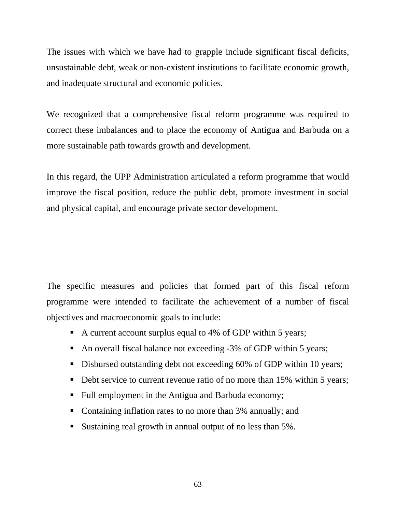The issues with which we have had to grapple include significant fiscal deficits, unsustainable debt, weak or non-existent institutions to facilitate economic growth, and inadequate structural and economic policies.

We recognized that a comprehensive fiscal reform programme was required to correct these imbalances and to place the economy of Antigua and Barbuda on a more sustainable path towards growth and development.

In this regard, the UPP Administration articulated a reform programme that would improve the fiscal position, reduce the public debt, promote investment in social and physical capital, and encourage private sector development.

The specific measures and policies that formed part of this fiscal reform programme were intended to facilitate the achievement of a number of fiscal objectives and macroeconomic goals to include:

- A current account surplus equal to 4% of GDP within 5 years;
- An overall fiscal balance not exceeding -3% of GDP within 5 years;
- Disbursed outstanding debt not exceeding 60% of GDP within 10 years;
- Debt service to current revenue ratio of no more than 15% within 5 years;
- Full employment in the Antigua and Barbuda economy;
- Containing inflation rates to no more than 3% annually; and
- Sustaining real growth in annual output of no less than 5%.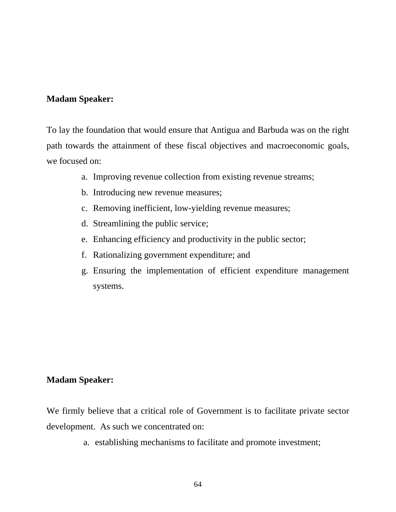To lay the foundation that would ensure that Antigua and Barbuda was on the right path towards the attainment of these fiscal objectives and macroeconomic goals, we focused on:

- a. Improving revenue collection from existing revenue streams;
- b. Introducing new revenue measures;
- c. Removing inefficient, low-yielding revenue measures;
- d. Streamlining the public service;
- e. Enhancing efficiency and productivity in the public sector;
- f. Rationalizing government expenditure; and
- g. Ensuring the implementation of efficient expenditure management systems.

### **Madam Speaker:**

We firmly believe that a critical role of Government is to facilitate private sector development. As such we concentrated on:

a. establishing mechanisms to facilitate and promote investment;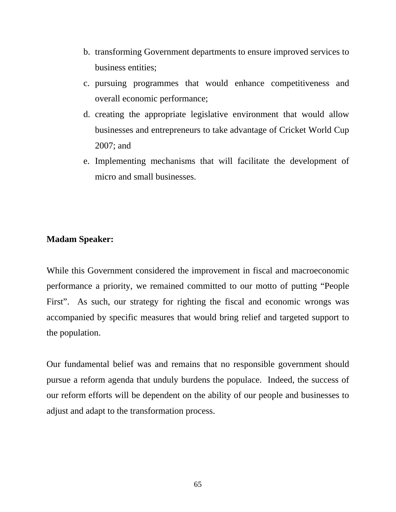- b. transforming Government departments to ensure improved services to business entities;
- c. pursuing programmes that would enhance competitiveness and overall economic performance;
- d. creating the appropriate legislative environment that would allow businesses and entrepreneurs to take advantage of Cricket World Cup 2007; and
- e. Implementing mechanisms that will facilitate the development of micro and small businesses.

While this Government considered the improvement in fiscal and macroeconomic performance a priority, we remained committed to our motto of putting "People First". As such, our strategy for righting the fiscal and economic wrongs was accompanied by specific measures that would bring relief and targeted support to the population.

Our fundamental belief was and remains that no responsible government should pursue a reform agenda that unduly burdens the populace. Indeed, the success of our reform efforts will be dependent on the ability of our people and businesses to adjust and adapt to the transformation process.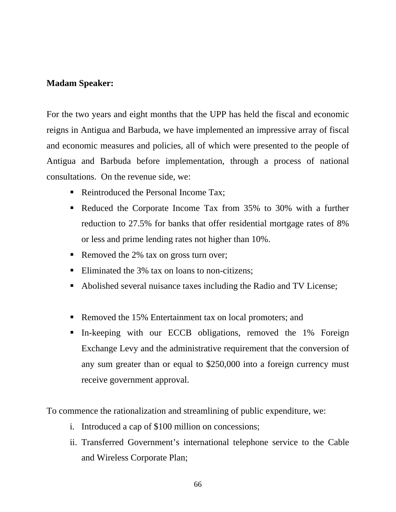For the two years and eight months that the UPP has held the fiscal and economic reigns in Antigua and Barbuda, we have implemented an impressive array of fiscal and economic measures and policies, all of which were presented to the people of Antigua and Barbuda before implementation, through a process of national consultations. On the revenue side, we:

- Reintroduced the Personal Income Tax:
- Reduced the Corporate Income Tax from 35% to 30% with a further reduction to 27.5% for banks that offer residential mortgage rates of 8% or less and prime lending rates not higher than 10%.
- Removed the 2% tax on gross turn over;
- Eliminated the 3% tax on loans to non-citizens;
- Abolished several nuisance taxes including the Radio and TV License;
- Removed the 15% Entertainment tax on local promoters; and
- In-keeping with our ECCB obligations, removed the 1% Foreign Exchange Levy and the administrative requirement that the conversion of any sum greater than or equal to \$250,000 into a foreign currency must receive government approval.

To commence the rationalization and streamlining of public expenditure, we:

- i. Introduced a cap of \$100 million on concessions;
- ii. Transferred Government's international telephone service to the Cable and Wireless Corporate Plan;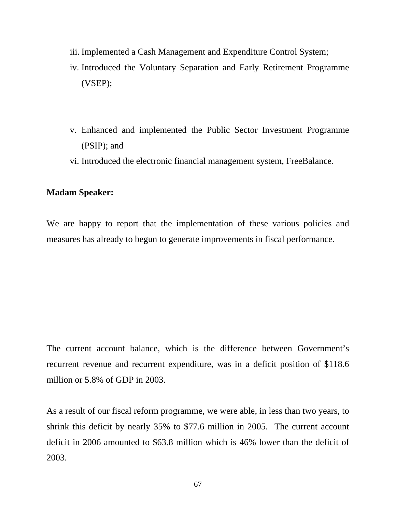- iii. Implemented a Cash Management and Expenditure Control System;
- iv. Introduced the Voluntary Separation and Early Retirement Programme (VSEP);
- v. Enhanced and implemented the Public Sector Investment Programme (PSIP); and
- vi. Introduced the electronic financial management system, FreeBalance.

We are happy to report that the implementation of these various policies and measures has already to begun to generate improvements in fiscal performance.

The current account balance, which is the difference between Government's recurrent revenue and recurrent expenditure, was in a deficit position of \$118.6 million or 5.8% of GDP in 2003.

As a result of our fiscal reform programme, we were able, in less than two years, to shrink this deficit by nearly 35% to \$77.6 million in 2005. The current account deficit in 2006 amounted to \$63.8 million which is 46% lower than the deficit of 2003.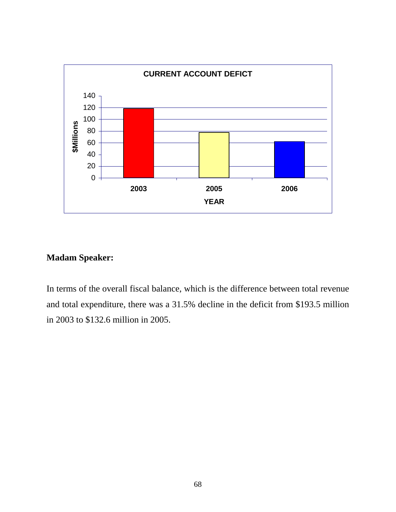

In terms of the overall fiscal balance, which is the difference between total revenue and total expenditure, there was a 31.5% decline in the deficit from \$193.5 million in 2003 to \$132.6 million in 2005.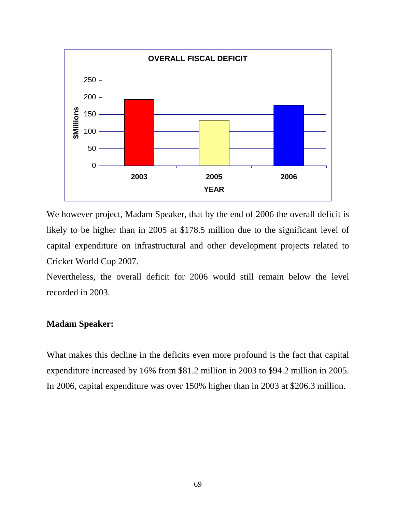

We however project, Madam Speaker, that by the end of 2006 the overall deficit is likely to be higher than in 2005 at \$178.5 million due to the significant level of capital expenditure on infrastructural and other development projects related to Cricket World Cup 2007.

Nevertheless, the overall deficit for 2006 would still remain below the level recorded in 2003.

#### **Madam Speaker:**

What makes this decline in the deficits even more profound is the fact that capital expenditure increased by 16% from \$81.2 million in 2003 to \$94.2 million in 2005. In 2006, capital expenditure was over 150% higher than in 2003 at \$206.3 million.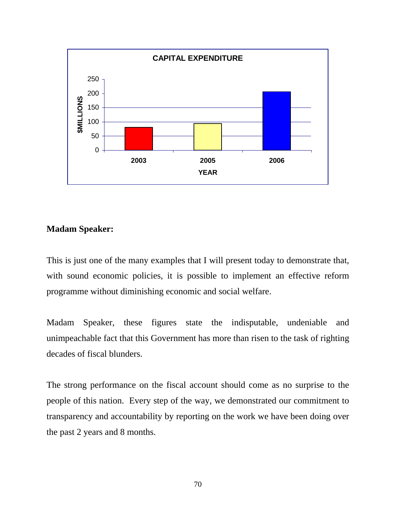

This is just one of the many examples that I will present today to demonstrate that, with sound economic policies, it is possible to implement an effective reform programme without diminishing economic and social welfare.

Madam Speaker, these figures state the indisputable, undeniable and unimpeachable fact that this Government has more than risen to the task of righting decades of fiscal blunders.

The strong performance on the fiscal account should come as no surprise to the people of this nation. Every step of the way, we demonstrated our commitment to transparency and accountability by reporting on the work we have been doing over the past 2 years and 8 months.

70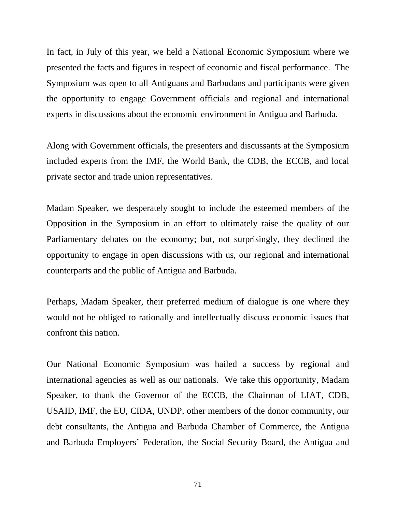In fact, in July of this year, we held a National Economic Symposium where we presented the facts and figures in respect of economic and fiscal performance. The Symposium was open to all Antiguans and Barbudans and participants were given the opportunity to engage Government officials and regional and international experts in discussions about the economic environment in Antigua and Barbuda.

Along with Government officials, the presenters and discussants at the Symposium included experts from the IMF, the World Bank, the CDB, the ECCB, and local private sector and trade union representatives.

Madam Speaker, we desperately sought to include the esteemed members of the Opposition in the Symposium in an effort to ultimately raise the quality of our Parliamentary debates on the economy; but, not surprisingly, they declined the opportunity to engage in open discussions with us, our regional and international counterparts and the public of Antigua and Barbuda.

Perhaps, Madam Speaker, their preferred medium of dialogue is one where they would not be obliged to rationally and intellectually discuss economic issues that confront this nation.

Our National Economic Symposium was hailed a success by regional and international agencies as well as our nationals. We take this opportunity, Madam Speaker, to thank the Governor of the ECCB, the Chairman of LIAT, CDB, USAID, IMF, the EU, CIDA, UNDP, other members of the donor community, our debt consultants, the Antigua and Barbuda Chamber of Commerce, the Antigua and Barbuda Employers' Federation, the Social Security Board, the Antigua and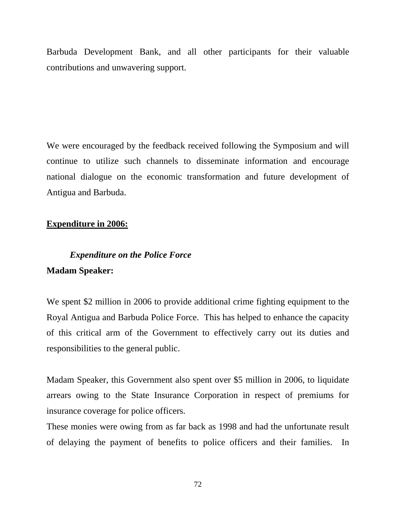Barbuda Development Bank, and all other participants for their valuable contributions and unwavering support.

We were encouraged by the feedback received following the Symposium and will continue to utilize such channels to disseminate information and encourage national dialogue on the economic transformation and future development of Antigua and Barbuda.

#### **Expenditure in 2006:**

# *Expenditure on the Police Force*  **Madam Speaker:**

We spent \$2 million in 2006 to provide additional crime fighting equipment to the Royal Antigua and Barbuda Police Force. This has helped to enhance the capacity of this critical arm of the Government to effectively carry out its duties and responsibilities to the general public.

Madam Speaker, this Government also spent over \$5 million in 2006, to liquidate arrears owing to the State Insurance Corporation in respect of premiums for insurance coverage for police officers.

These monies were owing from as far back as 1998 and had the unfortunate result of delaying the payment of benefits to police officers and their families. In

72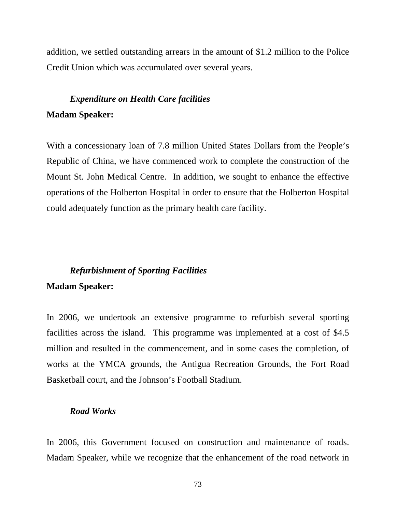addition, we settled outstanding arrears in the amount of \$1.2 million to the Police Credit Union which was accumulated over several years.

# *Expenditure on Health Care facilities*  **Madam Speaker:**

With a concessionary loan of 7.8 million United States Dollars from the People's Republic of China, we have commenced work to complete the construction of the Mount St. John Medical Centre. In addition, we sought to enhance the effective operations of the Holberton Hospital in order to ensure that the Holberton Hospital could adequately function as the primary health care facility.

#### *Refurbishment of Sporting Facilities*

#### **Madam Speaker:**

In 2006, we undertook an extensive programme to refurbish several sporting facilities across the island. This programme was implemented at a cost of \$4.5 million and resulted in the commencement, and in some cases the completion, of works at the YMCA grounds, the Antigua Recreation Grounds, the Fort Road Basketball court, and the Johnson's Football Stadium.

#### *Road Works*

In 2006, this Government focused on construction and maintenance of roads. Madam Speaker, while we recognize that the enhancement of the road network in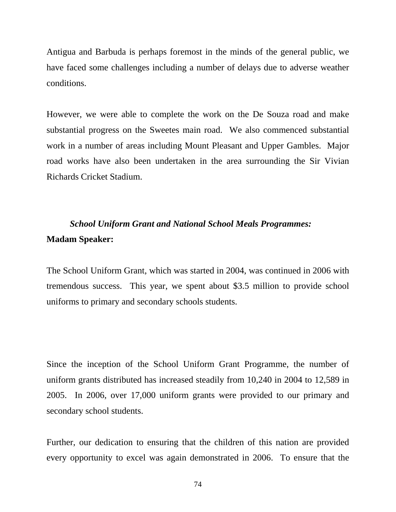Antigua and Barbuda is perhaps foremost in the minds of the general public, we have faced some challenges including a number of delays due to adverse weather conditions.

However, we were able to complete the work on the De Souza road and make substantial progress on the Sweetes main road. We also commenced substantial work in a number of areas including Mount Pleasant and Upper Gambles. Major road works have also been undertaken in the area surrounding the Sir Vivian Richards Cricket Stadium.

# *School Uniform Grant and National School Meals Programmes:*  **Madam Speaker:**

The School Uniform Grant, which was started in 2004, was continued in 2006 with tremendous success. This year, we spent about \$3.5 million to provide school uniforms to primary and secondary schools students.

Since the inception of the School Uniform Grant Programme, the number of uniform grants distributed has increased steadily from 10,240 in 2004 to 12,589 in 2005. In 2006, over 17,000 uniform grants were provided to our primary and secondary school students.

Further, our dedication to ensuring that the children of this nation are provided every opportunity to excel was again demonstrated in 2006. To ensure that the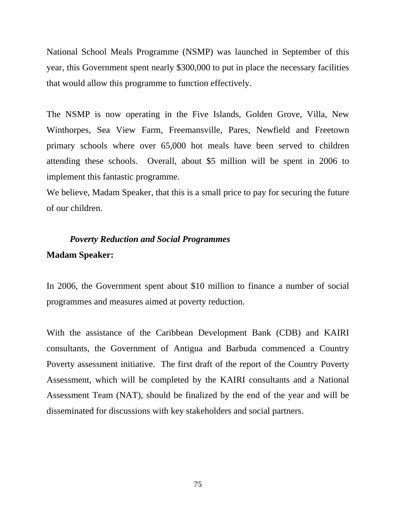National School Meals Programme (NSMP) was launched in September of this year, this Government spent nearly \$300,000 to put in place the necessary facilities that would allow this programme to function effectively.

The NSMP is now operating in the Five Islands, Golden Grove, Villa, New Winthorpes, Sea View Farm, Freemansville, Pares, Newfield and Freetown primary schools where over 65,000 hot meals have been served to children attending these schools. Overall, about \$5 million will be spent in 2006 to implement this fantastic programme.

We believe, Madam Speaker, that this is a small price to pay for securing the future of our children.

# *Poverty Reduction and Social Programmes* **Madam Speaker:**

In 2006, the Government spent about \$10 million to finance a number of social programmes and measures aimed at poverty reduction.

With the assistance of the Caribbean Development Bank (CDB) and KAIRI consultants, the Government of Antigua and Barbuda commenced a Country Poverty assessment initiative. The first draft of the report of the Country Poverty Assessment, which will be completed by the KAIRI consultants and a National Assessment Team (NAT), should be finalized by the end of the year and will be disseminated for discussions with key stakeholders and social partners.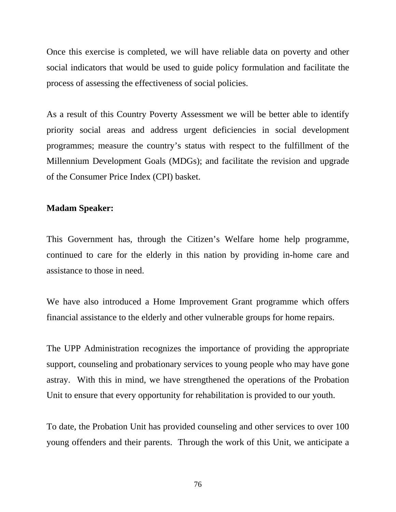Once this exercise is completed, we will have reliable data on poverty and other social indicators that would be used to guide policy formulation and facilitate the process of assessing the effectiveness of social policies.

As a result of this Country Poverty Assessment we will be better able to identify priority social areas and address urgent deficiencies in social development programmes; measure the country's status with respect to the fulfillment of the Millennium Development Goals (MDGs); and facilitate the revision and upgrade of the Consumer Price Index (CPI) basket.

#### **Madam Speaker:**

This Government has, through the Citizen's Welfare home help programme, continued to care for the elderly in this nation by providing in-home care and assistance to those in need.

We have also introduced a Home Improvement Grant programme which offers financial assistance to the elderly and other vulnerable groups for home repairs.

The UPP Administration recognizes the importance of providing the appropriate support, counseling and probationary services to young people who may have gone astray. With this in mind, we have strengthened the operations of the Probation Unit to ensure that every opportunity for rehabilitation is provided to our youth.

To date, the Probation Unit has provided counseling and other services to over 100 young offenders and their parents. Through the work of this Unit, we anticipate a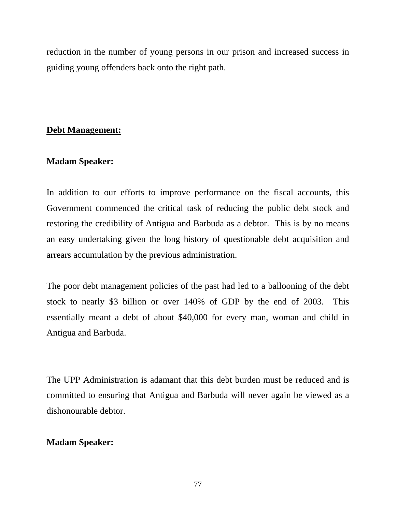reduction in the number of young persons in our prison and increased success in guiding young offenders back onto the right path.

# **Debt Management:**

# **Madam Speaker:**

In addition to our efforts to improve performance on the fiscal accounts, this Government commenced the critical task of reducing the public debt stock and restoring the credibility of Antigua and Barbuda as a debtor. This is by no means an easy undertaking given the long history of questionable debt acquisition and arrears accumulation by the previous administration.

The poor debt management policies of the past had led to a ballooning of the debt stock to nearly \$3 billion or over 140% of GDP by the end of 2003. This essentially meant a debt of about \$40,000 for every man, woman and child in Antigua and Barbuda.

The UPP Administration is adamant that this debt burden must be reduced and is committed to ensuring that Antigua and Barbuda will never again be viewed as a dishonourable debtor.

# **Madam Speaker:**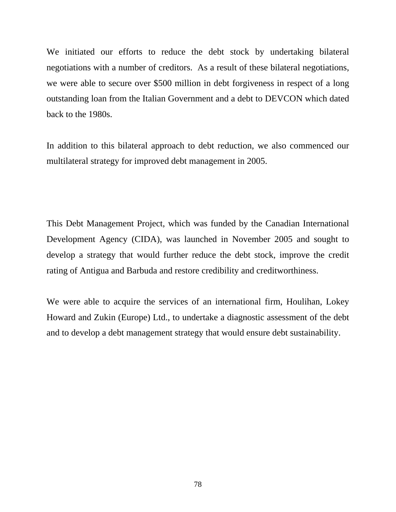We initiated our efforts to reduce the debt stock by undertaking bilateral negotiations with a number of creditors. As a result of these bilateral negotiations, we were able to secure over \$500 million in debt forgiveness in respect of a long outstanding loan from the Italian Government and a debt to DEVCON which dated back to the 1980s.

In addition to this bilateral approach to debt reduction, we also commenced our multilateral strategy for improved debt management in 2005.

This Debt Management Project, which was funded by the Canadian International Development Agency (CIDA), was launched in November 2005 and sought to develop a strategy that would further reduce the debt stock, improve the credit rating of Antigua and Barbuda and restore credibility and creditworthiness.

We were able to acquire the services of an international firm, Houlihan, Lokey Howard and Zukin (Europe) Ltd., to undertake a diagnostic assessment of the debt and to develop a debt management strategy that would ensure debt sustainability.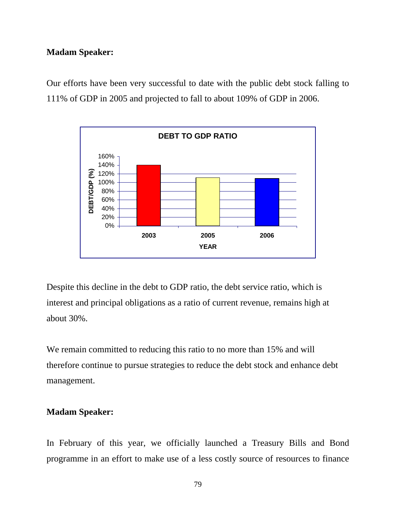### **Madam Speaker:**

Our efforts have been very successful to date with the public debt stock falling to 111% of GDP in 2005 and projected to fall to about 109% of GDP in 2006.



Despite this decline in the debt to GDP ratio, the debt service ratio, which is interest and principal obligations as a ratio of current revenue, remains high at about 30%.

We remain committed to reducing this ratio to no more than 15% and will therefore continue to pursue strategies to reduce the debt stock and enhance debt management.

### **Madam Speaker:**

In February of this year, we officially launched a Treasury Bills and Bond programme in an effort to make use of a less costly source of resources to finance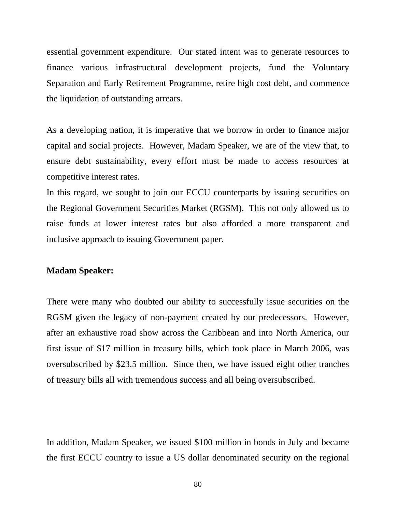essential government expenditure. Our stated intent was to generate resources to finance various infrastructural development projects, fund the Voluntary Separation and Early Retirement Programme, retire high cost debt, and commence the liquidation of outstanding arrears.

As a developing nation, it is imperative that we borrow in order to finance major capital and social projects. However, Madam Speaker, we are of the view that, to ensure debt sustainability, every effort must be made to access resources at competitive interest rates.

In this regard, we sought to join our ECCU counterparts by issuing securities on the Regional Government Securities Market (RGSM). This not only allowed us to raise funds at lower interest rates but also afforded a more transparent and inclusive approach to issuing Government paper.

#### **Madam Speaker:**

There were many who doubted our ability to successfully issue securities on the RGSM given the legacy of non-payment created by our predecessors. However, after an exhaustive road show across the Caribbean and into North America, our first issue of \$17 million in treasury bills, which took place in March 2006, was oversubscribed by \$23.5 million. Since then, we have issued eight other tranches of treasury bills all with tremendous success and all being oversubscribed.

In addition, Madam Speaker, we issued \$100 million in bonds in July and became the first ECCU country to issue a US dollar denominated security on the regional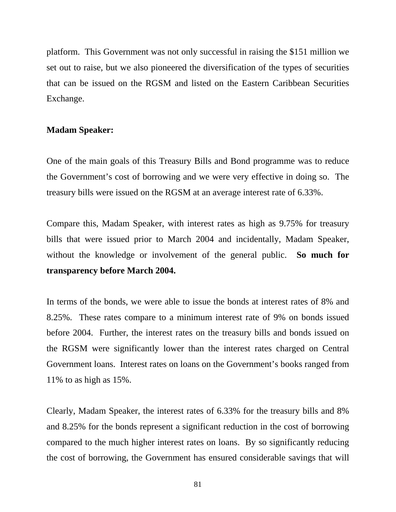platform. This Government was not only successful in raising the \$151 million we set out to raise, but we also pioneered the diversification of the types of securities that can be issued on the RGSM and listed on the Eastern Caribbean Securities Exchange.

#### **Madam Speaker:**

One of the main goals of this Treasury Bills and Bond programme was to reduce the Government's cost of borrowing and we were very effective in doing so. The treasury bills were issued on the RGSM at an average interest rate of 6.33%.

Compare this, Madam Speaker, with interest rates as high as 9.75% for treasury bills that were issued prior to March 2004 and incidentally, Madam Speaker, without the knowledge or involvement of the general public. **So much for transparency before March 2004.**

In terms of the bonds, we were able to issue the bonds at interest rates of 8% and 8.25%. These rates compare to a minimum interest rate of 9% on bonds issued before 2004. Further, the interest rates on the treasury bills and bonds issued on the RGSM were significantly lower than the interest rates charged on Central Government loans. Interest rates on loans on the Government's books ranged from 11% to as high as 15%.

Clearly, Madam Speaker, the interest rates of 6.33% for the treasury bills and 8% and 8.25% for the bonds represent a significant reduction in the cost of borrowing compared to the much higher interest rates on loans. By so significantly reducing the cost of borrowing, the Government has ensured considerable savings that will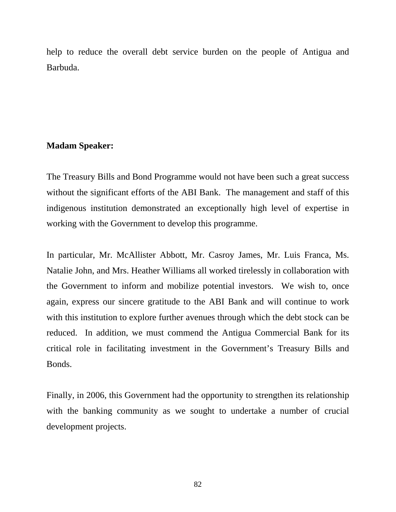help to reduce the overall debt service burden on the people of Antigua and Barbuda.

## **Madam Speaker:**

The Treasury Bills and Bond Programme would not have been such a great success without the significant efforts of the ABI Bank. The management and staff of this indigenous institution demonstrated an exceptionally high level of expertise in working with the Government to develop this programme.

In particular, Mr. McAllister Abbott, Mr. Casroy James, Mr. Luis Franca, Ms. Natalie John, and Mrs. Heather Williams all worked tirelessly in collaboration with the Government to inform and mobilize potential investors. We wish to, once again, express our sincere gratitude to the ABI Bank and will continue to work with this institution to explore further avenues through which the debt stock can be reduced. In addition, we must commend the Antigua Commercial Bank for its critical role in facilitating investment in the Government's Treasury Bills and Bonds.

Finally, in 2006, this Government had the opportunity to strengthen its relationship with the banking community as we sought to undertake a number of crucial development projects.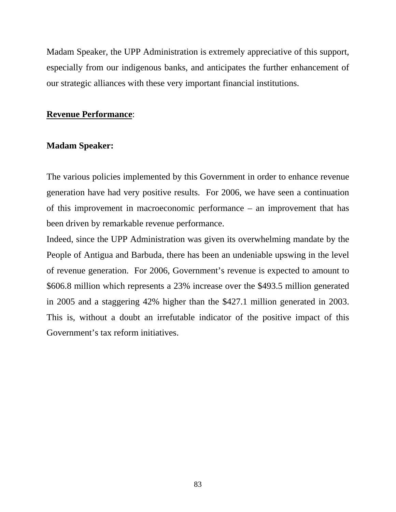Madam Speaker, the UPP Administration is extremely appreciative of this support, especially from our indigenous banks, and anticipates the further enhancement of our strategic alliances with these very important financial institutions.

#### **Revenue Performance**:

#### **Madam Speaker:**

The various policies implemented by this Government in order to enhance revenue generation have had very positive results. For 2006, we have seen a continuation of this improvement in macroeconomic performance – an improvement that has been driven by remarkable revenue performance.

Indeed, since the UPP Administration was given its overwhelming mandate by the People of Antigua and Barbuda, there has been an undeniable upswing in the level of revenue generation. For 2006, Government's revenue is expected to amount to \$606.8 million which represents a 23% increase over the \$493.5 million generated in 2005 and a staggering 42% higher than the \$427.1 million generated in 2003. This is, without a doubt an irrefutable indicator of the positive impact of this Government's tax reform initiatives.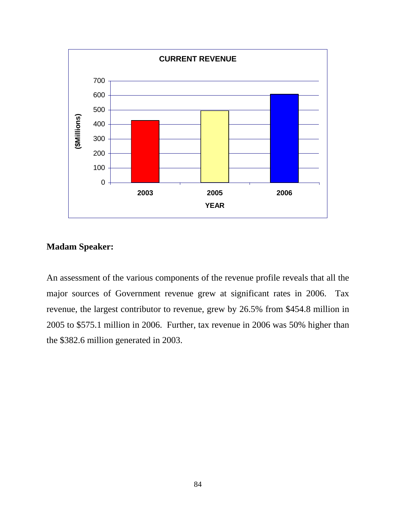

# **Madam Speaker:**

An assessment of the various components of the revenue profile reveals that all the major sources of Government revenue grew at significant rates in 2006. Tax revenue, the largest contributor to revenue, grew by 26.5% from \$454.8 million in 2005 to \$575.1 million in 2006. Further, tax revenue in 2006 was 50% higher than the \$382.6 million generated in 2003.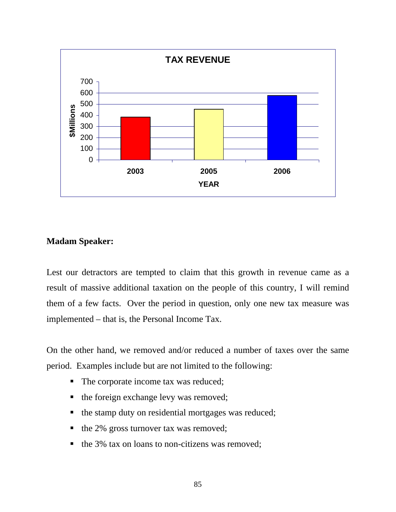

# **Madam Speaker:**

Lest our detractors are tempted to claim that this growth in revenue came as a result of massive additional taxation on the people of this country, I will remind them of a few facts. Over the period in question, only one new tax measure was implemented – that is, the Personal Income Tax.

On the other hand, we removed and/or reduced a number of taxes over the same period. Examples include but are not limited to the following:

- The corporate income tax was reduced;
- the foreign exchange levy was removed;
- $\blacksquare$  the stamp duty on residential mortgages was reduced;
- $\blacksquare$  the 2% gross turnover tax was removed;
- $\blacksquare$  the 3% tax on loans to non-citizens was removed;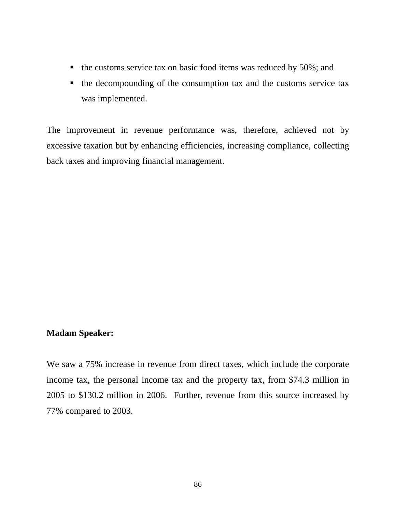- $\blacksquare$  the customs service tax on basic food items was reduced by 50%; and
- the decompounding of the consumption tax and the customs service tax was implemented.

The improvement in revenue performance was, therefore, achieved not by excessive taxation but by enhancing efficiencies, increasing compliance, collecting back taxes and improving financial management.

# **Madam Speaker:**

We saw a 75% increase in revenue from direct taxes, which include the corporate income tax, the personal income tax and the property tax, from \$74.3 million in 2005 to \$130.2 million in 2006. Further, revenue from this source increased by 77% compared to 2003.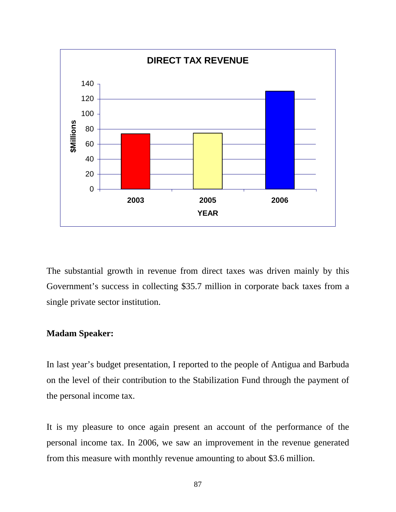

The substantial growth in revenue from direct taxes was driven mainly by this Government's success in collecting \$35.7 million in corporate back taxes from a single private sector institution.

## **Madam Speaker:**

In last year's budget presentation, I reported to the people of Antigua and Barbuda on the level of their contribution to the Stabilization Fund through the payment of the personal income tax.

It is my pleasure to once again present an account of the performance of the personal income tax. In 2006, we saw an improvement in the revenue generated from this measure with monthly revenue amounting to about \$3.6 million.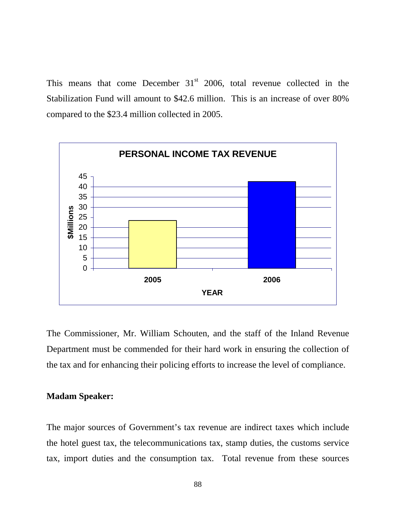This means that come December  $31<sup>st</sup>$  2006, total revenue collected in the Stabilization Fund will amount to \$42.6 million. This is an increase of over 80% compared to the \$23.4 million collected in 2005.



The Commissioner, Mr. William Schouten, and the staff of the Inland Revenue Department must be commended for their hard work in ensuring the collection of the tax and for enhancing their policing efforts to increase the level of compliance.

## **Madam Speaker:**

The major sources of Government's tax revenue are indirect taxes which include the hotel guest tax, the telecommunications tax, stamp duties, the customs service tax, import duties and the consumption tax. Total revenue from these sources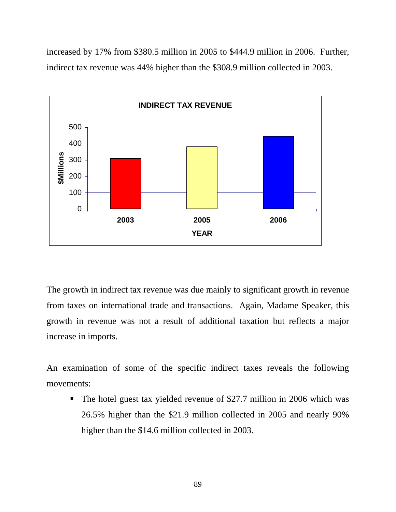increased by 17% from \$380.5 million in 2005 to \$444.9 million in 2006. Further, indirect tax revenue was 44% higher than the \$308.9 million collected in 2003.



The growth in indirect tax revenue was due mainly to significant growth in revenue from taxes on international trade and transactions. Again, Madame Speaker, this growth in revenue was not a result of additional taxation but reflects a major increase in imports.

An examination of some of the specific indirect taxes reveals the following movements:

• The hotel guest tax yielded revenue of \$27.7 million in 2006 which was 26.5% higher than the \$21.9 million collected in 2005 and nearly 90% higher than the \$14.6 million collected in 2003.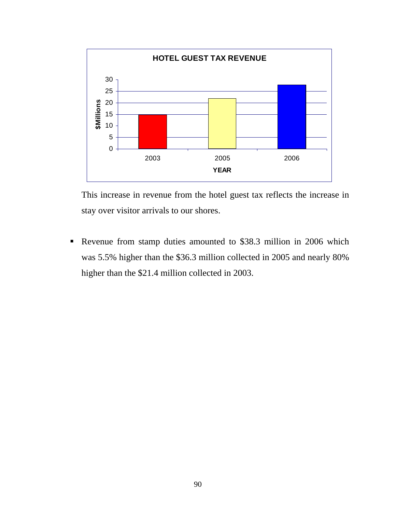

This increase in revenue from the hotel guest tax reflects the increase in stay over visitor arrivals to our shores.

 Revenue from stamp duties amounted to \$38.3 million in 2006 which was 5.5% higher than the \$36.3 million collected in 2005 and nearly 80% higher than the \$21.4 million collected in 2003.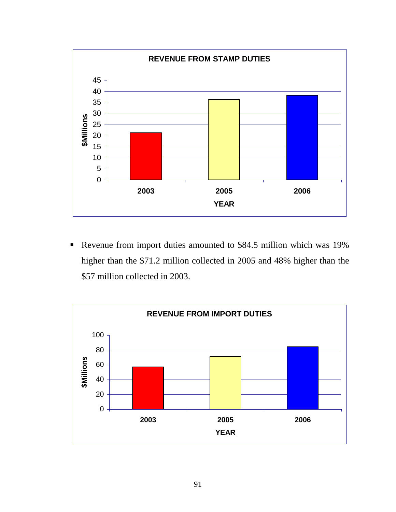

 Revenue from import duties amounted to \$84.5 million which was 19% higher than the \$71.2 million collected in 2005 and 48% higher than the \$57 million collected in 2003.

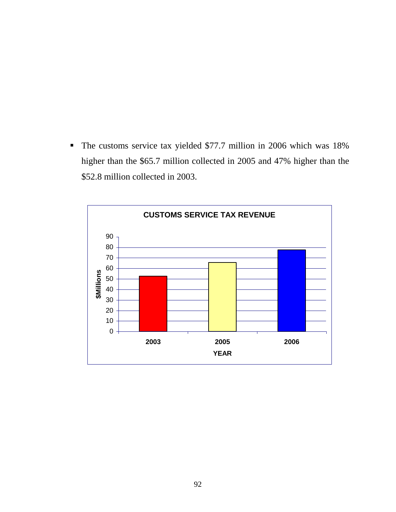The customs service tax yielded \$77.7 million in 2006 which was 18% higher than the \$65.7 million collected in 2005 and 47% higher than the \$52.8 million collected in 2003.

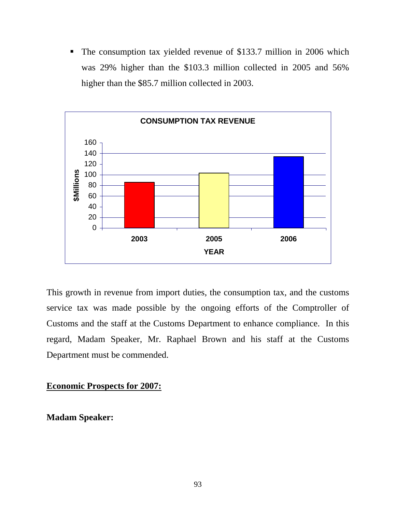• The consumption tax yielded revenue of \$133.7 million in 2006 which was 29% higher than the \$103.3 million collected in 2005 and 56% higher than the \$85.7 million collected in 2003.



This growth in revenue from import duties, the consumption tax, and the customs service tax was made possible by the ongoing efforts of the Comptroller of Customs and the staff at the Customs Department to enhance compliance. In this regard, Madam Speaker, Mr. Raphael Brown and his staff at the Customs Department must be commended.

**Economic Prospects for 2007:**

**Madam Speaker:**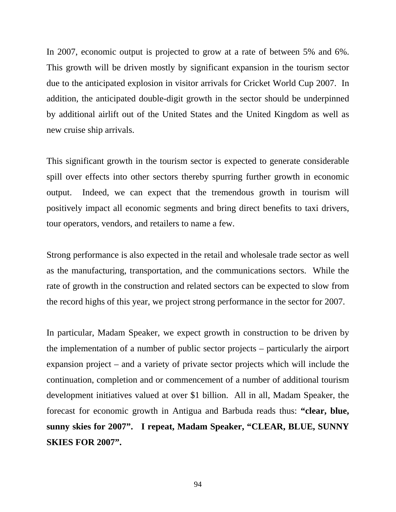In 2007, economic output is projected to grow at a rate of between 5% and 6%. This growth will be driven mostly by significant expansion in the tourism sector due to the anticipated explosion in visitor arrivals for Cricket World Cup 2007. In addition, the anticipated double-digit growth in the sector should be underpinned by additional airlift out of the United States and the United Kingdom as well as new cruise ship arrivals.

This significant growth in the tourism sector is expected to generate considerable spill over effects into other sectors thereby spurring further growth in economic output. Indeed, we can expect that the tremendous growth in tourism will positively impact all economic segments and bring direct benefits to taxi drivers, tour operators, vendors, and retailers to name a few.

Strong performance is also expected in the retail and wholesale trade sector as well as the manufacturing, transportation, and the communications sectors. While the rate of growth in the construction and related sectors can be expected to slow from the record highs of this year, we project strong performance in the sector for 2007.

In particular, Madam Speaker, we expect growth in construction to be driven by the implementation of a number of public sector projects – particularly the airport expansion project – and a variety of private sector projects which will include the continuation, completion and or commencement of a number of additional tourism development initiatives valued at over \$1 billion. All in all, Madam Speaker, the forecast for economic growth in Antigua and Barbuda reads thus: **"clear, blue, sunny skies for 2007". I repeat, Madam Speaker, "CLEAR, BLUE, SUNNY SKIES FOR 2007".**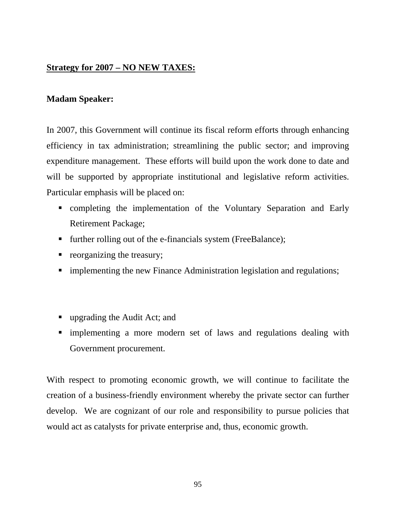## **Strategy for 2007 – NO NEW TAXES:**

## **Madam Speaker:**

In 2007, this Government will continue its fiscal reform efforts through enhancing efficiency in tax administration; streamlining the public sector; and improving expenditure management. These efforts will build upon the work done to date and will be supported by appropriate institutional and legislative reform activities. Particular emphasis will be placed on:

- completing the implementation of the Voluntary Separation and Early Retirement Package;
- **further rolling out of the e-financials system (FreeBalance);**
- **•** reorganizing the treasury;
- implementing the new Finance Administration legislation and regulations;
- upgrading the Audit Act; and
- implementing a more modern set of laws and regulations dealing with Government procurement.

With respect to promoting economic growth, we will continue to facilitate the creation of a business-friendly environment whereby the private sector can further develop. We are cognizant of our role and responsibility to pursue policies that would act as catalysts for private enterprise and, thus, economic growth.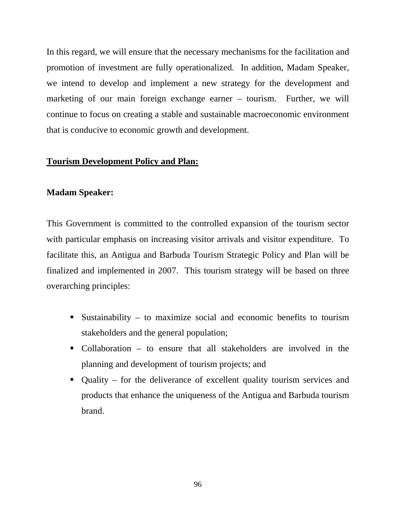In this regard, we will ensure that the necessary mechanisms for the facilitation and promotion of investment are fully operationalized. In addition, Madam Speaker, we intend to develop and implement a new strategy for the development and marketing of our main foreign exchange earner – tourism. Further, we will continue to focus on creating a stable and sustainable macroeconomic environment that is conducive to economic growth and development.

## **Tourism Development Policy and Plan:**

### **Madam Speaker:**

This Government is committed to the controlled expansion of the tourism sector with particular emphasis on increasing visitor arrivals and visitor expenditure. To facilitate this, an Antigua and Barbuda Tourism Strategic Policy and Plan will be finalized and implemented in 2007. This tourism strategy will be based on three overarching principles:

- Sustainability to maximize social and economic benefits to tourism stakeholders and the general population;
- Collaboration to ensure that all stakeholders are involved in the planning and development of tourism projects; and
- Quality for the deliverance of excellent quality tourism services and products that enhance the uniqueness of the Antigua and Barbuda tourism brand.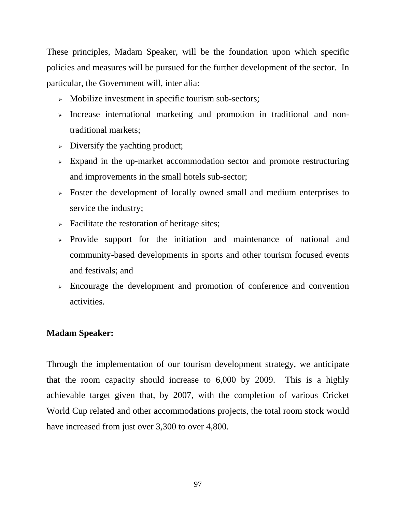These principles, Madam Speaker, will be the foundation upon which specific policies and measures will be pursued for the further development of the sector. In particular, the Government will, inter alia:

- <sup>¾</sup> Mobilize investment in specific tourism sub-sectors;
- <sup>¾</sup> Increase international marketing and promotion in traditional and nontraditional markets;
- $\triangleright$  Diversify the yachting product;
- $\geq$  Expand in the up-market accommodation sector and promote restructuring and improvements in the small hotels sub-sector;
- <sup>¾</sup> Foster the development of locally owned small and medium enterprises to service the industry;
- $\triangleright$  Facilitate the restoration of heritage sites;
- <sup>¾</sup> Provide support for the initiation and maintenance of national and community-based developments in sports and other tourism focused events and festivals; and
- <sup>¾</sup> Encourage the development and promotion of conference and convention activities.

# **Madam Speaker:**

Through the implementation of our tourism development strategy, we anticipate that the room capacity should increase to 6,000 by 2009. This is a highly achievable target given that, by 2007, with the completion of various Cricket World Cup related and other accommodations projects, the total room stock would have increased from just over 3,300 to over 4,800.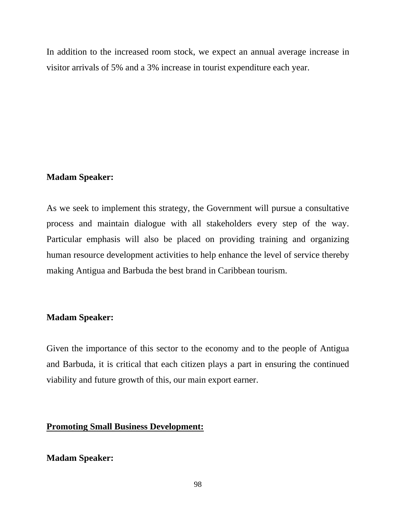In addition to the increased room stock, we expect an annual average increase in visitor arrivals of 5% and a 3% increase in tourist expenditure each year.

## **Madam Speaker:**

As we seek to implement this strategy, the Government will pursue a consultative process and maintain dialogue with all stakeholders every step of the way. Particular emphasis will also be placed on providing training and organizing human resource development activities to help enhance the level of service thereby making Antigua and Barbuda the best brand in Caribbean tourism.

# **Madam Speaker:**

Given the importance of this sector to the economy and to the people of Antigua and Barbuda, it is critical that each citizen plays a part in ensuring the continued viability and future growth of this, our main export earner.

# **Promoting Small Business Development:**

# **Madam Speaker:**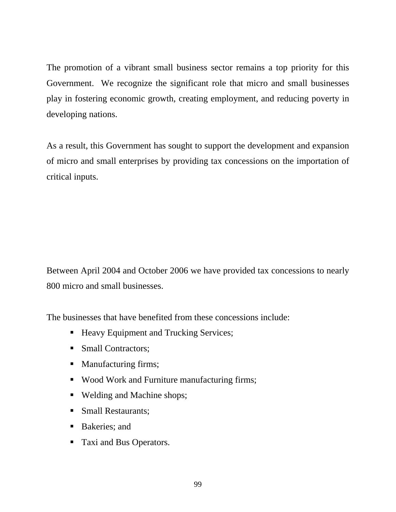The promotion of a vibrant small business sector remains a top priority for this Government. We recognize the significant role that micro and small businesses play in fostering economic growth, creating employment, and reducing poverty in developing nations.

As a result, this Government has sought to support the development and expansion of micro and small enterprises by providing tax concessions on the importation of critical inputs.

Between April 2004 and October 2006 we have provided tax concessions to nearly 800 micro and small businesses.

The businesses that have benefited from these concessions include:

- Heavy Equipment and Trucking Services;
- Small Contractors;
- Manufacturing firms;
- Wood Work and Furniture manufacturing firms;
- Welding and Machine shops;
- Small Restaurants:
- Bakeries; and
- Taxi and Bus Operators.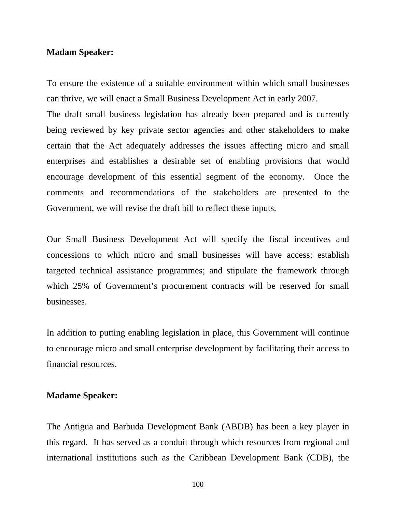#### **Madam Speaker:**

To ensure the existence of a suitable environment within which small businesses can thrive, we will enact a Small Business Development Act in early 2007.

The draft small business legislation has already been prepared and is currently being reviewed by key private sector agencies and other stakeholders to make certain that the Act adequately addresses the issues affecting micro and small enterprises and establishes a desirable set of enabling provisions that would encourage development of this essential segment of the economy. Once the comments and recommendations of the stakeholders are presented to the Government, we will revise the draft bill to reflect these inputs.

Our Small Business Development Act will specify the fiscal incentives and concessions to which micro and small businesses will have access; establish targeted technical assistance programmes; and stipulate the framework through which 25% of Government's procurement contracts will be reserved for small businesses.

In addition to putting enabling legislation in place, this Government will continue to encourage micro and small enterprise development by facilitating their access to financial resources.

#### **Madame Speaker:**

The Antigua and Barbuda Development Bank (ABDB) has been a key player in this regard. It has served as a conduit through which resources from regional and international institutions such as the Caribbean Development Bank (CDB), the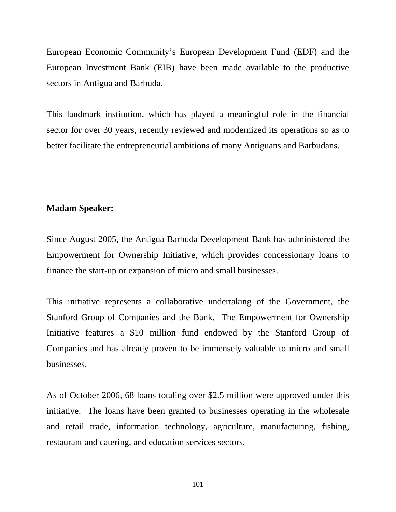European Economic Community's European Development Fund (EDF) and the European Investment Bank (EIB) have been made available to the productive sectors in Antigua and Barbuda.

This landmark institution, which has played a meaningful role in the financial sector for over 30 years, recently reviewed and modernized its operations so as to better facilitate the entrepreneurial ambitions of many Antiguans and Barbudans.

#### **Madam Speaker:**

Since August 2005, the Antigua Barbuda Development Bank has administered the Empowerment for Ownership Initiative, which provides concessionary loans to finance the start-up or expansion of micro and small businesses.

This initiative represents a collaborative undertaking of the Government, the Stanford Group of Companies and the Bank. The Empowerment for Ownership Initiative features a \$10 million fund endowed by the Stanford Group of Companies and has already proven to be immensely valuable to micro and small businesses.

As of October 2006, 68 loans totaling over \$2.5 million were approved under this initiative. The loans have been granted to businesses operating in the wholesale and retail trade, information technology, agriculture, manufacturing, fishing, restaurant and catering, and education services sectors.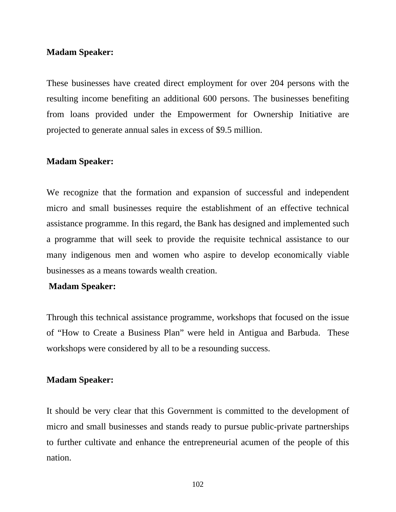#### **Madam Speaker:**

These businesses have created direct employment for over 204 persons with the resulting income benefiting an additional 600 persons. The businesses benefiting from loans provided under the Empowerment for Ownership Initiative are projected to generate annual sales in excess of \$9.5 million.

#### **Madam Speaker:**

We recognize that the formation and expansion of successful and independent micro and small businesses require the establishment of an effective technical assistance programme. In this regard, the Bank has designed and implemented such a programme that will seek to provide the requisite technical assistance to our many indigenous men and women who aspire to develop economically viable businesses as a means towards wealth creation.

#### **Madam Speaker:**

Through this technical assistance programme, workshops that focused on the issue of "How to Create a Business Plan" were held in Antigua and Barbuda. These workshops were considered by all to be a resounding success.

#### **Madam Speaker:**

It should be very clear that this Government is committed to the development of micro and small businesses and stands ready to pursue public-private partnerships to further cultivate and enhance the entrepreneurial acumen of the people of this nation.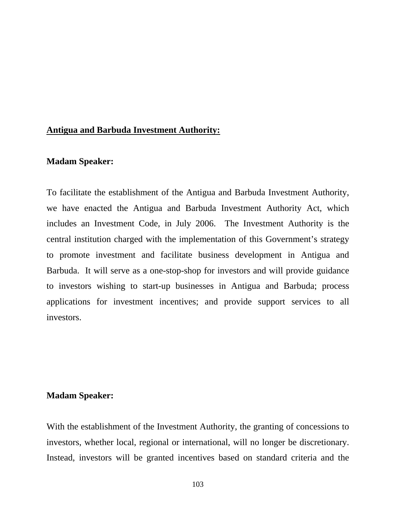### **Antigua and Barbuda Investment Authority:**

### **Madam Speaker:**

To facilitate the establishment of the Antigua and Barbuda Investment Authority, we have enacted the Antigua and Barbuda Investment Authority Act, which includes an Investment Code, in July 2006. The Investment Authority is the central institution charged with the implementation of this Government's strategy to promote investment and facilitate business development in Antigua and Barbuda. It will serve as a one-stop-shop for investors and will provide guidance to investors wishing to start-up businesses in Antigua and Barbuda; process applications for investment incentives; and provide support services to all investors.

#### **Madam Speaker:**

With the establishment of the Investment Authority, the granting of concessions to investors, whether local, regional or international, will no longer be discretionary. Instead, investors will be granted incentives based on standard criteria and the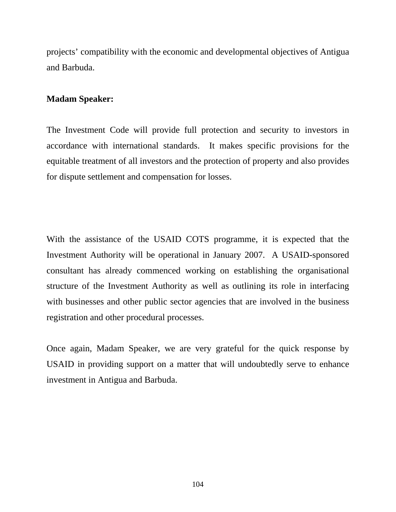projects' compatibility with the economic and developmental objectives of Antigua and Barbuda.

## **Madam Speaker:**

The Investment Code will provide full protection and security to investors in accordance with international standards. It makes specific provisions for the equitable treatment of all investors and the protection of property and also provides for dispute settlement and compensation for losses.

With the assistance of the USAID COTS programme, it is expected that the Investment Authority will be operational in January 2007. A USAID-sponsored consultant has already commenced working on establishing the organisational structure of the Investment Authority as well as outlining its role in interfacing with businesses and other public sector agencies that are involved in the business registration and other procedural processes.

Once again, Madam Speaker, we are very grateful for the quick response by USAID in providing support on a matter that will undoubtedly serve to enhance investment in Antigua and Barbuda.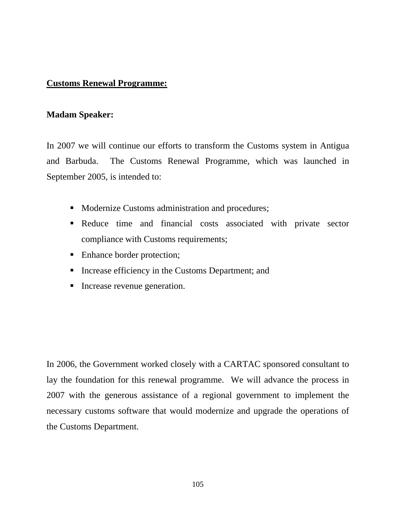## **Customs Renewal Programme:**

#### **Madam Speaker:**

In 2007 we will continue our efforts to transform the Customs system in Antigua and Barbuda. The Customs Renewal Programme, which was launched in September 2005, is intended to:

- Modernize Customs administration and procedures;
- Reduce time and financial costs associated with private sector compliance with Customs requirements;
- Enhance border protection;
- **Increase efficiency in the Customs Department; and**
- **Increase revenue generation.**

In 2006, the Government worked closely with a CARTAC sponsored consultant to lay the foundation for this renewal programme. We will advance the process in 2007 with the generous assistance of a regional government to implement the necessary customs software that would modernize and upgrade the operations of the Customs Department.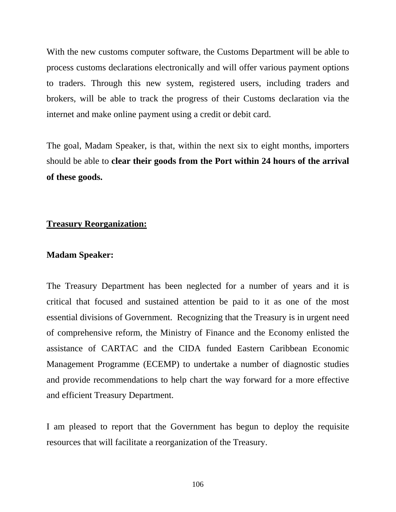With the new customs computer software, the Customs Department will be able to process customs declarations electronically and will offer various payment options to traders. Through this new system, registered users, including traders and brokers, will be able to track the progress of their Customs declaration via the internet and make online payment using a credit or debit card.

The goal, Madam Speaker, is that, within the next six to eight months, importers should be able to **clear their goods from the Port within 24 hours of the arrival of these goods.** 

### **Treasury Reorganization:**

#### **Madam Speaker:**

The Treasury Department has been neglected for a number of years and it is critical that focused and sustained attention be paid to it as one of the most essential divisions of Government. Recognizing that the Treasury is in urgent need of comprehensive reform, the Ministry of Finance and the Economy enlisted the assistance of CARTAC and the CIDA funded Eastern Caribbean Economic Management Programme (ECEMP) to undertake a number of diagnostic studies and provide recommendations to help chart the way forward for a more effective and efficient Treasury Department.

I am pleased to report that the Government has begun to deploy the requisite resources that will facilitate a reorganization of the Treasury.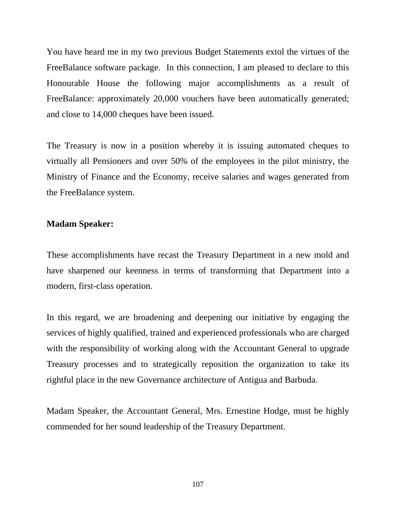You have heard me in my two previous Budget Statements extol the virtues of the FreeBalance software package. In this connection, I am pleased to declare to this Honourable House the following major accomplishments as a result of FreeBalance: approximately 20,000 vouchers have been automatically generated; and close to 14,000 cheques have been issued.

The Treasury is now in a position whereby it is issuing automated cheques to virtually all Pensioners and over 50% of the employees in the pilot ministry, the Ministry of Finance and the Economy, receive salaries and wages generated from the FreeBalance system.

#### **Madam Speaker:**

These accomplishments have recast the Treasury Department in a new mold and have sharpened our keenness in terms of transforming that Department into a modern, first-class operation.

In this regard, we are broadening and deepening our initiative by engaging the services of highly qualified, trained and experienced professionals who are charged with the responsibility of working along with the Accountant General to upgrade Treasury processes and to strategically reposition the organization to take its rightful place in the new Governance architecture of Antigua and Barbuda.

Madam Speaker, the Accountant General, Mrs. Ernestine Hodge, must be highly commended for her sound leadership of the Treasury Department.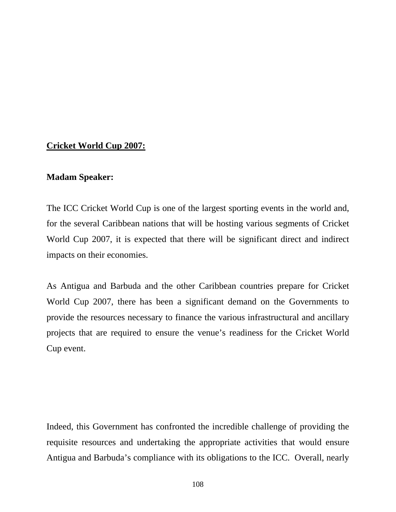# **Cricket World Cup 2007:**

### **Madam Speaker:**

The ICC Cricket World Cup is one of the largest sporting events in the world and, for the several Caribbean nations that will be hosting various segments of Cricket World Cup 2007, it is expected that there will be significant direct and indirect impacts on their economies.

As Antigua and Barbuda and the other Caribbean countries prepare for Cricket World Cup 2007, there has been a significant demand on the Governments to provide the resources necessary to finance the various infrastructural and ancillary projects that are required to ensure the venue's readiness for the Cricket World Cup event.

Indeed, this Government has confronted the incredible challenge of providing the requisite resources and undertaking the appropriate activities that would ensure Antigua and Barbuda's compliance with its obligations to the ICC. Overall, nearly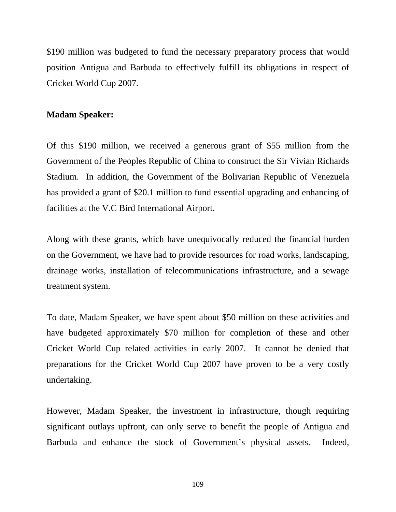\$190 million was budgeted to fund the necessary preparatory process that would position Antigua and Barbuda to effectively fulfill its obligations in respect of Cricket World Cup 2007.

### **Madam Speaker:**

Of this \$190 million, we received a generous grant of \$55 million from the Government of the Peoples Republic of China to construct the Sir Vivian Richards Stadium. In addition, the Government of the Bolivarian Republic of Venezuela has provided a grant of \$20.1 million to fund essential upgrading and enhancing of facilities at the V.C Bird International Airport.

Along with these grants, which have unequivocally reduced the financial burden on the Government, we have had to provide resources for road works, landscaping, drainage works, installation of telecommunications infrastructure, and a sewage treatment system.

To date, Madam Speaker, we have spent about \$50 million on these activities and have budgeted approximately \$70 million for completion of these and other Cricket World Cup related activities in early 2007. It cannot be denied that preparations for the Cricket World Cup 2007 have proven to be a very costly undertaking.

However, Madam Speaker, the investment in infrastructure, though requiring significant outlays upfront, can only serve to benefit the people of Antigua and Barbuda and enhance the stock of Government's physical assets. Indeed,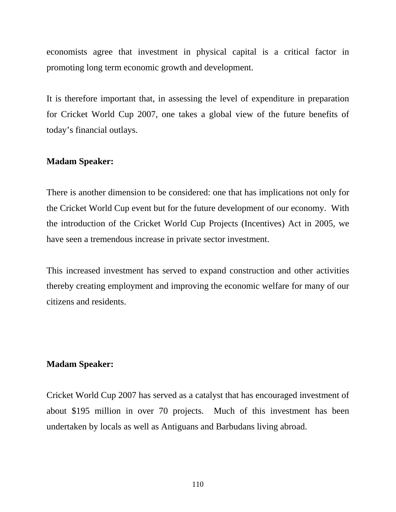economists agree that investment in physical capital is a critical factor in promoting long term economic growth and development.

It is therefore important that, in assessing the level of expenditure in preparation for Cricket World Cup 2007, one takes a global view of the future benefits of today's financial outlays.

### **Madam Speaker:**

There is another dimension to be considered: one that has implications not only for the Cricket World Cup event but for the future development of our economy. With the introduction of the Cricket World Cup Projects (Incentives) Act in 2005, we have seen a tremendous increase in private sector investment.

This increased investment has served to expand construction and other activities thereby creating employment and improving the economic welfare for many of our citizens and residents.

### **Madam Speaker:**

Cricket World Cup 2007 has served as a catalyst that has encouraged investment of about \$195 million in over 70 projects. Much of this investment has been undertaken by locals as well as Antiguans and Barbudans living abroad.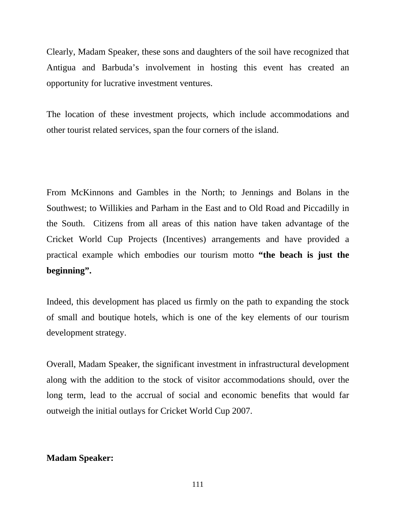Clearly, Madam Speaker, these sons and daughters of the soil have recognized that Antigua and Barbuda's involvement in hosting this event has created an opportunity for lucrative investment ventures.

The location of these investment projects, which include accommodations and other tourist related services, span the four corners of the island.

From McKinnons and Gambles in the North; to Jennings and Bolans in the Southwest; to Willikies and Parham in the East and to Old Road and Piccadilly in the South. Citizens from all areas of this nation have taken advantage of the Cricket World Cup Projects (Incentives) arrangements and have provided a practical example which embodies our tourism motto **"the beach is just the beginning".**

Indeed, this development has placed us firmly on the path to expanding the stock of small and boutique hotels, which is one of the key elements of our tourism development strategy.

Overall, Madam Speaker, the significant investment in infrastructural development along with the addition to the stock of visitor accommodations should, over the long term, lead to the accrual of social and economic benefits that would far outweigh the initial outlays for Cricket World Cup 2007.

# **Madam Speaker:**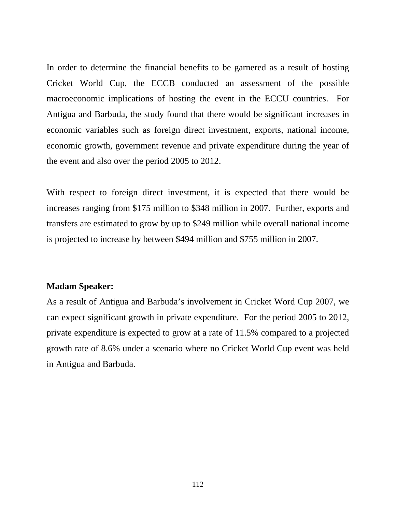In order to determine the financial benefits to be garnered as a result of hosting Cricket World Cup, the ECCB conducted an assessment of the possible macroeconomic implications of hosting the event in the ECCU countries. For Antigua and Barbuda, the study found that there would be significant increases in economic variables such as foreign direct investment, exports, national income, economic growth, government revenue and private expenditure during the year of the event and also over the period 2005 to 2012.

With respect to foreign direct investment, it is expected that there would be increases ranging from \$175 million to \$348 million in 2007. Further, exports and transfers are estimated to grow by up to \$249 million while overall national income is projected to increase by between \$494 million and \$755 million in 2007.

## **Madam Speaker:**

As a result of Antigua and Barbuda's involvement in Cricket Word Cup 2007, we can expect significant growth in private expenditure. For the period 2005 to 2012, private expenditure is expected to grow at a rate of 11.5% compared to a projected growth rate of 8.6% under a scenario where no Cricket World Cup event was held in Antigua and Barbuda.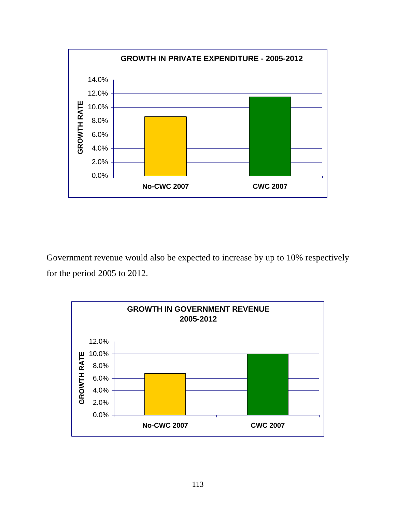

Government revenue would also be expected to increase by up to 10% respectively for the period 2005 to 2012.

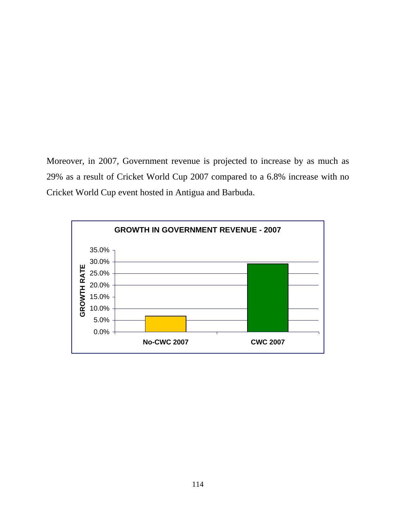Moreover, in 2007, Government revenue is projected to increase by as much as 29% as a result of Cricket World Cup 2007 compared to a 6.8% increase with no Cricket World Cup event hosted in Antigua and Barbuda.

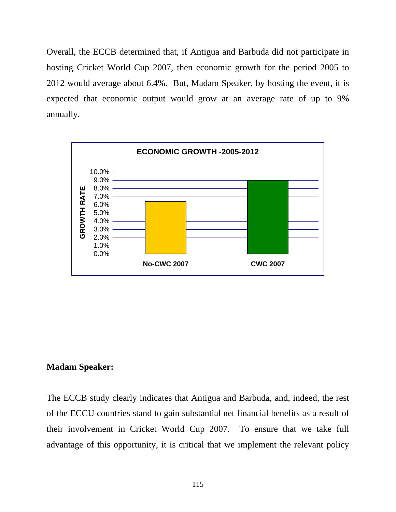Overall, the ECCB determined that, if Antigua and Barbuda did not participate in hosting Cricket World Cup 2007, then economic growth for the period 2005 to 2012 would average about 6.4%. But, Madam Speaker, by hosting the event, it is expected that economic output would grow at an average rate of up to 9% annually*.* 



### **Madam Speaker:**

The ECCB study clearly indicates that Antigua and Barbuda, and, indeed, the rest of the ECCU countries stand to gain substantial net financial benefits as a result of their involvement in Cricket World Cup 2007. To ensure that we take full advantage of this opportunity, it is critical that we implement the relevant policy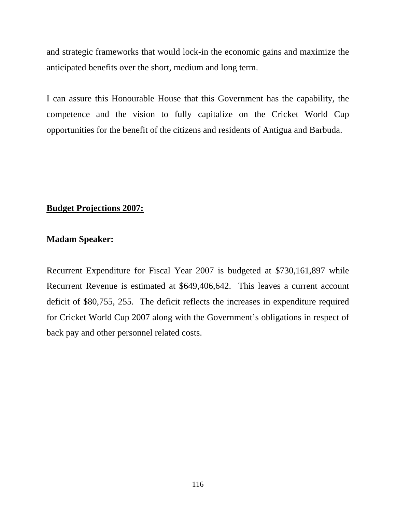and strategic frameworks that would lock-in the economic gains and maximize the anticipated benefits over the short, medium and long term.

I can assure this Honourable House that this Government has the capability, the competence and the vision to fully capitalize on the Cricket World Cup opportunities for the benefit of the citizens and residents of Antigua and Barbuda.

# **Budget Projections 2007:**

# **Madam Speaker:**

Recurrent Expenditure for Fiscal Year 2007 is budgeted at \$730,161,897 while Recurrent Revenue is estimated at \$649,406,642. This leaves a current account deficit of \$80,755, 255. The deficit reflects the increases in expenditure required for Cricket World Cup 2007 along with the Government's obligations in respect of back pay and other personnel related costs.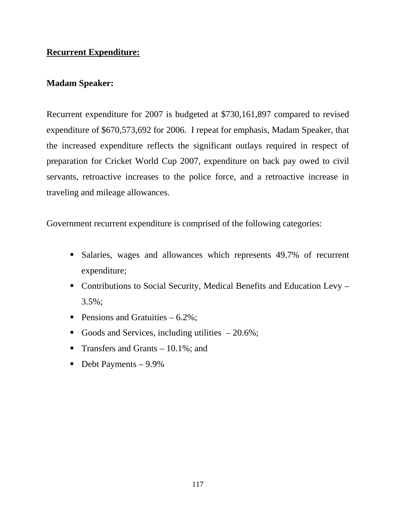# **Recurrent Expenditure:**

# **Madam Speaker:**

Recurrent expenditure for 2007 is budgeted at \$730,161,897 compared to revised expenditure of \$670,573,692 for 2006. I repeat for emphasis, Madam Speaker, that the increased expenditure reflects the significant outlays required in respect of preparation for Cricket World Cup 2007, expenditure on back pay owed to civil servants, retroactive increases to the police force, and a retroactive increase in traveling and mileage allowances.

Government recurrent expenditure is comprised of the following categories:

- Salaries, wages and allowances which represents 49.7% of recurrent expenditure;
- Contributions to Social Security, Medical Benefits and Education Levy 3.5%;
- Pensions and Gratuities  $-6.2\%$ ;
- Goods and Services, including utilities  $-20.6\%$ ;
- Transfers and Grants  $-10.1\%$ ; and
- $\blacksquare$  Debt Payments 9.9%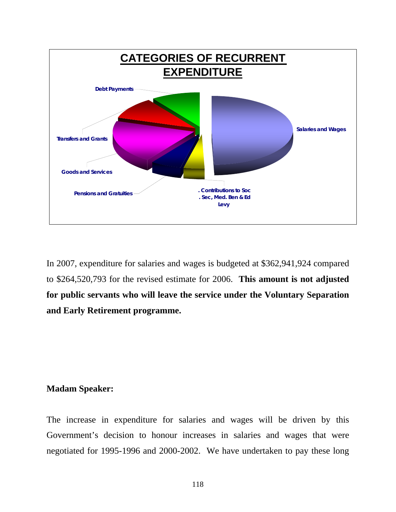

In 2007, expenditure for salaries and wages is budgeted at \$362,941,924 compared to \$264,520,793 for the revised estimate for 2006. **This amount is not adjusted for public servants who will leave the service under the Voluntary Separation and Early Retirement programme.** 

## **Madam Speaker:**

The increase in expenditure for salaries and wages will be driven by this Government's decision to honour increases in salaries and wages that were negotiated for 1995-1996 and 2000-2002. We have undertaken to pay these long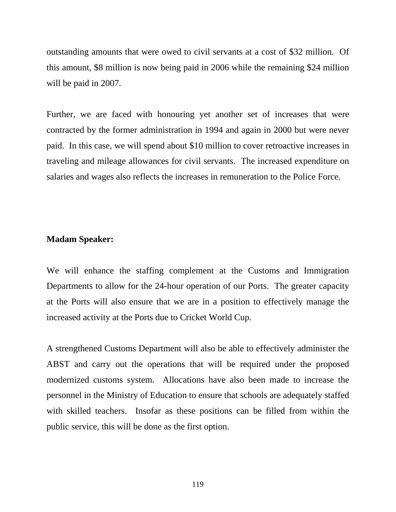outstanding amounts that were owed to civil servants at a cost of \$32 million. Of this amount, \$8 million is now being paid in 2006 while the remaining \$24 million will be paid in 2007.

Further, we are faced with honouring yet another set of increases that were contracted by the former administration in 1994 and again in 2000 but were never paid. In this case, we will spend about \$10 million to cover retroactive increases in traveling and mileage allowances for civil servants. The increased expenditure on salaries and wages also reflects the increases in remuneration to the Police Force.

### **Madam Speaker:**

We will enhance the staffing complement at the Customs and Immigration Departments to allow for the 24-hour operation of our Ports. The greater capacity at the Ports will also ensure that we are in a position to effectively manage the increased activity at the Ports due to Cricket World Cup.

A strengthened Customs Department will also be able to effectively administer the ABST and carry out the operations that will be required under the proposed modernized customs system. Allocations have also been made to increase the personnel in the Ministry of Education to ensure that schools are adequately staffed with skilled teachers. Insofar as these positions can be filled from within the public service, this will be done as the first option.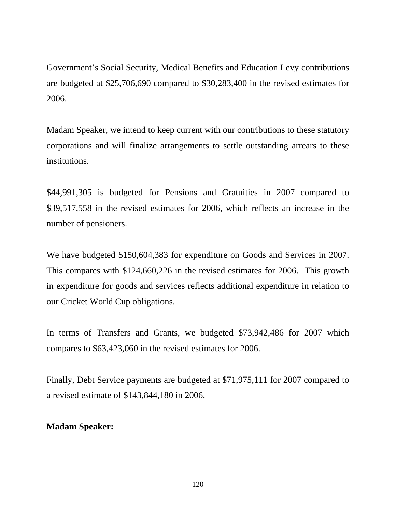Government's Social Security, Medical Benefits and Education Levy contributions are budgeted at \$25,706,690 compared to \$30,283,400 in the revised estimates for 2006.

Madam Speaker, we intend to keep current with our contributions to these statutory corporations and will finalize arrangements to settle outstanding arrears to these institutions.

\$44,991,305 is budgeted for Pensions and Gratuities in 2007 compared to \$39,517,558 in the revised estimates for 2006, which reflects an increase in the number of pensioners.

We have budgeted \$150,604,383 for expenditure on Goods and Services in 2007. This compares with \$124,660,226 in the revised estimates for 2006. This growth in expenditure for goods and services reflects additional expenditure in relation to our Cricket World Cup obligations.

In terms of Transfers and Grants, we budgeted \$73,942,486 for 2007 which compares to \$63,423,060 in the revised estimates for 2006.

Finally, Debt Service payments are budgeted at \$71,975,111 for 2007 compared to a revised estimate of \$143,844,180 in 2006.

# **Madam Speaker:**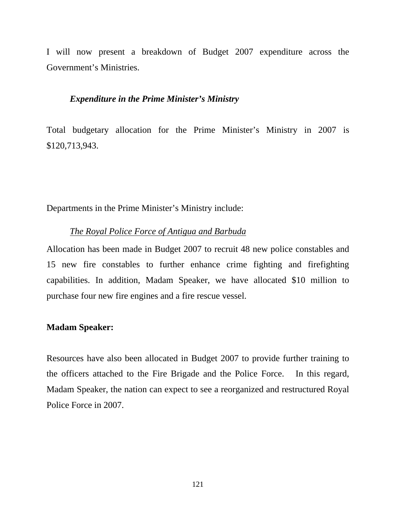I will now present a breakdown of Budget 2007 expenditure across the Government's Ministries.

#### *Expenditure in the Prime Minister's Ministry*

Total budgetary allocation for the Prime Minister's Ministry in 2007 is \$120,713,943.

Departments in the Prime Minister's Ministry include:

## *The Royal Police Force of Antigua and Barbuda*

Allocation has been made in Budget 2007 to recruit 48 new police constables and 15 new fire constables to further enhance crime fighting and firefighting capabilities. In addition, Madam Speaker, we have allocated \$10 million to purchase four new fire engines and a fire rescue vessel.

### **Madam Speaker:**

Resources have also been allocated in Budget 2007 to provide further training to the officers attached to the Fire Brigade and the Police Force. In this regard, Madam Speaker, the nation can expect to see a reorganized and restructured Royal Police Force in 2007.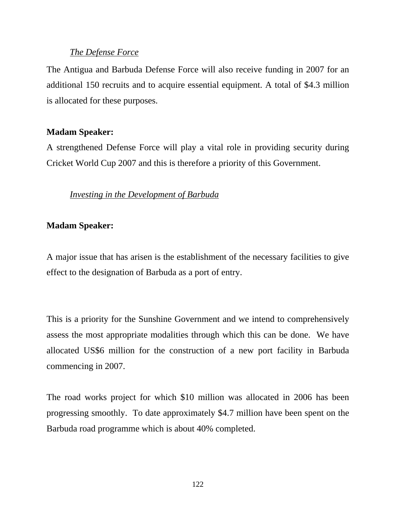## *The Defense Force*

The Antigua and Barbuda Defense Force will also receive funding in 2007 for an additional 150 recruits and to acquire essential equipment. A total of \$4.3 million is allocated for these purposes.

## **Madam Speaker:**

A strengthened Defense Force will play a vital role in providing security during Cricket World Cup 2007 and this is therefore a priority of this Government.

# *Investing in the Development of Barbuda*

# **Madam Speaker:**

A major issue that has arisen is the establishment of the necessary facilities to give effect to the designation of Barbuda as a port of entry.

This is a priority for the Sunshine Government and we intend to comprehensively assess the most appropriate modalities through which this can be done. We have allocated US\$6 million for the construction of a new port facility in Barbuda commencing in 2007.

The road works project for which \$10 million was allocated in 2006 has been progressing smoothly. To date approximately \$4.7 million have been spent on the Barbuda road programme which is about 40% completed.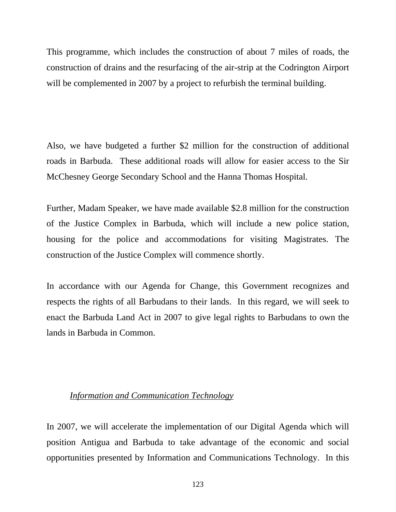This programme, which includes the construction of about 7 miles of roads, the construction of drains and the resurfacing of the air-strip at the Codrington Airport will be complemented in 2007 by a project to refurbish the terminal building.

Also, we have budgeted a further \$2 million for the construction of additional roads in Barbuda. These additional roads will allow for easier access to the Sir McChesney George Secondary School and the Hanna Thomas Hospital.

Further, Madam Speaker, we have made available \$2.8 million for the construction of the Justice Complex in Barbuda, which will include a new police station, housing for the police and accommodations for visiting Magistrates. The construction of the Justice Complex will commence shortly.

In accordance with our Agenda for Change, this Government recognizes and respects the rights of all Barbudans to their lands. In this regard, we will seek to enact the Barbuda Land Act in 2007 to give legal rights to Barbudans to own the lands in Barbuda in Common.

# *Information and Communication Technology*

In 2007, we will accelerate the implementation of our Digital Agenda which will position Antigua and Barbuda to take advantage of the economic and social opportunities presented by Information and Communications Technology. In this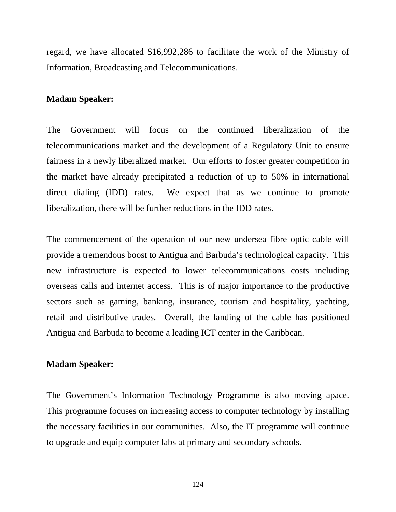regard, we have allocated \$16,992,286 to facilitate the work of the Ministry of Information, Broadcasting and Telecommunications.

#### **Madam Speaker:**

The Government will focus on the continued liberalization of the telecommunications market and the development of a Regulatory Unit to ensure fairness in a newly liberalized market. Our efforts to foster greater competition in the market have already precipitated a reduction of up to 50% in international direct dialing (IDD) rates. We expect that as we continue to promote liberalization, there will be further reductions in the IDD rates.

The commencement of the operation of our new undersea fibre optic cable will provide a tremendous boost to Antigua and Barbuda's technological capacity. This new infrastructure is expected to lower telecommunications costs including overseas calls and internet access. This is of major importance to the productive sectors such as gaming, banking, insurance, tourism and hospitality, yachting, retail and distributive trades. Overall, the landing of the cable has positioned Antigua and Barbuda to become a leading ICT center in the Caribbean.

#### **Madam Speaker:**

The Government's Information Technology Programme is also moving apace. This programme focuses on increasing access to computer technology by installing the necessary facilities in our communities. Also, the IT programme will continue to upgrade and equip computer labs at primary and secondary schools.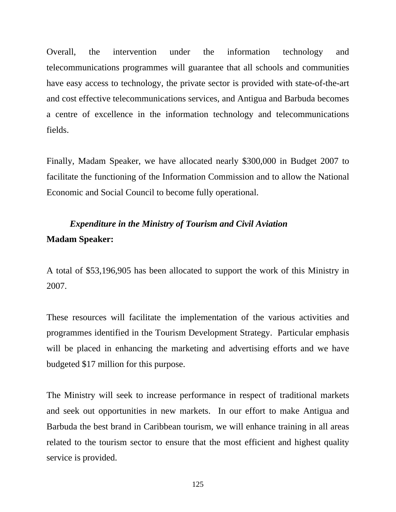Overall, the intervention under the information technology and telecommunications programmes will guarantee that all schools and communities have easy access to technology, the private sector is provided with state-of-the-art and cost effective telecommunications services, and Antigua and Barbuda becomes a centre of excellence in the information technology and telecommunications fields.

Finally, Madam Speaker, we have allocated nearly \$300,000 in Budget 2007 to facilitate the functioning of the Information Commission and to allow the National Economic and Social Council to become fully operational.

# *Expenditure in the Ministry of Tourism and Civil Aviation* **Madam Speaker:**

A total of \$53,196,905 has been allocated to support the work of this Ministry in 2007.

These resources will facilitate the implementation of the various activities and programmes identified in the Tourism Development Strategy. Particular emphasis will be placed in enhancing the marketing and advertising efforts and we have budgeted \$17 million for this purpose.

The Ministry will seek to increase performance in respect of traditional markets and seek out opportunities in new markets. In our effort to make Antigua and Barbuda the best brand in Caribbean tourism, we will enhance training in all areas related to the tourism sector to ensure that the most efficient and highest quality service is provided.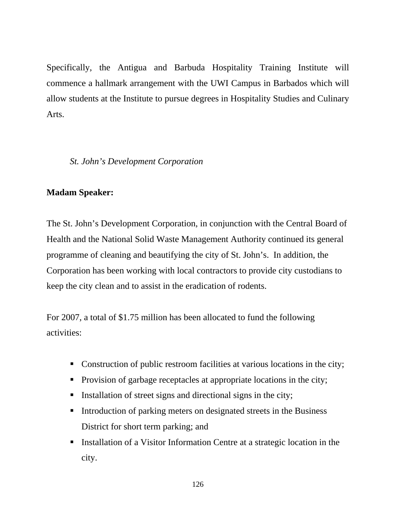Specifically, the Antigua and Barbuda Hospitality Training Institute will commence a hallmark arrangement with the UWI Campus in Barbados which will allow students at the Institute to pursue degrees in Hospitality Studies and Culinary Arts.

*St. John's Development Corporation* 

# **Madam Speaker:**

The St. John's Development Corporation, in conjunction with the Central Board of Health and the National Solid Waste Management Authority continued its general programme of cleaning and beautifying the city of St. John's. In addition, the Corporation has been working with local contractors to provide city custodians to keep the city clean and to assist in the eradication of rodents.

For 2007, a total of \$1.75 million has been allocated to fund the following activities:

- Construction of public restroom facilities at various locations in the city;
- Provision of garbage receptacles at appropriate locations in the city;
- Installation of street signs and directional signs in the city;
- Introduction of parking meters on designated streets in the Business District for short term parking; and
- Installation of a Visitor Information Centre at a strategic location in the city.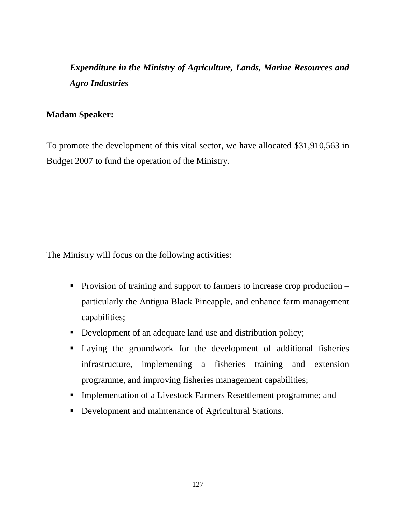*Expenditure in the Ministry of Agriculture, Lands, Marine Resources and Agro Industries* 

## **Madam Speaker:**

To promote the development of this vital sector, we have allocated \$31,910,563 in Budget 2007 to fund the operation of the Ministry.

The Ministry will focus on the following activities:

- **Provision of training and support to farmers to increase crop production**  $$ particularly the Antigua Black Pineapple, and enhance farm management capabilities;
- Development of an adequate land use and distribution policy;
- Laying the groundwork for the development of additional fisheries infrastructure, implementing a fisheries training and extension programme, and improving fisheries management capabilities;
- **Implementation of a Livestock Farmers Resettlement programme; and**
- Development and maintenance of Agricultural Stations.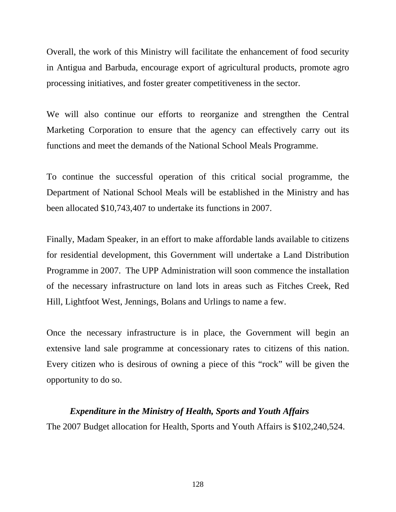Overall, the work of this Ministry will facilitate the enhancement of food security in Antigua and Barbuda, encourage export of agricultural products, promote agro processing initiatives, and foster greater competitiveness in the sector.

We will also continue our efforts to reorganize and strengthen the Central Marketing Corporation to ensure that the agency can effectively carry out its functions and meet the demands of the National School Meals Programme.

To continue the successful operation of this critical social programme, the Department of National School Meals will be established in the Ministry and has been allocated \$10,743,407 to undertake its functions in 2007.

Finally, Madam Speaker, in an effort to make affordable lands available to citizens for residential development, this Government will undertake a Land Distribution Programme in 2007. The UPP Administration will soon commence the installation of the necessary infrastructure on land lots in areas such as Fitches Creek, Red Hill, Lightfoot West, Jennings, Bolans and Urlings to name a few.

Once the necessary infrastructure is in place, the Government will begin an extensive land sale programme at concessionary rates to citizens of this nation. Every citizen who is desirous of owning a piece of this "rock" will be given the opportunity to do so.

## *Expenditure in the Ministry of Health, Sports and Youth Affairs*

The 2007 Budget allocation for Health, Sports and Youth Affairs is \$102,240,524.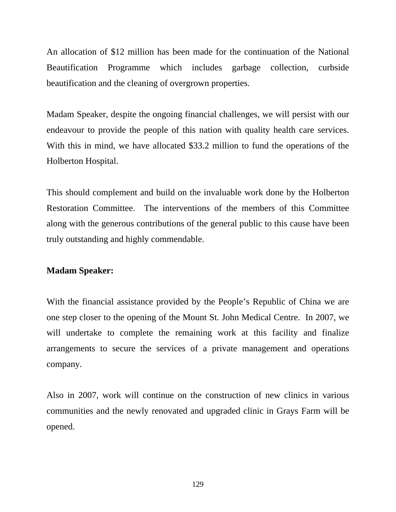An allocation of \$12 million has been made for the continuation of the National Beautification Programme which includes garbage collection, curbside beautification and the cleaning of overgrown properties.

Madam Speaker, despite the ongoing financial challenges, we will persist with our endeavour to provide the people of this nation with quality health care services. With this in mind, we have allocated \$33.2 million to fund the operations of the Holberton Hospital.

This should complement and build on the invaluable work done by the Holberton Restoration Committee. The interventions of the members of this Committee along with the generous contributions of the general public to this cause have been truly outstanding and highly commendable.

## **Madam Speaker:**

With the financial assistance provided by the People's Republic of China we are one step closer to the opening of the Mount St. John Medical Centre. In 2007, we will undertake to complete the remaining work at this facility and finalize arrangements to secure the services of a private management and operations company.

Also in 2007, work will continue on the construction of new clinics in various communities and the newly renovated and upgraded clinic in Grays Farm will be opened.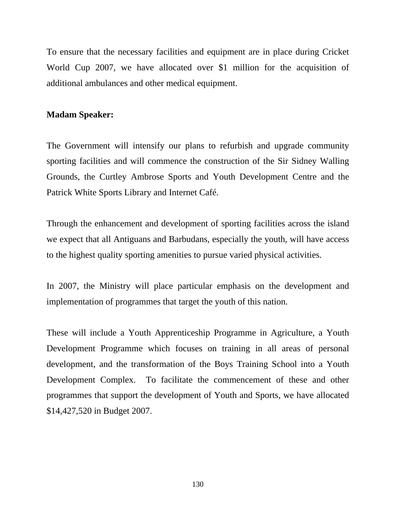To ensure that the necessary facilities and equipment are in place during Cricket World Cup 2007, we have allocated over \$1 million for the acquisition of additional ambulances and other medical equipment.

### **Madam Speaker:**

The Government will intensify our plans to refurbish and upgrade community sporting facilities and will commence the construction of the Sir Sidney Walling Grounds, the Curtley Ambrose Sports and Youth Development Centre and the Patrick White Sports Library and Internet Café.

Through the enhancement and development of sporting facilities across the island we expect that all Antiguans and Barbudans, especially the youth, will have access to the highest quality sporting amenities to pursue varied physical activities.

In 2007, the Ministry will place particular emphasis on the development and implementation of programmes that target the youth of this nation.

These will include a Youth Apprenticeship Programme in Agriculture, a Youth Development Programme which focuses on training in all areas of personal development, and the transformation of the Boys Training School into a Youth Development Complex. To facilitate the commencement of these and other programmes that support the development of Youth and Sports, we have allocated \$14,427,520 in Budget 2007.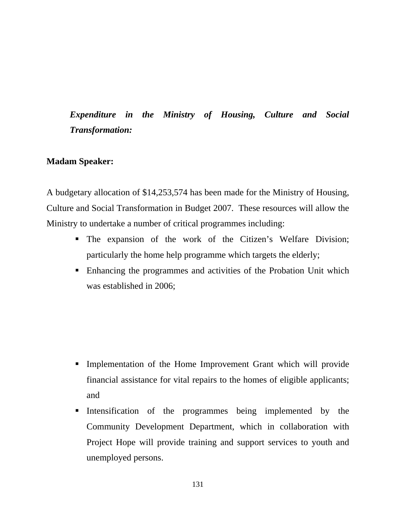# *Expenditure in the Ministry of Housing, Culture and Social Transformation:*

## **Madam Speaker:**

A budgetary allocation of \$14,253,574 has been made for the Ministry of Housing, Culture and Social Transformation in Budget 2007. These resources will allow the Ministry to undertake a number of critical programmes including:

- The expansion of the work of the Citizen's Welfare Division; particularly the home help programme which targets the elderly;
- Enhancing the programmes and activities of the Probation Unit which was established in 2006;

- Implementation of the Home Improvement Grant which will provide financial assistance for vital repairs to the homes of eligible applicants; and
- Intensification of the programmes being implemented by the Community Development Department, which in collaboration with Project Hope will provide training and support services to youth and unemployed persons.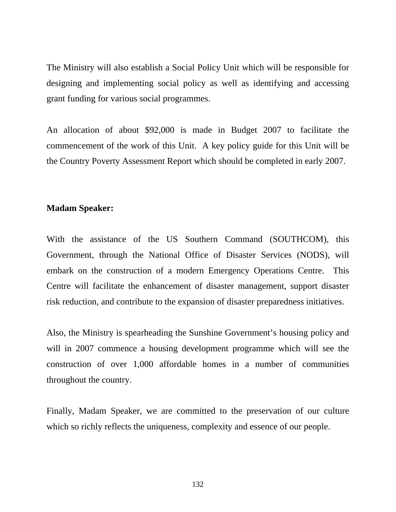The Ministry will also establish a Social Policy Unit which will be responsible for designing and implementing social policy as well as identifying and accessing grant funding for various social programmes.

An allocation of about \$92,000 is made in Budget 2007 to facilitate the commencement of the work of this Unit. A key policy guide for this Unit will be the Country Poverty Assessment Report which should be completed in early 2007.

### **Madam Speaker:**

With the assistance of the US Southern Command (SOUTHCOM), this Government, through the National Office of Disaster Services (NODS), will embark on the construction of a modern Emergency Operations Centre. This Centre will facilitate the enhancement of disaster management, support disaster risk reduction, and contribute to the expansion of disaster preparedness initiatives.

Also, the Ministry is spearheading the Sunshine Government's housing policy and will in 2007 commence a housing development programme which will see the construction of over 1,000 affordable homes in a number of communities throughout the country.

Finally, Madam Speaker, we are committed to the preservation of our culture which so richly reflects the uniqueness, complexity and essence of our people.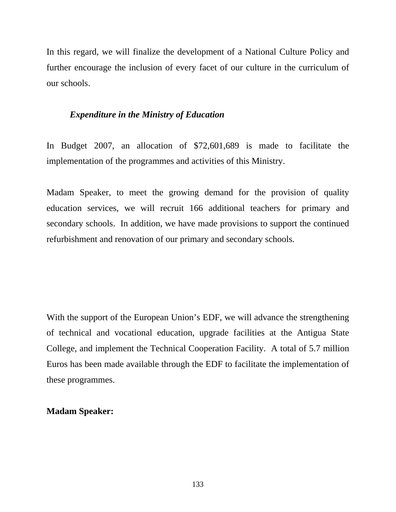In this regard, we will finalize the development of a National Culture Policy and further encourage the inclusion of every facet of our culture in the curriculum of our schools.

## *Expenditure in the Ministry of Education*

In Budget 2007, an allocation of \$72,601,689 is made to facilitate the implementation of the programmes and activities of this Ministry.

Madam Speaker, to meet the growing demand for the provision of quality education services, we will recruit 166 additional teachers for primary and secondary schools. In addition, we have made provisions to support the continued refurbishment and renovation of our primary and secondary schools.

With the support of the European Union's EDF, we will advance the strengthening of technical and vocational education, upgrade facilities at the Antigua State College, and implement the Technical Cooperation Facility. A total of 5.7 million Euros has been made available through the EDF to facilitate the implementation of these programmes.

## **Madam Speaker:**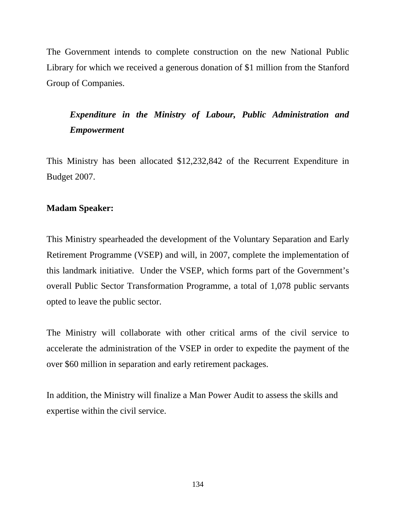The Government intends to complete construction on the new National Public Library for which we received a generous donation of \$1 million from the Stanford Group of Companies.

# *Expenditure in the Ministry of Labour, Public Administration and Empowerment*

This Ministry has been allocated \$12,232,842 of the Recurrent Expenditure in Budget 2007.

# **Madam Speaker:**

This Ministry spearheaded the development of the Voluntary Separation and Early Retirement Programme (VSEP) and will, in 2007, complete the implementation of this landmark initiative. Under the VSEP, which forms part of the Government's overall Public Sector Transformation Programme, a total of 1,078 public servants opted to leave the public sector.

The Ministry will collaborate with other critical arms of the civil service to accelerate the administration of the VSEP in order to expedite the payment of the over \$60 million in separation and early retirement packages.

In addition, the Ministry will finalize a Man Power Audit to assess the skills and expertise within the civil service.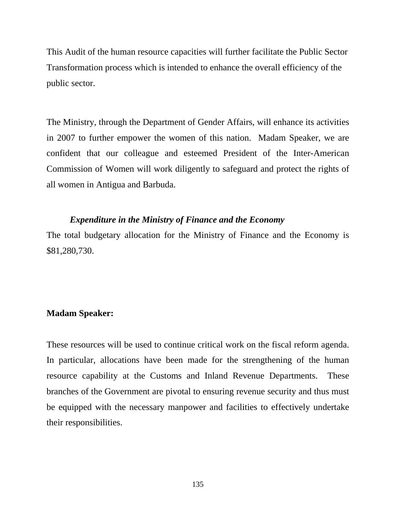This Audit of the human resource capacities will further facilitate the Public Sector Transformation process which is intended to enhance the overall efficiency of the public sector.

The Ministry, through the Department of Gender Affairs, will enhance its activities in 2007 to further empower the women of this nation. Madam Speaker, we are confident that our colleague and esteemed President of the Inter-American Commission of Women will work diligently to safeguard and protect the rights of all women in Antigua and Barbuda.

### *Expenditure in the Ministry of Finance and the Economy*

The total budgetary allocation for the Ministry of Finance and the Economy is \$81,280,730.

### **Madam Speaker:**

These resources will be used to continue critical work on the fiscal reform agenda. In particular, allocations have been made for the strengthening of the human resource capability at the Customs and Inland Revenue Departments. These branches of the Government are pivotal to ensuring revenue security and thus must be equipped with the necessary manpower and facilities to effectively undertake their responsibilities.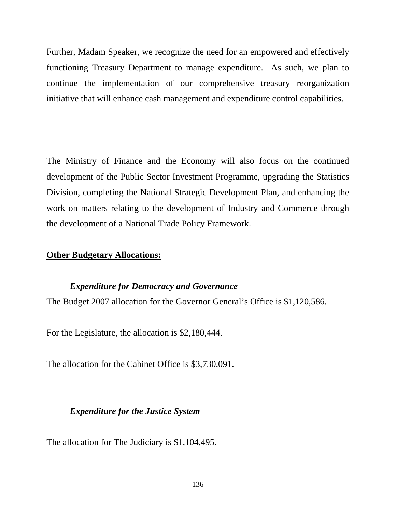Further, Madam Speaker, we recognize the need for an empowered and effectively functioning Treasury Department to manage expenditure. As such, we plan to continue the implementation of our comprehensive treasury reorganization initiative that will enhance cash management and expenditure control capabilities.

The Ministry of Finance and the Economy will also focus on the continued development of the Public Sector Investment Programme, upgrading the Statistics Division, completing the National Strategic Development Plan, and enhancing the work on matters relating to the development of Industry and Commerce through the development of a National Trade Policy Framework.

## **Other Budgetary Allocations:**

## *Expenditure for Democracy and Governance*

The Budget 2007 allocation for the Governor General's Office is \$1,120,586.

For the Legislature, the allocation is \$2,180,444.

The allocation for the Cabinet Office is \$3,730,091.

## *Expenditure for the Justice System*

The allocation for The Judiciary is \$1,104,495.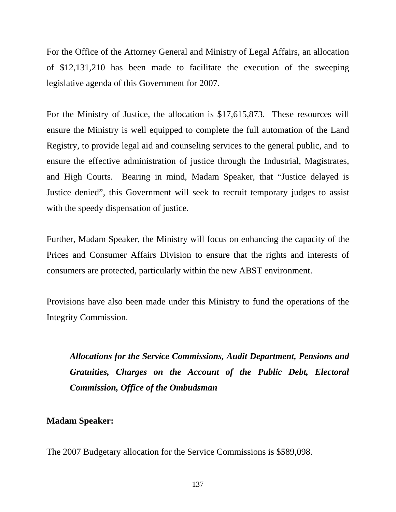For the Office of the Attorney General and Ministry of Legal Affairs, an allocation of \$12,131,210 has been made to facilitate the execution of the sweeping legislative agenda of this Government for 2007.

For the Ministry of Justice, the allocation is \$17,615,873. These resources will ensure the Ministry is well equipped to complete the full automation of the Land Registry, to provide legal aid and counseling services to the general public, and to ensure the effective administration of justice through the Industrial, Magistrates, and High Courts. Bearing in mind, Madam Speaker, that "Justice delayed is Justice denied", this Government will seek to recruit temporary judges to assist with the speedy dispensation of justice.

Further, Madam Speaker, the Ministry will focus on enhancing the capacity of the Prices and Consumer Affairs Division to ensure that the rights and interests of consumers are protected, particularly within the new ABST environment.

Provisions have also been made under this Ministry to fund the operations of the Integrity Commission.

*Allocations for the Service Commissions, Audit Department, Pensions and Gratuities, Charges on the Account of the Public Debt, Electoral Commission, Office of the Ombudsman* 

# **Madam Speaker:**

The 2007 Budgetary allocation for the Service Commissions is \$589,098.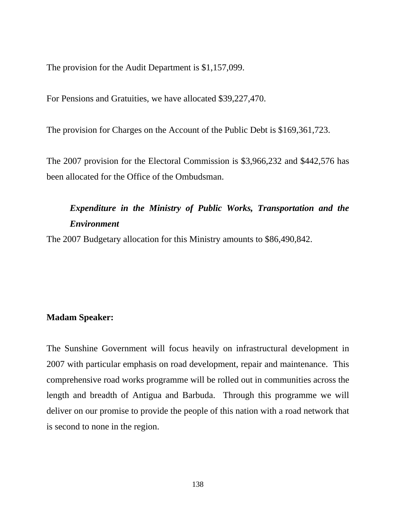The provision for the Audit Department is \$1,157,099.

For Pensions and Gratuities, we have allocated \$39,227,470.

The provision for Charges on the Account of the Public Debt is \$169,361,723.

The 2007 provision for the Electoral Commission is \$3,966,232 and \$442,576 has been allocated for the Office of the Ombudsman.

# *Expenditure in the Ministry of Public Works, Transportation and the Environment*

The 2007 Budgetary allocation for this Ministry amounts to \$86,490,842.

## **Madam Speaker:**

The Sunshine Government will focus heavily on infrastructural development in 2007 with particular emphasis on road development, repair and maintenance. This comprehensive road works programme will be rolled out in communities across the length and breadth of Antigua and Barbuda. Through this programme we will deliver on our promise to provide the people of this nation with a road network that is second to none in the region.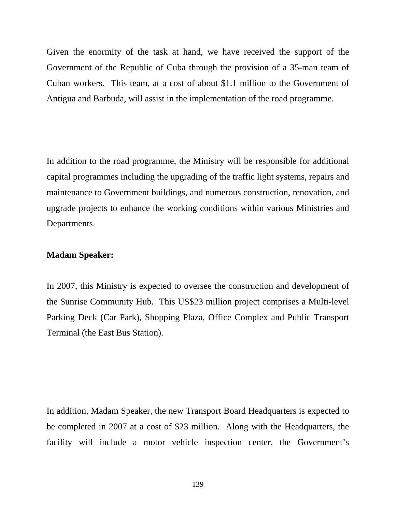Given the enormity of the task at hand, we have received the support of the Government of the Republic of Cuba through the provision of a 35-man team of Cuban workers. This team, at a cost of about \$1.1 million to the Government of Antigua and Barbuda, will assist in the implementation of the road programme.

In addition to the road programme, the Ministry will be responsible for additional capital programmes including the upgrading of the traffic light systems, repairs and maintenance to Government buildings, and numerous construction, renovation, and upgrade projects to enhance the working conditions within various Ministries and Departments.

### **Madam Speaker:**

In 2007, this Ministry is expected to oversee the construction and development of the Sunrise Community Hub. This US\$23 million project comprises a Multi-level Parking Deck (Car Park), Shopping Plaza, Office Complex and Public Transport Terminal (the East Bus Station).

In addition, Madam Speaker, the new Transport Board Headquarters is expected to be completed in 2007 at a cost of \$23 million. Along with the Headquarters, the facility will include a motor vehicle inspection center, the Government's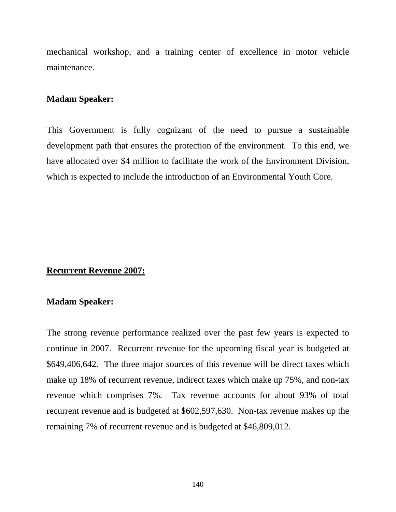mechanical workshop, and a training center of excellence in motor vehicle maintenance.

### **Madam Speaker:**

This Government is fully cognizant of the need to pursue a sustainable development path that ensures the protection of the environment. To this end, we have allocated over \$4 million to facilitate the work of the Environment Division, which is expected to include the introduction of an Environmental Youth Core.

## **Recurrent Revenue 2007:**

### **Madam Speaker:**

The strong revenue performance realized over the past few years is expected to continue in 2007. Recurrent revenue for the upcoming fiscal year is budgeted at \$649,406,642. The three major sources of this revenue will be direct taxes which make up 18% of recurrent revenue, indirect taxes which make up 75%, and non-tax revenue which comprises 7%. Tax revenue accounts for about 93% of total recurrent revenue and is budgeted at \$602,597,630. Non-tax revenue makes up the remaining 7% of recurrent revenue and is budgeted at \$46,809,012.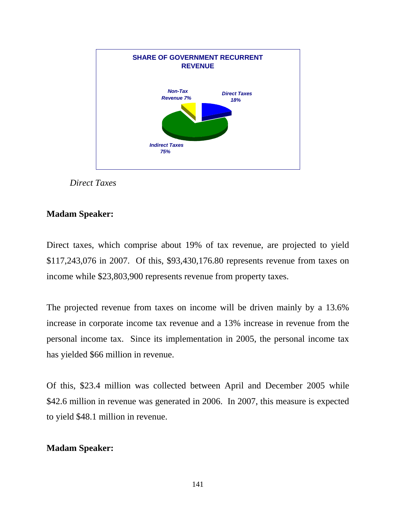



# **Madam Speaker:**

Direct taxes, which comprise about 19% of tax revenue, are projected to yield \$117,243,076 in 2007. Of this, \$93,430,176.80 represents revenue from taxes on income while \$23,803,900 represents revenue from property taxes.

The projected revenue from taxes on income will be driven mainly by a 13.6% increase in corporate income tax revenue and a 13% increase in revenue from the personal income tax. Since its implementation in 2005, the personal income tax has yielded \$66 million in revenue.

Of this, \$23.4 million was collected between April and December 2005 while \$42.6 million in revenue was generated in 2006. In 2007, this measure is expected to yield \$48.1 million in revenue.

# **Madam Speaker:**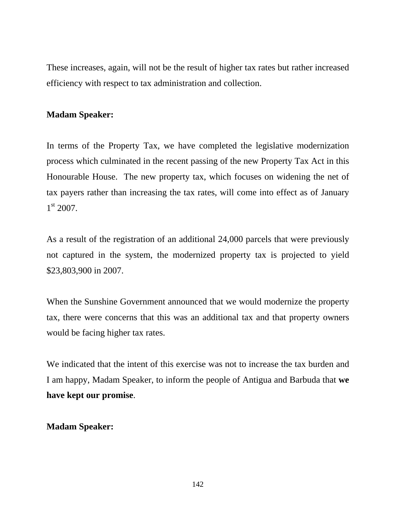These increases, again, will not be the result of higher tax rates but rather increased efficiency with respect to tax administration and collection.

# **Madam Speaker:**

In terms of the Property Tax, we have completed the legislative modernization process which culminated in the recent passing of the new Property Tax Act in this Honourable House. The new property tax, which focuses on widening the net of tax payers rather than increasing the tax rates, will come into effect as of January  $1<sup>st</sup> 2007$ .

As a result of the registration of an additional 24,000 parcels that were previously not captured in the system, the modernized property tax is projected to yield \$23,803,900 in 2007.

When the Sunshine Government announced that we would modernize the property tax, there were concerns that this was an additional tax and that property owners would be facing higher tax rates.

We indicated that the intent of this exercise was not to increase the tax burden and I am happy, Madam Speaker, to inform the people of Antigua and Barbuda that **we have kept our promise**.

# **Madam Speaker:**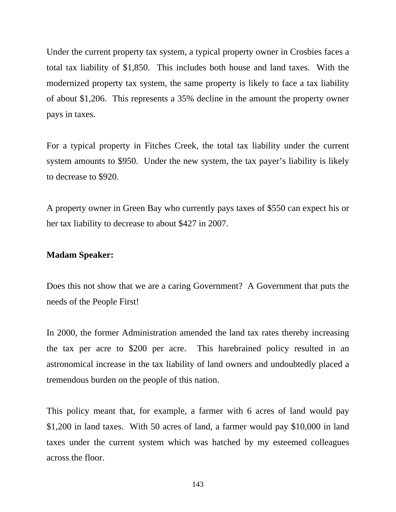Under the current property tax system, a typical property owner in Crosbies faces a total tax liability of \$1,850. This includes both house and land taxes. With the modernized property tax system, the same property is likely to face a tax liability of about \$1,206. This represents a 35% decline in the amount the property owner pays in taxes.

For a typical property in Fitches Creek, the total tax liability under the current system amounts to \$950. Under the new system, the tax payer's liability is likely to decrease to \$920.

A property owner in Green Bay who currently pays taxes of \$550 can expect his or her tax liability to decrease to about \$427 in 2007.

#### **Madam Speaker:**

Does this not show that we are a caring Government? A Government that puts the needs of the People First!

In 2000, the former Administration amended the land tax rates thereby increasing the tax per acre to \$200 per acre. This harebrained policy resulted in an astronomical increase in the tax liability of land owners and undoubtedly placed a tremendous burden on the people of this nation.

This policy meant that, for example, a farmer with 6 acres of land would pay \$1,200 in land taxes. With 50 acres of land, a farmer would pay \$10,000 in land taxes under the current system which was hatched by my esteemed colleagues across the floor.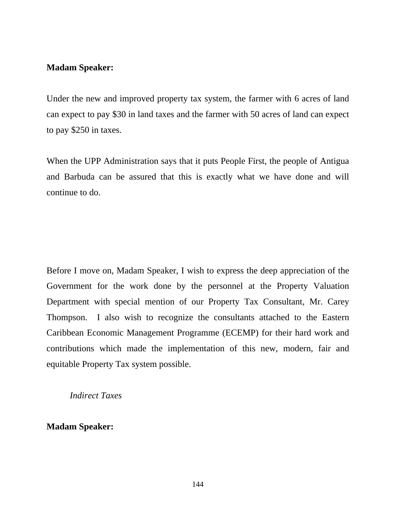### **Madam Speaker:**

Under the new and improved property tax system, the farmer with 6 acres of land can expect to pay \$30 in land taxes and the farmer with 50 acres of land can expect to pay \$250 in taxes.

When the UPP Administration says that it puts People First, the people of Antigua and Barbuda can be assured that this is exactly what we have done and will continue to do.

Before I move on, Madam Speaker, I wish to express the deep appreciation of the Government for the work done by the personnel at the Property Valuation Department with special mention of our Property Tax Consultant, Mr. Carey Thompson. I also wish to recognize the consultants attached to the Eastern Caribbean Economic Management Programme (ECEMP) for their hard work and contributions which made the implementation of this new, modern, fair and equitable Property Tax system possible.

*Indirect Taxes* 

**Madam Speaker:**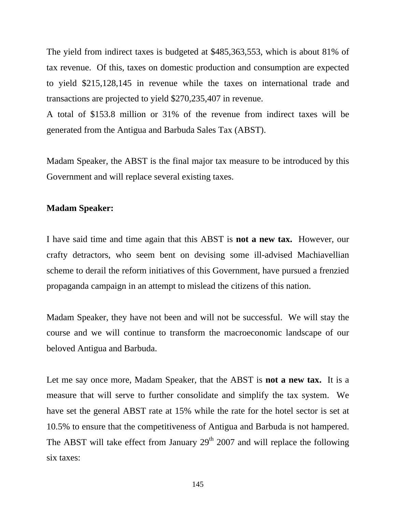The yield from indirect taxes is budgeted at \$485,363,553, which is about 81% of tax revenue. Of this, taxes on domestic production and consumption are expected to yield \$215,128,145 in revenue while the taxes on international trade and transactions are projected to yield \$270,235,407 in revenue.

A total of \$153.8 million or 31% of the revenue from indirect taxes will be generated from the Antigua and Barbuda Sales Tax (ABST).

Madam Speaker, the ABST is the final major tax measure to be introduced by this Government and will replace several existing taxes.

#### **Madam Speaker:**

I have said time and time again that this ABST is **not a new tax.** However, our crafty detractors, who seem bent on devising some ill-advised Machiavellian scheme to derail the reform initiatives of this Government, have pursued a frenzied propaganda campaign in an attempt to mislead the citizens of this nation.

Madam Speaker, they have not been and will not be successful. We will stay the course and we will continue to transform the macroeconomic landscape of our beloved Antigua and Barbuda.

Let me say once more, Madam Speaker, that the ABST is **not a new tax.** It is a measure that will serve to further consolidate and simplify the tax system. We have set the general ABST rate at 15% while the rate for the hotel sector is set at 10.5% to ensure that the competitiveness of Antigua and Barbuda is not hampered. The ABST will take effect from January  $29<sup>th</sup> 2007$  and will replace the following six taxes: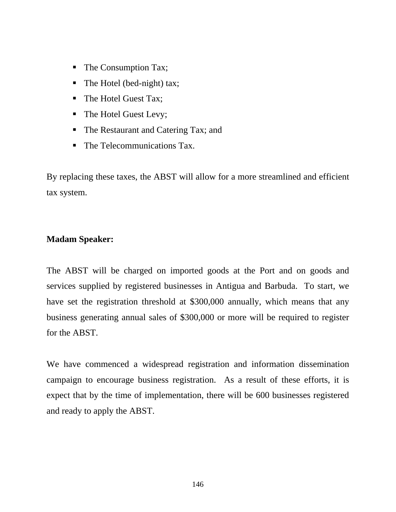- The Consumption Tax;
- The Hotel (bed-night) tax;
- The Hotel Guest Tax;
- The Hotel Guest Levy;
- The Restaurant and Catering Tax; and
- The Telecommunications Tax.

By replacing these taxes, the ABST will allow for a more streamlined and efficient tax system.

# **Madam Speaker:**

The ABST will be charged on imported goods at the Port and on goods and services supplied by registered businesses in Antigua and Barbuda. To start, we have set the registration threshold at \$300,000 annually, which means that any business generating annual sales of \$300,000 or more will be required to register for the ABST.

We have commenced a widespread registration and information dissemination campaign to encourage business registration. As a result of these efforts, it is expect that by the time of implementation, there will be 600 businesses registered and ready to apply the ABST.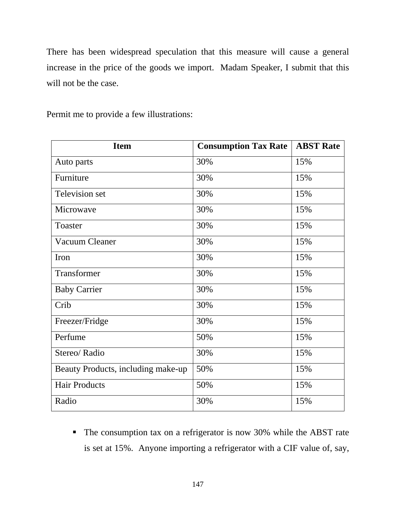There has been widespread speculation that this measure will cause a general increase in the price of the goods we import. Madam Speaker, I submit that this will not be the case.

Permit me to provide a few illustrations:

| <b>Item</b>                        | <b>Consumption Tax Rate</b> | <b>ABST Rate</b> |
|------------------------------------|-----------------------------|------------------|
| Auto parts                         | 30%                         | 15%              |
| Furniture                          | 30%                         | 15%              |
| Television set                     | 30%                         | 15%              |
| Microwave                          | 30%                         | 15%              |
| Toaster                            | 30%                         | 15%              |
| Vacuum Cleaner                     | 30%                         | 15%              |
| Iron                               | 30%                         | 15%              |
| Transformer                        | 30%                         | 15%              |
| <b>Baby Carrier</b>                | 30%                         | 15%              |
| Crib                               | 30%                         | 15%              |
| Freezer/Fridge                     | 30%                         | 15%              |
| Perfume                            | 50%                         | 15%              |
| Stereo/Radio                       | 30%                         | 15%              |
| Beauty Products, including make-up | 50%                         | 15%              |
| <b>Hair Products</b>               | 50%                         | 15%              |
| Radio                              | 30%                         | 15%              |

• The consumption tax on a refrigerator is now 30% while the ABST rate is set at 15%. Anyone importing a refrigerator with a CIF value of, say,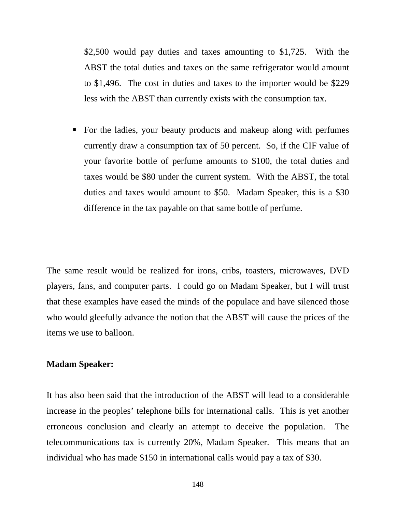\$2,500 would pay duties and taxes amounting to \$1,725. With the ABST the total duties and taxes on the same refrigerator would amount to \$1,496. The cost in duties and taxes to the importer would be \$229 less with the ABST than currently exists with the consumption tax.

• For the ladies, your beauty products and makeup along with perfumes currently draw a consumption tax of 50 percent. So, if the CIF value of your favorite bottle of perfume amounts to \$100, the total duties and taxes would be \$80 under the current system. With the ABST, the total duties and taxes would amount to \$50. Madam Speaker, this is a \$30 difference in the tax payable on that same bottle of perfume.

The same result would be realized for irons, cribs, toasters, microwaves, DVD players, fans, and computer parts. I could go on Madam Speaker, but I will trust that these examples have eased the minds of the populace and have silenced those who would gleefully advance the notion that the ABST will cause the prices of the items we use to balloon.

#### **Madam Speaker:**

It has also been said that the introduction of the ABST will lead to a considerable increase in the peoples' telephone bills for international calls. This is yet another erroneous conclusion and clearly an attempt to deceive the population. The telecommunications tax is currently 20%, Madam Speaker. This means that an individual who has made \$150 in international calls would pay a tax of \$30.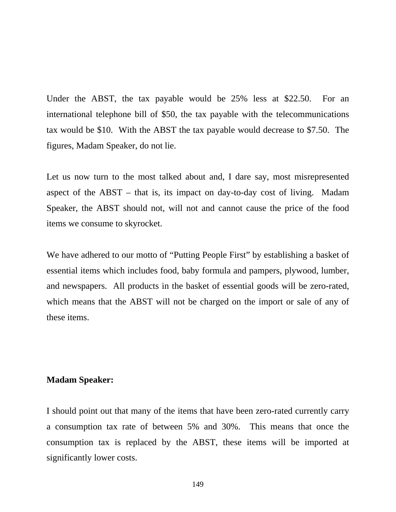Under the ABST, the tax payable would be 25% less at \$22.50. For an international telephone bill of \$50, the tax payable with the telecommunications tax would be \$10. With the ABST the tax payable would decrease to \$7.50. The figures, Madam Speaker, do not lie.

Let us now turn to the most talked about and, I dare say, most misrepresented aspect of the ABST – that is, its impact on day-to-day cost of living. Madam Speaker, the ABST should not, will not and cannot cause the price of the food items we consume to skyrocket.

We have adhered to our motto of "Putting People First" by establishing a basket of essential items which includes food, baby formula and pampers, plywood, lumber, and newspapers. All products in the basket of essential goods will be zero-rated, which means that the ABST will not be charged on the import or sale of any of these items.

### **Madam Speaker:**

I should point out that many of the items that have been zero-rated currently carry a consumption tax rate of between 5% and 30%. This means that once the consumption tax is replaced by the ABST, these items will be imported at significantly lower costs.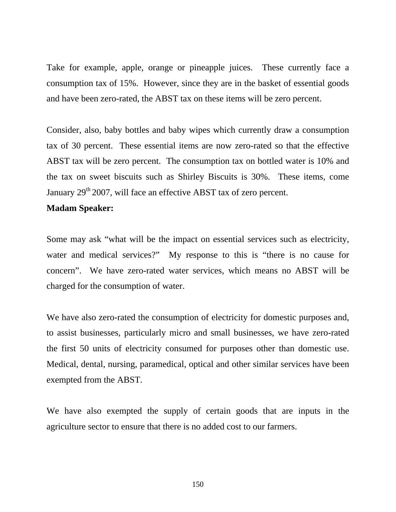Take for example, apple, orange or pineapple juices. These currently face a consumption tax of 15%. However, since they are in the basket of essential goods and have been zero-rated, the ABST tax on these items will be zero percent.

Consider, also, baby bottles and baby wipes which currently draw a consumption tax of 30 percent. These essential items are now zero-rated so that the effective ABST tax will be zero percent. The consumption tax on bottled water is 10% and the tax on sweet biscuits such as Shirley Biscuits is 30%. These items, come January 29<sup>th</sup> 2007, will face an effective ABST tax of zero percent.

### **Madam Speaker:**

Some may ask "what will be the impact on essential services such as electricity, water and medical services?" My response to this is "there is no cause for concern". We have zero-rated water services, which means no ABST will be charged for the consumption of water.

We have also zero-rated the consumption of electricity for domestic purposes and, to assist businesses, particularly micro and small businesses, we have zero-rated the first 50 units of electricity consumed for purposes other than domestic use. Medical, dental, nursing, paramedical, optical and other similar services have been exempted from the ABST.

We have also exempted the supply of certain goods that are inputs in the agriculture sector to ensure that there is no added cost to our farmers.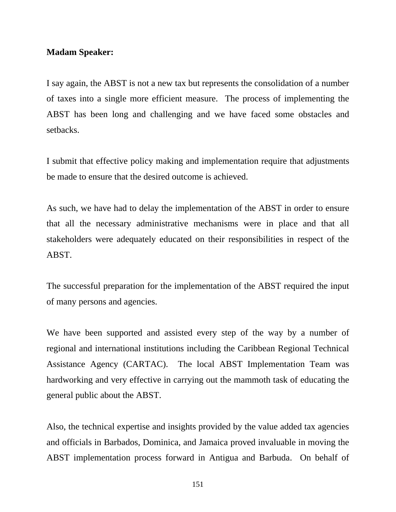### **Madam Speaker:**

I say again, the ABST is not a new tax but represents the consolidation of a number of taxes into a single more efficient measure. The process of implementing the ABST has been long and challenging and we have faced some obstacles and setbacks.

I submit that effective policy making and implementation require that adjustments be made to ensure that the desired outcome is achieved.

As such, we have had to delay the implementation of the ABST in order to ensure that all the necessary administrative mechanisms were in place and that all stakeholders were adequately educated on their responsibilities in respect of the ABST.

The successful preparation for the implementation of the ABST required the input of many persons and agencies.

We have been supported and assisted every step of the way by a number of regional and international institutions including the Caribbean Regional Technical Assistance Agency (CARTAC). The local ABST Implementation Team was hardworking and very effective in carrying out the mammoth task of educating the general public about the ABST.

Also, the technical expertise and insights provided by the value added tax agencies and officials in Barbados, Dominica, and Jamaica proved invaluable in moving the ABST implementation process forward in Antigua and Barbuda. On behalf of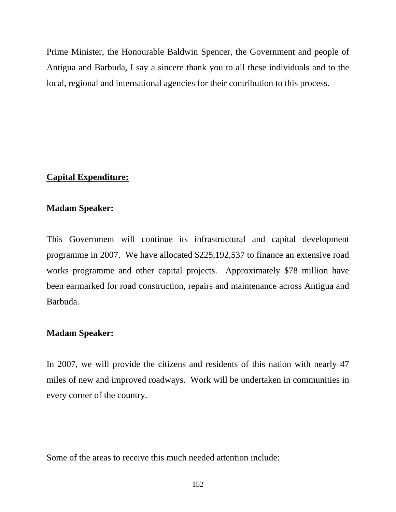Prime Minister, the Honourable Baldwin Spencer, the Government and people of Antigua and Barbuda, I say a sincere thank you to all these individuals and to the local, regional and international agencies for their contribution to this process.

# **Capital Expenditure:**

## **Madam Speaker:**

This Government will continue its infrastructural and capital development programme in 2007. We have allocated \$225,192,537 to finance an extensive road works programme and other capital projects. Approximately \$78 million have been earmarked for road construction, repairs and maintenance across Antigua and Barbuda.

## **Madam Speaker:**

In 2007, we will provide the citizens and residents of this nation with nearly 47 miles of new and improved roadways. Work will be undertaken in communities in every corner of the country.

Some of the areas to receive this much needed attention include: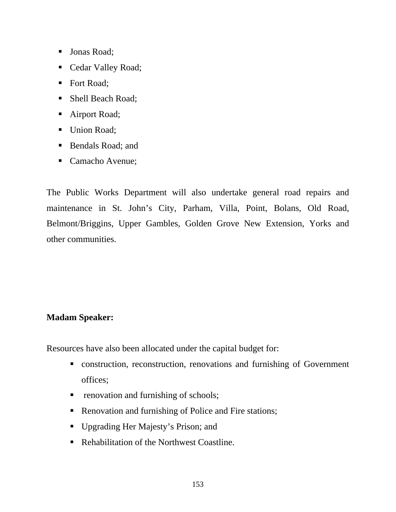- **Jonas Road**;
- Cedar Valley Road;
- Fort Road;
- Shell Beach Road;
- Airport Road;
- Union Road;
- Bendals Road; and
- Camacho Avenue;

The Public Works Department will also undertake general road repairs and maintenance in St. John's City, Parham, Villa, Point, Bolans, Old Road, Belmont/Briggins, Upper Gambles, Golden Grove New Extension, Yorks and other communities.

# **Madam Speaker:**

Resources have also been allocated under the capital budget for:

- construction, reconstruction, renovations and furnishing of Government offices;
- **•** renovation and furnishing of schools;
- Renovation and furnishing of Police and Fire stations;
- Upgrading Her Majesty's Prison; and
- Rehabilitation of the Northwest Coastline.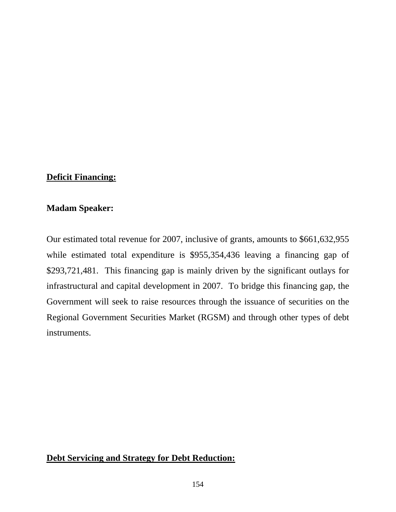## **Deficit Financing:**

## **Madam Speaker:**

Our estimated total revenue for 2007, inclusive of grants, amounts to \$661,632,955 while estimated total expenditure is \$955,354,436 leaving a financing gap of \$293,721,481. This financing gap is mainly driven by the significant outlays for infrastructural and capital development in 2007. To bridge this financing gap, the Government will seek to raise resources through the issuance of securities on the Regional Government Securities Market (RGSM) and through other types of debt instruments.

## **Debt Servicing and Strategy for Debt Reduction:**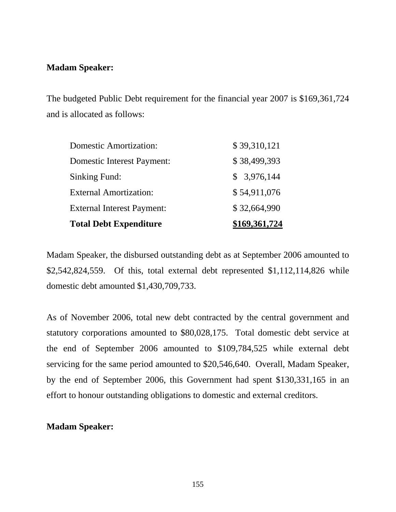## **Madam Speaker:**

The budgeted Public Debt requirement for the financial year 2007 is \$169,361,724 and is allocated as follows:

| <b>Total Debt Expenditure</b>     | \$169,361,724 |
|-----------------------------------|---------------|
| <b>External Interest Payment:</b> | \$32,664,990  |
| <b>External Amortization:</b>     | \$54,911,076  |
| Sinking Fund:                     | \$3,976,144   |
| <b>Domestic Interest Payment:</b> | \$38,499,393  |
| <b>Domestic Amortization:</b>     | \$39,310,121  |

Madam Speaker, the disbursed outstanding debt as at September 2006 amounted to \$2,542,824,559. Of this, total external debt represented \$1,112,114,826 while domestic debt amounted \$1,430,709,733.

As of November 2006, total new debt contracted by the central government and statutory corporations amounted to \$80,028,175. Total domestic debt service at the end of September 2006 amounted to \$109,784,525 while external debt servicing for the same period amounted to \$20,546,640. Overall, Madam Speaker, by the end of September 2006, this Government had spent \$130,331,165 in an effort to honour outstanding obligations to domestic and external creditors.

## **Madam Speaker:**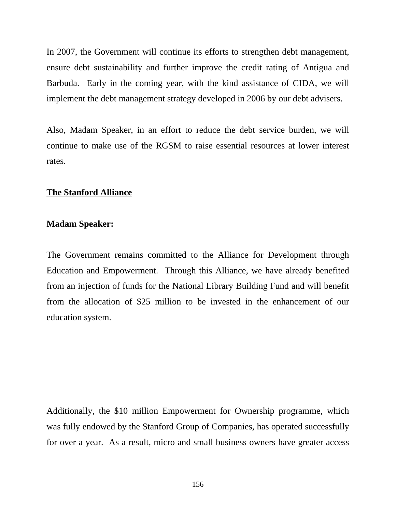In 2007, the Government will continue its efforts to strengthen debt management, ensure debt sustainability and further improve the credit rating of Antigua and Barbuda. Early in the coming year, with the kind assistance of CIDA, we will implement the debt management strategy developed in 2006 by our debt advisers.

Also, Madam Speaker, in an effort to reduce the debt service burden, we will continue to make use of the RGSM to raise essential resources at lower interest rates.

## **The Stanford Alliance**

### **Madam Speaker:**

The Government remains committed to the Alliance for Development through Education and Empowerment. Through this Alliance, we have already benefited from an injection of funds for the National Library Building Fund and will benefit from the allocation of \$25 million to be invested in the enhancement of our education system.

Additionally, the \$10 million Empowerment for Ownership programme, which was fully endowed by the Stanford Group of Companies, has operated successfully for over a year. As a result, micro and small business owners have greater access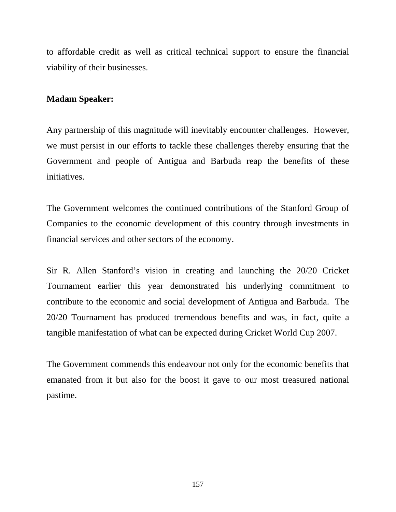to affordable credit as well as critical technical support to ensure the financial viability of their businesses.

# **Madam Speaker:**

Any partnership of this magnitude will inevitably encounter challenges. However, we must persist in our efforts to tackle these challenges thereby ensuring that the Government and people of Antigua and Barbuda reap the benefits of these initiatives.

The Government welcomes the continued contributions of the Stanford Group of Companies to the economic development of this country through investments in financial services and other sectors of the economy.

Sir R. Allen Stanford's vision in creating and launching the 20/20 Cricket Tournament earlier this year demonstrated his underlying commitment to contribute to the economic and social development of Antigua and Barbuda. The 20/20 Tournament has produced tremendous benefits and was, in fact, quite a tangible manifestation of what can be expected during Cricket World Cup 2007.

The Government commends this endeavour not only for the economic benefits that emanated from it but also for the boost it gave to our most treasured national pastime.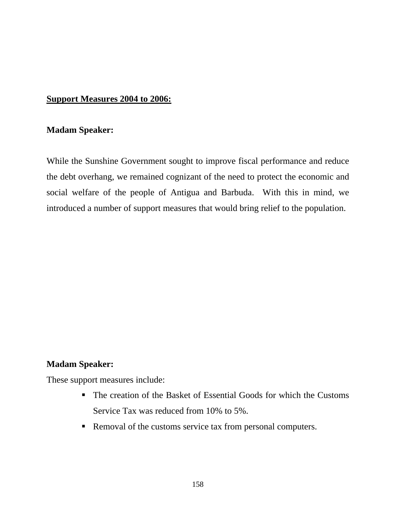# **Support Measures 2004 to 2006:**

### **Madam Speaker:**

While the Sunshine Government sought to improve fiscal performance and reduce the debt overhang, we remained cognizant of the need to protect the economic and social welfare of the people of Antigua and Barbuda. With this in mind, we introduced a number of support measures that would bring relief to the population.

# **Madam Speaker:**

These support measures include:

- The creation of the Basket of Essential Goods for which the Customs Service Tax was reduced from 10% to 5%.
- Removal of the customs service tax from personal computers.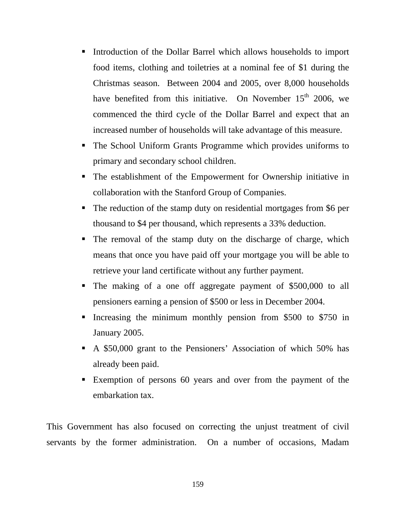- Introduction of the Dollar Barrel which allows households to import food items, clothing and toiletries at a nominal fee of \$1 during the Christmas season. Between 2004 and 2005, over 8,000 households have benefited from this initiative. On November  $15<sup>th</sup>$  2006, we commenced the third cycle of the Dollar Barrel and expect that an increased number of households will take advantage of this measure.
- The School Uniform Grants Programme which provides uniforms to primary and secondary school children.
- The establishment of the Empowerment for Ownership initiative in collaboration with the Stanford Group of Companies.
- The reduction of the stamp duty on residential mortgages from \$6 per thousand to \$4 per thousand, which represents a 33% deduction.
- The removal of the stamp duty on the discharge of charge, which means that once you have paid off your mortgage you will be able to retrieve your land certificate without any further payment.
- The making of a one off aggregate payment of \$500,000 to all pensioners earning a pension of \$500 or less in December 2004.
- Increasing the minimum monthly pension from \$500 to \$750 in January 2005.
- A \$50,000 grant to the Pensioners' Association of which 50% has already been paid.
- Exemption of persons 60 years and over from the payment of the embarkation tax.

This Government has also focused on correcting the unjust treatment of civil servants by the former administration. On a number of occasions, Madam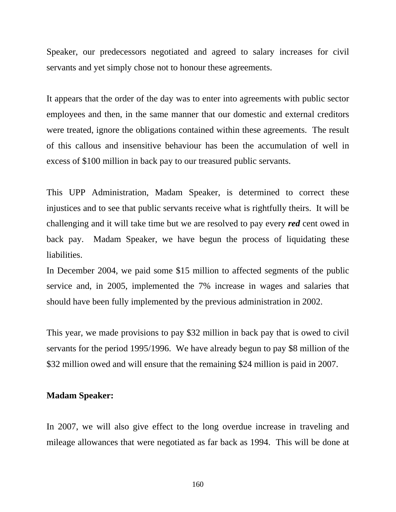Speaker, our predecessors negotiated and agreed to salary increases for civil servants and yet simply chose not to honour these agreements.

It appears that the order of the day was to enter into agreements with public sector employees and then, in the same manner that our domestic and external creditors were treated, ignore the obligations contained within these agreements. The result of this callous and insensitive behaviour has been the accumulation of well in excess of \$100 million in back pay to our treasured public servants.

This UPP Administration, Madam Speaker, is determined to correct these injustices and to see that public servants receive what is rightfully theirs. It will be challenging and it will take time but we are resolved to pay every *red* cent owed in back pay. Madam Speaker, we have begun the process of liquidating these liabilities.

In December 2004, we paid some \$15 million to affected segments of the public service and, in 2005, implemented the 7% increase in wages and salaries that should have been fully implemented by the previous administration in 2002.

This year, we made provisions to pay \$32 million in back pay that is owed to civil servants for the period 1995/1996. We have already begun to pay \$8 million of the \$32 million owed and will ensure that the remaining \$24 million is paid in 2007.

### **Madam Speaker:**

In 2007, we will also give effect to the long overdue increase in traveling and mileage allowances that were negotiated as far back as 1994. This will be done at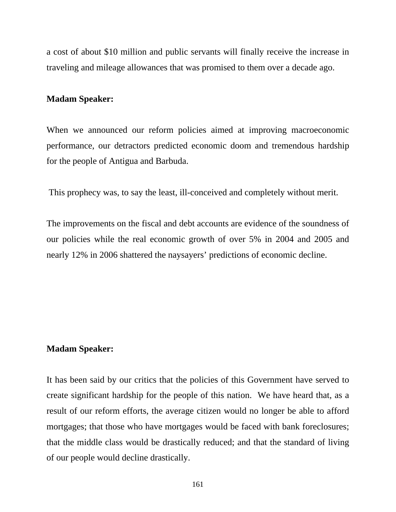a cost of about \$10 million and public servants will finally receive the increase in traveling and mileage allowances that was promised to them over a decade ago.

#### **Madam Speaker:**

When we announced our reform policies aimed at improving macroeconomic performance, our detractors predicted economic doom and tremendous hardship for the people of Antigua and Barbuda.

This prophecy was, to say the least, ill-conceived and completely without merit.

The improvements on the fiscal and debt accounts are evidence of the soundness of our policies while the real economic growth of over 5% in 2004 and 2005 and nearly 12% in 2006 shattered the naysayers' predictions of economic decline.

#### **Madam Speaker:**

It has been said by our critics that the policies of this Government have served to create significant hardship for the people of this nation. We have heard that, as a result of our reform efforts, the average citizen would no longer be able to afford mortgages; that those who have mortgages would be faced with bank foreclosures; that the middle class would be drastically reduced; and that the standard of living of our people would decline drastically.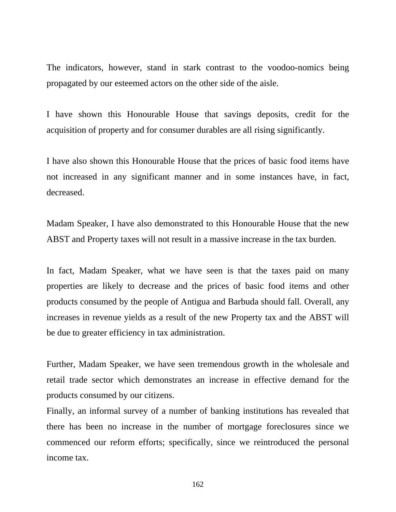The indicators, however, stand in stark contrast to the voodoo-nomics being propagated by our esteemed actors on the other side of the aisle.

I have shown this Honourable House that savings deposits, credit for the acquisition of property and for consumer durables are all rising significantly.

I have also shown this Honourable House that the prices of basic food items have not increased in any significant manner and in some instances have, in fact, decreased.

Madam Speaker, I have also demonstrated to this Honourable House that the new ABST and Property taxes will not result in a massive increase in the tax burden.

In fact, Madam Speaker, what we have seen is that the taxes paid on many properties are likely to decrease and the prices of basic food items and other products consumed by the people of Antigua and Barbuda should fall. Overall, any increases in revenue yields as a result of the new Property tax and the ABST will be due to greater efficiency in tax administration.

Further, Madam Speaker, we have seen tremendous growth in the wholesale and retail trade sector which demonstrates an increase in effective demand for the products consumed by our citizens.

Finally, an informal survey of a number of banking institutions has revealed that there has been no increase in the number of mortgage foreclosures since we commenced our reform efforts; specifically, since we reintroduced the personal income tax.

162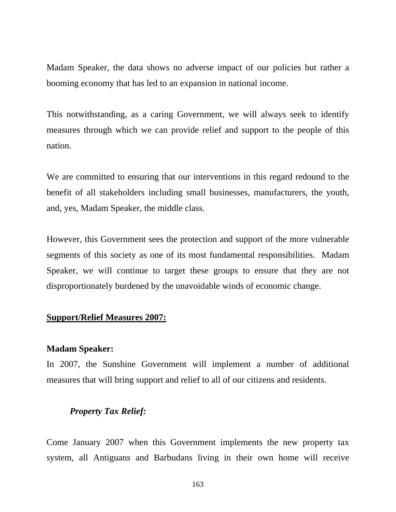Madam Speaker, the data shows no adverse impact of our policies but rather a booming economy that has led to an expansion in national income.

This notwithstanding, as a caring Government, we will always seek to identify measures through which we can provide relief and support to the people of this nation.

We are committed to ensuring that our interventions in this regard redound to the benefit of all stakeholders including small businesses, manufacturers, the youth, and, yes, Madam Speaker, the middle class.

However, this Government sees the protection and support of the more vulnerable segments of this society as one of its most fundamental responsibilities. Madam Speaker, we will continue to target these groups to ensure that they are not disproportionately burdened by the unavoidable winds of economic change.

### **Support/Relief Measures 2007:**

#### **Madam Speaker:**

In 2007, the Sunshine Government will implement a number of additional measures that will bring support and relief to all of our citizens and residents.

#### *Property Tax Relief:*

Come January 2007 when this Government implements the new property tax system, all Antiguans and Barbudans living in their own home will receive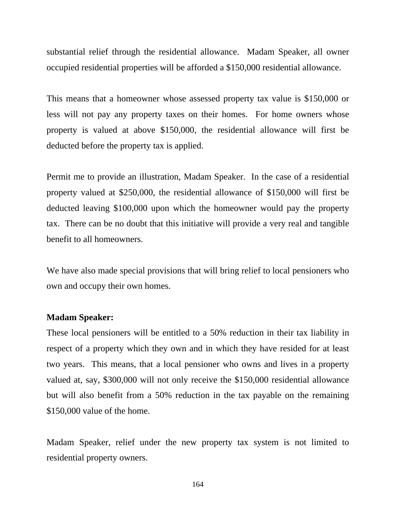substantial relief through the residential allowance. Madam Speaker, all owner occupied residential properties will be afforded a \$150,000 residential allowance.

This means that a homeowner whose assessed property tax value is \$150,000 or less will not pay any property taxes on their homes. For home owners whose property is valued at above \$150,000, the residential allowance will first be deducted before the property tax is applied.

Permit me to provide an illustration, Madam Speaker. In the case of a residential property valued at \$250,000, the residential allowance of \$150,000 will first be deducted leaving \$100,000 upon which the homeowner would pay the property tax. There can be no doubt that this initiative will provide a very real and tangible benefit to all homeowners.

We have also made special provisions that will bring relief to local pensioners who own and occupy their own homes.

## **Madam Speaker:**

These local pensioners will be entitled to a 50% reduction in their tax liability in respect of a property which they own and in which they have resided for at least two years. This means, that a local pensioner who owns and lives in a property valued at, say, \$300,000 will not only receive the \$150,000 residential allowance but will also benefit from a 50% reduction in the tax payable on the remaining \$150,000 value of the home.

Madam Speaker, relief under the new property tax system is not limited to residential property owners.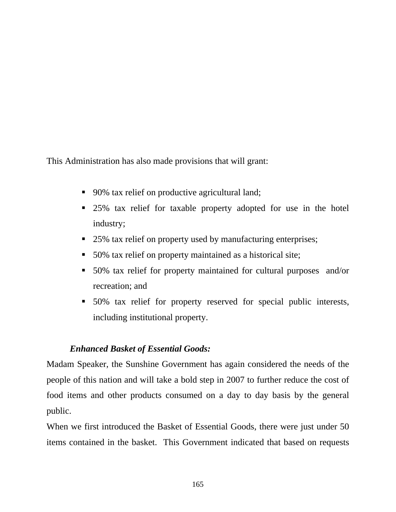This Administration has also made provisions that will grant:

- 90% tax relief on productive agricultural land;
- **25%** tax relief for taxable property adopted for use in the hotel industry;
- 25% tax relief on property used by manufacturing enterprises;
- 50% tax relief on property maintained as a historical site;
- 50% tax relief for property maintained for cultural purposes and/or recreation; and
- 50% tax relief for property reserved for special public interests, including institutional property.

# *Enhanced Basket of Essential Goods:*

Madam Speaker, the Sunshine Government has again considered the needs of the people of this nation and will take a bold step in 2007 to further reduce the cost of food items and other products consumed on a day to day basis by the general public.

When we first introduced the Basket of Essential Goods, there were just under 50 items contained in the basket. This Government indicated that based on requests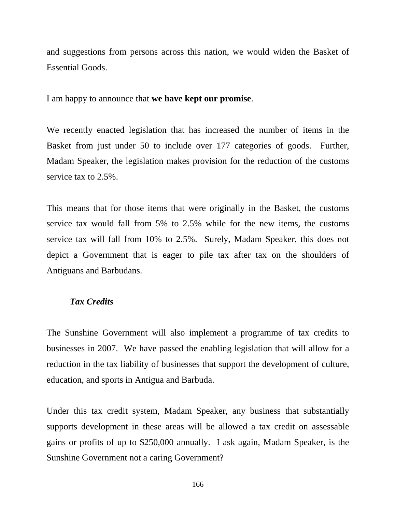and suggestions from persons across this nation, we would widen the Basket of Essential Goods.

I am happy to announce that **we have kept our promise**.

We recently enacted legislation that has increased the number of items in the Basket from just under 50 to include over 177 categories of goods. Further, Madam Speaker, the legislation makes provision for the reduction of the customs service tax to 2.5%.

This means that for those items that were originally in the Basket, the customs service tax would fall from 5% to 2.5% while for the new items, the customs service tax will fall from 10% to 2.5%. Surely, Madam Speaker, this does not depict a Government that is eager to pile tax after tax on the shoulders of Antiguans and Barbudans.

## *Tax Credits*

The Sunshine Government will also implement a programme of tax credits to businesses in 2007. We have passed the enabling legislation that will allow for a reduction in the tax liability of businesses that support the development of culture, education, and sports in Antigua and Barbuda.

Under this tax credit system, Madam Speaker, any business that substantially supports development in these areas will be allowed a tax credit on assessable gains or profits of up to \$250,000 annually. I ask again, Madam Speaker, is the Sunshine Government not a caring Government?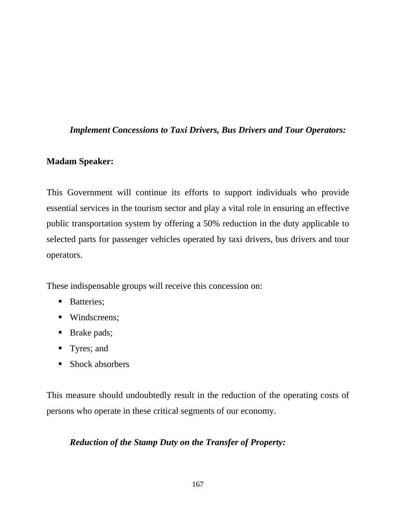## *Implement Concessions to Taxi Drivers, Bus Drivers and Tour Operators:*

## **Madam Speaker:**

This Government will continue its efforts to support individuals who provide essential services in the tourism sector and play a vital role in ensuring an effective public transportation system by offering a 50% reduction in the duty applicable to selected parts for passenger vehicles operated by taxi drivers, bus drivers and tour operators.

These indispensable groups will receive this concession on:

- **Batteries**;
- Windscreens;
- **Brake pads;**
- Tyres; and
- Shock absorbers

This measure should undoubtedly result in the reduction of the operating costs of persons who operate in these critical segments of our economy.

# *Reduction of the Stamp Duty on the Transfer of Property:*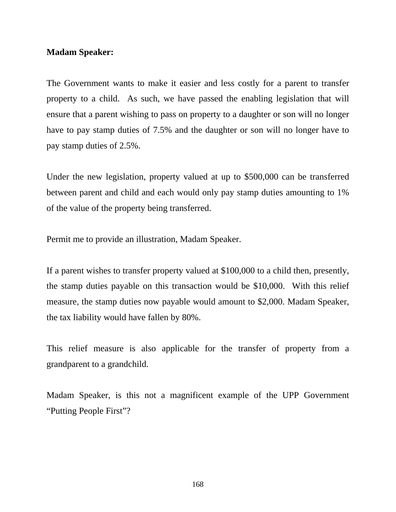### **Madam Speaker:**

The Government wants to make it easier and less costly for a parent to transfer property to a child. As such, we have passed the enabling legislation that will ensure that a parent wishing to pass on property to a daughter or son will no longer have to pay stamp duties of 7.5% and the daughter or son will no longer have to pay stamp duties of 2.5%.

Under the new legislation, property valued at up to \$500,000 can be transferred between parent and child and each would only pay stamp duties amounting to 1% of the value of the property being transferred.

Permit me to provide an illustration, Madam Speaker.

If a parent wishes to transfer property valued at \$100,000 to a child then, presently, the stamp duties payable on this transaction would be \$10,000. With this relief measure, the stamp duties now payable would amount to \$2,000. Madam Speaker, the tax liability would have fallen by 80%.

This relief measure is also applicable for the transfer of property from a grandparent to a grandchild.

Madam Speaker, is this not a magnificent example of the UPP Government "Putting People First"?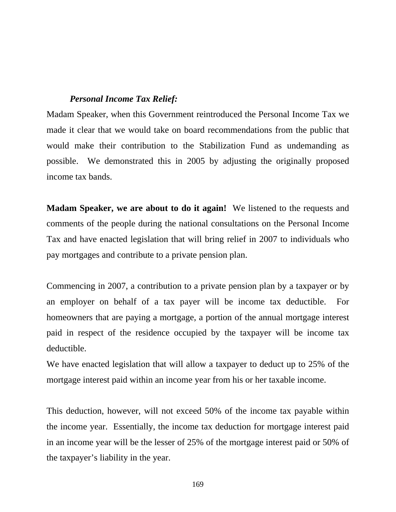## *Personal Income Tax Relief:*

Madam Speaker, when this Government reintroduced the Personal Income Tax we made it clear that we would take on board recommendations from the public that would make their contribution to the Stabilization Fund as undemanding as possible. We demonstrated this in 2005 by adjusting the originally proposed income tax bands.

**Madam Speaker, we are about to do it again!** We listened to the requests and comments of the people during the national consultations on the Personal Income Tax and have enacted legislation that will bring relief in 2007 to individuals who pay mortgages and contribute to a private pension plan.

Commencing in 2007, a contribution to a private pension plan by a taxpayer or by an employer on behalf of a tax payer will be income tax deductible. For homeowners that are paying a mortgage, a portion of the annual mortgage interest paid in respect of the residence occupied by the taxpayer will be income tax deductible.

We have enacted legislation that will allow a taxpayer to deduct up to 25% of the mortgage interest paid within an income year from his or her taxable income.

This deduction, however, will not exceed 50% of the income tax payable within the income year. Essentially, the income tax deduction for mortgage interest paid in an income year will be the lesser of 25% of the mortgage interest paid or 50% of the taxpayer's liability in the year.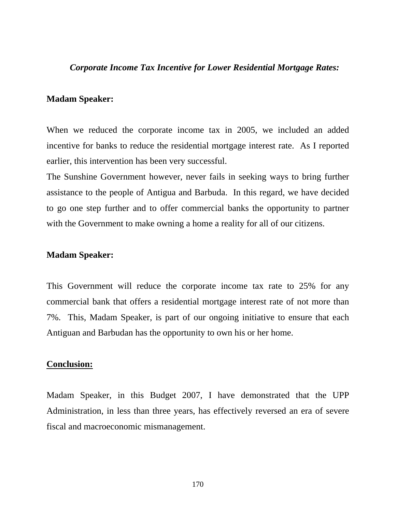### *Corporate Income Tax Incentive for Lower Residential Mortgage Rates:*

#### **Madam Speaker:**

When we reduced the corporate income tax in 2005, we included an added incentive for banks to reduce the residential mortgage interest rate. As I reported earlier, this intervention has been very successful.

The Sunshine Government however, never fails in seeking ways to bring further assistance to the people of Antigua and Barbuda. In this regard, we have decided to go one step further and to offer commercial banks the opportunity to partner with the Government to make owning a home a reality for all of our citizens.

#### **Madam Speaker:**

This Government will reduce the corporate income tax rate to 25% for any commercial bank that offers a residential mortgage interest rate of not more than 7%. This, Madam Speaker, is part of our ongoing initiative to ensure that each Antiguan and Barbudan has the opportunity to own his or her home.

#### **Conclusion:**

Madam Speaker, in this Budget 2007, I have demonstrated that the UPP Administration, in less than three years, has effectively reversed an era of severe fiscal and macroeconomic mismanagement.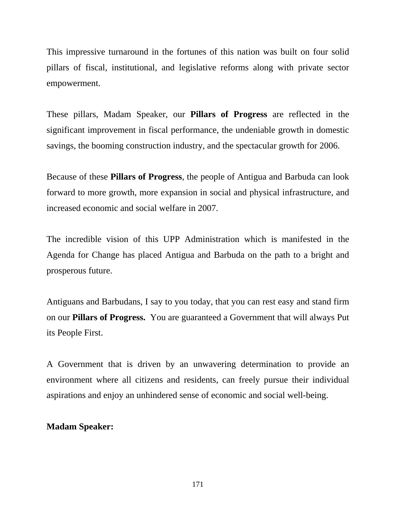This impressive turnaround in the fortunes of this nation was built on four solid pillars of fiscal, institutional, and legislative reforms along with private sector empowerment.

These pillars, Madam Speaker, our **Pillars of Progress** are reflected in the significant improvement in fiscal performance, the undeniable growth in domestic savings, the booming construction industry, and the spectacular growth for 2006.

Because of these **Pillars of Progress**, the people of Antigua and Barbuda can look forward to more growth, more expansion in social and physical infrastructure, and increased economic and social welfare in 2007.

The incredible vision of this UPP Administration which is manifested in the Agenda for Change has placed Antigua and Barbuda on the path to a bright and prosperous future.

Antiguans and Barbudans, I say to you today, that you can rest easy and stand firm on our **Pillars of Progress.** You are guaranteed a Government that will always Put its People First.

A Government that is driven by an unwavering determination to provide an environment where all citizens and residents, can freely pursue their individual aspirations and enjoy an unhindered sense of economic and social well-being.

## **Madam Speaker:**